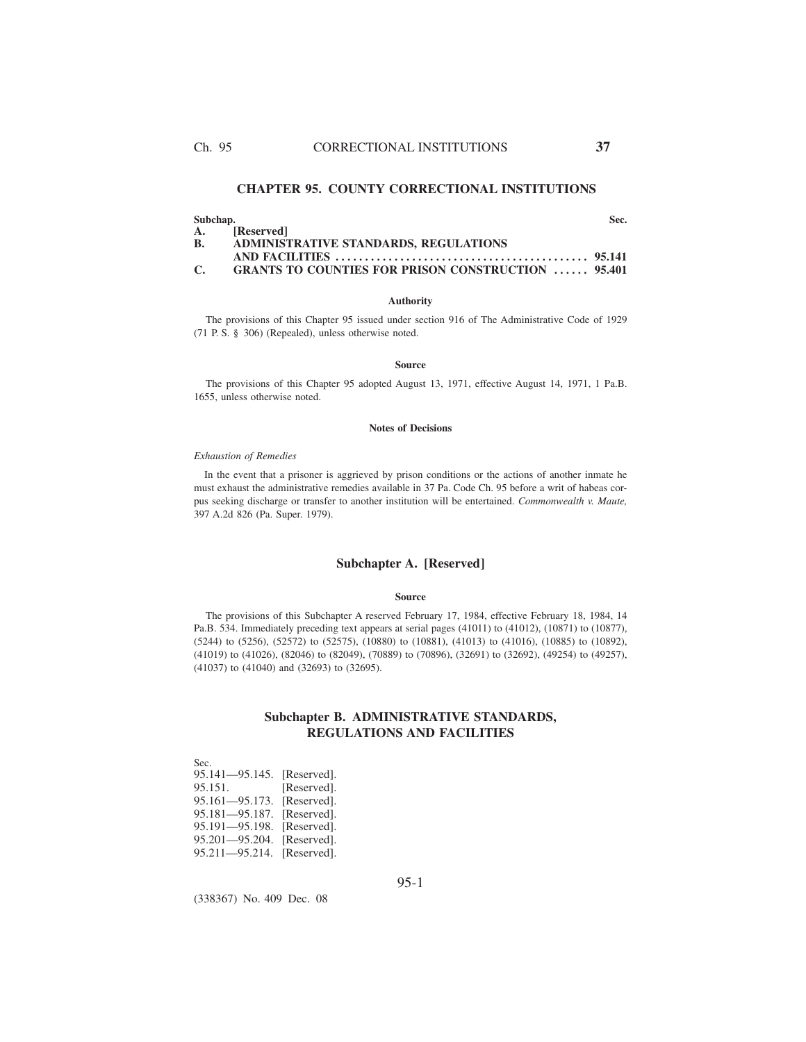# **CHAPTER 95. COUNTY CORRECTIONAL INSTITUTIONS**

**Subchap. Sec.**

|    | A. [Reserved]                                             |  |  |
|----|-----------------------------------------------------------|--|--|
| В. | ADMINISTRATIVE STANDARDS, REGULATIONS                     |  |  |
|    |                                                           |  |  |
| C. | <b>GRANTS TO COUNTIES FOR PRISON CONSTRUCTION  95.401</b> |  |  |

### **Authority**

The provisions of this Chapter 95 issued under section 916 of The Administrative Code of 1929 (71 P. S. § 306) (Repealed), unless otherwise noted.

#### **Source**

The provisions of this Chapter 95 adopted August 13, 1971, effective August 14, 1971, 1 Pa.B. 1655, unless otherwise noted.

## **Notes of Decisions**

### *Exhaustion of Remedies*

In the event that a prisoner is aggrieved by prison conditions or the actions of another inmate he must exhaust the administrative remedies available in 37 Pa. Code Ch. 95 before a writ of habeas corpus seeking discharge or transfer to another institution will be entertained. *Commonwealth v. Maute,* 397 A.2d 826 (Pa. Super. 1979).

## **Subchapter A. [Reserved]**

### **Source**

The provisions of this Subchapter A reserved February 17, 1984, effective February 18, 1984, 14 Pa.B. 534. Immediately preceding text appears at serial pages (41011) to (41012), (10871) to (10877), (5244) to (5256), (52572) to (52575), (10880) to (10881), (41013) to (41016), (10885) to (10892), (41019) to (41026), (82046) to (82049), (70889) to (70896), (32691) to (32692), (49254) to (49257), (41037) to (41040) and (32693) to (32695).

# **Subchapter B. ADMINISTRATIVE STANDARDS, REGULATIONS AND FACILITIES**

Sec. 95.141—95.145. [Reserved]. 95.151. [Reserved]. 95.161—95.173. [Reserved]. 95.181—95.187. [Reserved]. 95.191—95.198. [Reserved]. 95.201—95.204. [Reserved]. 95.211—95.214. [Reserved].

95-1

(338367) No. 409 Dec. 08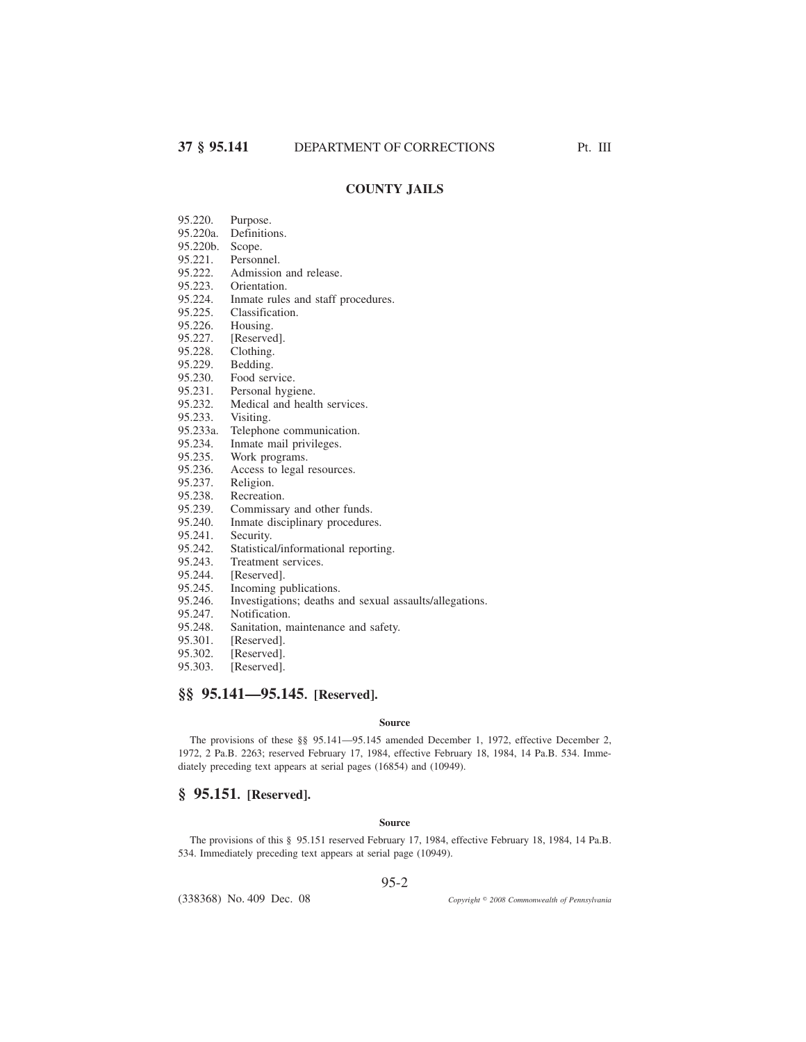# **COUNTY JAILS**

- 95.220. Purpose.
- 95.220a. Definitions.
- 95.220b. Scope.
- 95.221. Personnel.<br>95.222. Admission
- 95.222. Admission and release.<br>95.223. Orientation.
- 95.223. Orientation.<br>95.224. Inmate rules
- Inmate rules and staff procedures.
- 95.225. Classification.<br>95.226. Housing.
- 95.226. Housing.<br>95.227. [Reserve
- 95.227. [Reserved].<br>95.228. Clothing.
- 95.228. Clothing.<br>95.229. Bedding. Bedding.
- 
- 95.230. Food service.<br>95.231. Personal hygi
- 95.231. Personal hygiene.<br>95.232. Medical and healt
- 95.232. Medical and health services.<br>95.233. Visiting.
- Visiting.
- 95.233a. Telephone communication.
- 95.234. Inmate mail privileges.<br>95.235. Work programs.
- 95.235. Work programs.<br>95.236. Access to legal
- 95.236. Access to legal resources.<br>95.237. Religion.
- Religion.
- 95.238. Recreation.<br>95.239. Commissar
- 95.239. Commissary and other funds.<br>95.240. Inmate disciplinary procedure
- 95.240. Inmate disciplinary procedures.<br>95.241. Security.
- 95.241. Security.<br>95.242. Statistica
- Statistical/informational reporting.
- 95.243. Treatment services.<br>95.244. [Reserved].
- 95.244. [Reserved].<br>95.245. Incoming p
- 95.245. Incoming publications.<br>95.246. Investigations; deaths a
- 95.246. Investigations; deaths and sexual assaults/allegations.
- 95.247. Notification.<br>95.248. Sanitation, n
- 95.248. Sanitation, maintenance and safety.<br>95.301. [Reserved].
- 95.301. [Reserved].<br>95.302. [Reserved].
- 95.302. [Reserved].<br>95.303. [Reserved].
- [Reserved].

# **§§ 95.141—95.145. [Reserved].**

### **Source**

The provisions of these §§ 95.141—95.145 amended December 1, 1972, effective December 2, 1972, 2 Pa.B. 2263; reserved February 17, 1984, effective February 18, 1984, 14 Pa.B. 534. Immediately preceding text appears at serial pages (16854) and (10949).

## **§ 95.151. [Reserved].**

## **Source**

The provisions of this § 95.151 reserved February 17, 1984, effective February 18, 1984, 14 Pa.B. 534. Immediately preceding text appears at serial page (10949).

95-2

(338368) No. 409 Dec. 08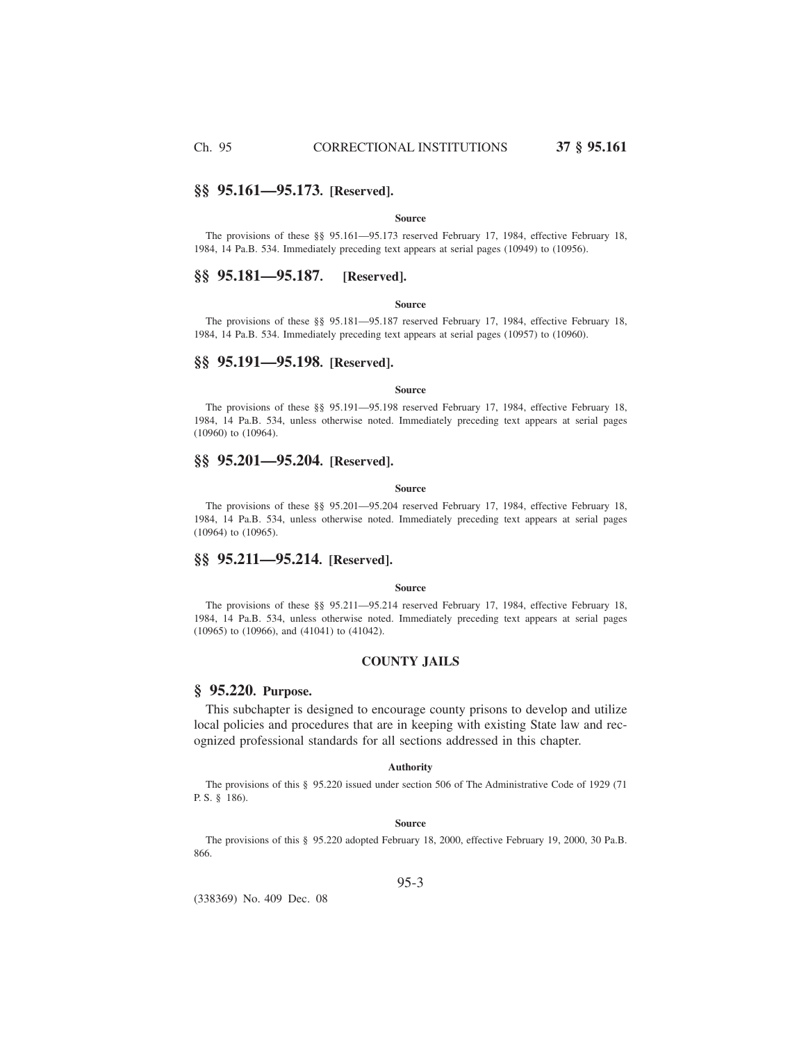# **§§ 95.161—95.173. [Reserved].**

## **Source**

The provisions of these §§ 95.161—95.173 reserved February 17, 1984, effective February 18, 1984, 14 Pa.B. 534. Immediately preceding text appears at serial pages (10949) to (10956).

# **§§ 95.181—95.187. [Reserved].**

#### **Source**

The provisions of these §§ 95.181—95.187 reserved February 17, 1984, effective February 18, 1984, 14 Pa.B. 534. Immediately preceding text appears at serial pages (10957) to (10960).

# **§§ 95.191—95.198. [Reserved].**

#### **Source**

The provisions of these §§ 95.191—95.198 reserved February 17, 1984, effective February 18, 1984, 14 Pa.B. 534, unless otherwise noted. Immediately preceding text appears at serial pages (10960) to (10964).

## **§§ 95.201—95.204. [Reserved].**

#### **Source**

The provisions of these §§ 95.201—95.204 reserved February 17, 1984, effective February 18, 1984, 14 Pa.B. 534, unless otherwise noted. Immediately preceding text appears at serial pages (10964) to (10965).

# **§§ 95.211—95.214. [Reserved].**

## **Source**

The provisions of these §§ 95.211—95.214 reserved February 17, 1984, effective February 18, 1984, 14 Pa.B. 534, unless otherwise noted. Immediately preceding text appears at serial pages (10965) to (10966), and (41041) to (41042).

# **COUNTY JAILS**

## **§ 95.220. Purpose.**

This subchapter is designed to encourage county prisons to develop and utilize local policies and procedures that are in keeping with existing State law and recognized professional standards for all sections addressed in this chapter.

## **Authority**

The provisions of this § 95.220 issued under section 506 of The Administrative Code of 1929 (71 P. S. § 186).

### **Source**

The provisions of this § 95.220 adopted February 18, 2000, effective February 19, 2000, 30 Pa.B. 866.

(338369) No. 409 Dec. 08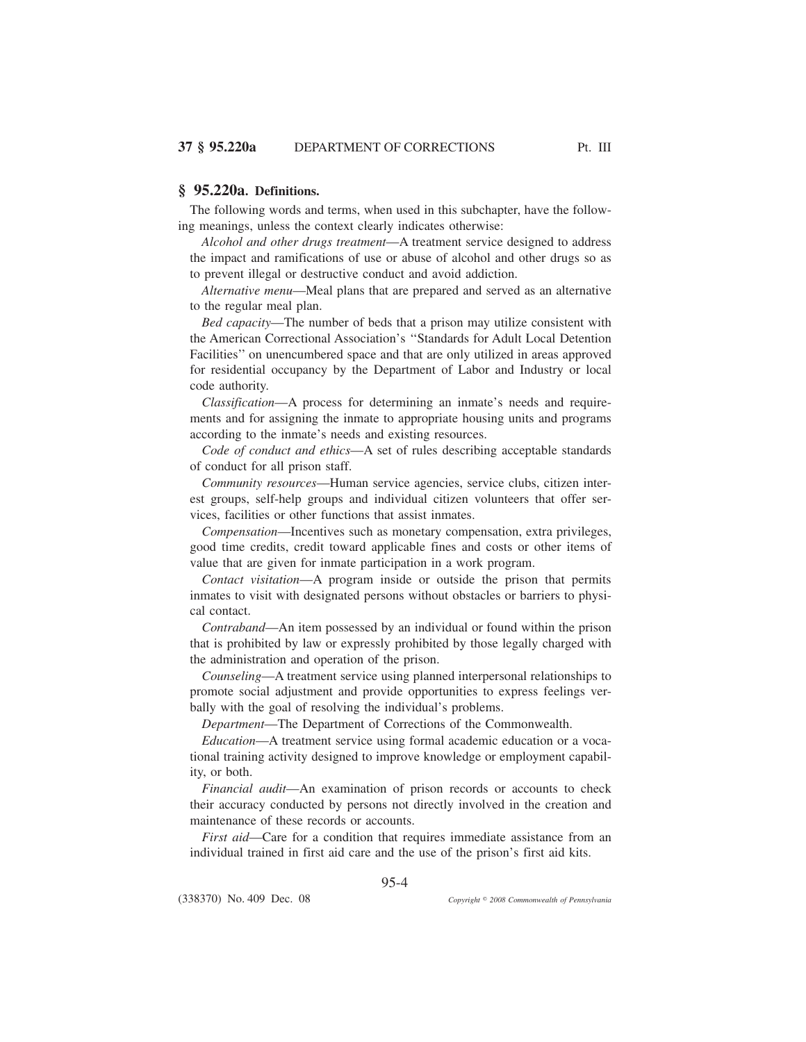The following words and terms, when used in this subchapter, have the following meanings, unless the context clearly indicates otherwise:

*Alcohol and other drugs treatment*—A treatment service designed to address the impact and ramifications of use or abuse of alcohol and other drugs so as to prevent illegal or destructive conduct and avoid addiction.

*Alternative menu*—Meal plans that are prepared and served as an alternative to the regular meal plan.

*Bed capacity*—The number of beds that a prison may utilize consistent with the American Correctional Association's ''Standards for Adult Local Detention Facilities'' on unencumbered space and that are only utilized in areas approved for residential occupancy by the Department of Labor and Industry or local code authority.

*Classification*—A process for determining an inmate's needs and requirements and for assigning the inmate to appropriate housing units and programs according to the inmate's needs and existing resources.

*Code of conduct and ethics*—A set of rules describing acceptable standards of conduct for all prison staff.

*Community resources*—Human service agencies, service clubs, citizen interest groups, self-help groups and individual citizen volunteers that offer services, facilities or other functions that assist inmates.

*Compensation*—Incentives such as monetary compensation, extra privileges, good time credits, credit toward applicable fines and costs or other items of value that are given for inmate participation in a work program.

*Contact visitation*—A program inside or outside the prison that permits inmates to visit with designated persons without obstacles or barriers to physical contact.

*Contraband*—An item possessed by an individual or found within the prison that is prohibited by law or expressly prohibited by those legally charged with the administration and operation of the prison.

*Counseling*—A treatment service using planned interpersonal relationships to promote social adjustment and provide opportunities to express feelings verbally with the goal of resolving the individual's problems.

*Department*—The Department of Corrections of the Commonwealth.

*Education*—A treatment service using formal academic education or a vocational training activity designed to improve knowledge or employment capability, or both.

*Financial audit*—An examination of prison records or accounts to check their accuracy conducted by persons not directly involved in the creation and maintenance of these records or accounts.

*First aid*—Care for a condition that requires immediate assistance from an individual trained in first aid care and the use of the prison's first aid kits.

95-4

(338370) No. 409 Dec. 08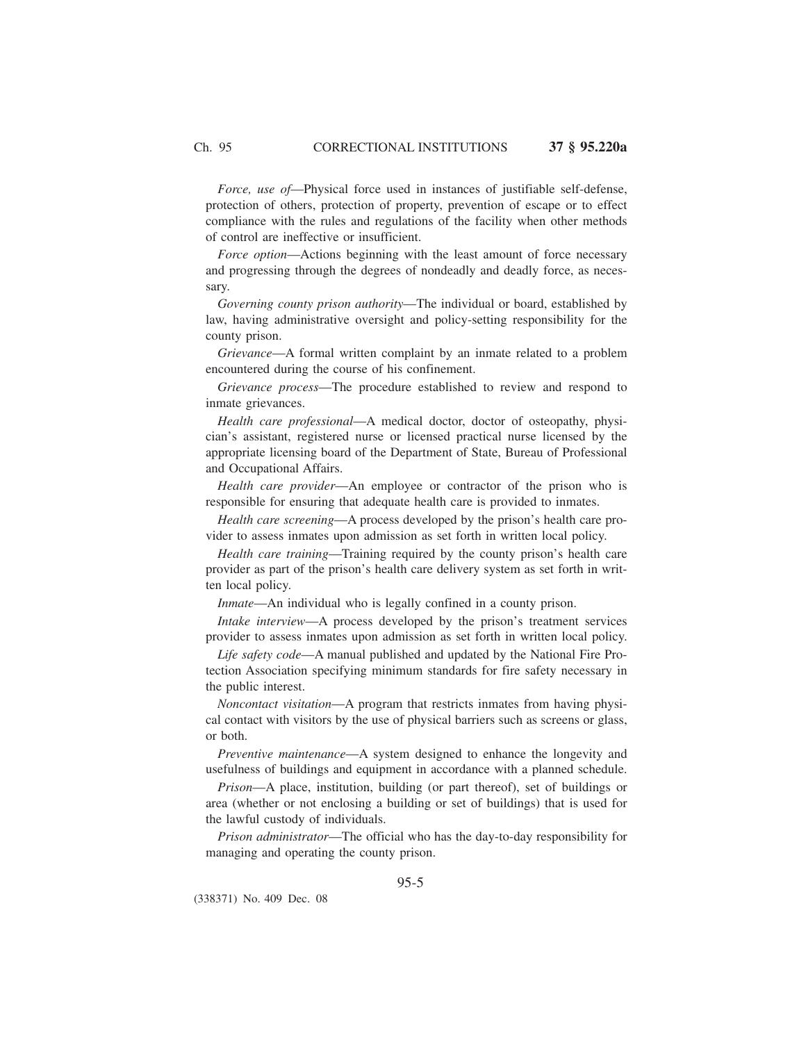*Force, use of*—Physical force used in instances of justifiable self-defense, protection of others, protection of property, prevention of escape or to effect compliance with the rules and regulations of the facility when other methods of control are ineffective or insufficient.

*Force option*—Actions beginning with the least amount of force necessary and progressing through the degrees of nondeadly and deadly force, as necessary.

*Governing county prison authority*—The individual or board, established by law, having administrative oversight and policy-setting responsibility for the county prison.

*Grievance*—A formal written complaint by an inmate related to a problem encountered during the course of his confinement.

*Grievance process*—The procedure established to review and respond to inmate grievances.

*Health care professional*—A medical doctor, doctor of osteopathy, physician's assistant, registered nurse or licensed practical nurse licensed by the appropriate licensing board of the Department of State, Bureau of Professional and Occupational Affairs.

*Health care provider*—An employee or contractor of the prison who is responsible for ensuring that adequate health care is provided to inmates.

*Health care screening*—A process developed by the prison's health care provider to assess inmates upon admission as set forth in written local policy.

*Health care training*—Training required by the county prison's health care provider as part of the prison's health care delivery system as set forth in written local policy.

*Inmate*—An individual who is legally confined in a county prison.

*Intake interview*—A process developed by the prison's treatment services provider to assess inmates upon admission as set forth in written local policy.

*Life safety code*—A manual published and updated by the National Fire Protection Association specifying minimum standards for fire safety necessary in the public interest.

*Noncontact visitation*—A program that restricts inmates from having physical contact with visitors by the use of physical barriers such as screens or glass, or both.

*Preventive maintenance*—A system designed to enhance the longevity and usefulness of buildings and equipment in accordance with a planned schedule.

*Prison*—A place, institution, building (or part thereof), set of buildings or area (whether or not enclosing a building or set of buildings) that is used for the lawful custody of individuals.

*Prison administrator*—The official who has the day-to-day responsibility for managing and operating the county prison.

(338371) No. 409 Dec. 08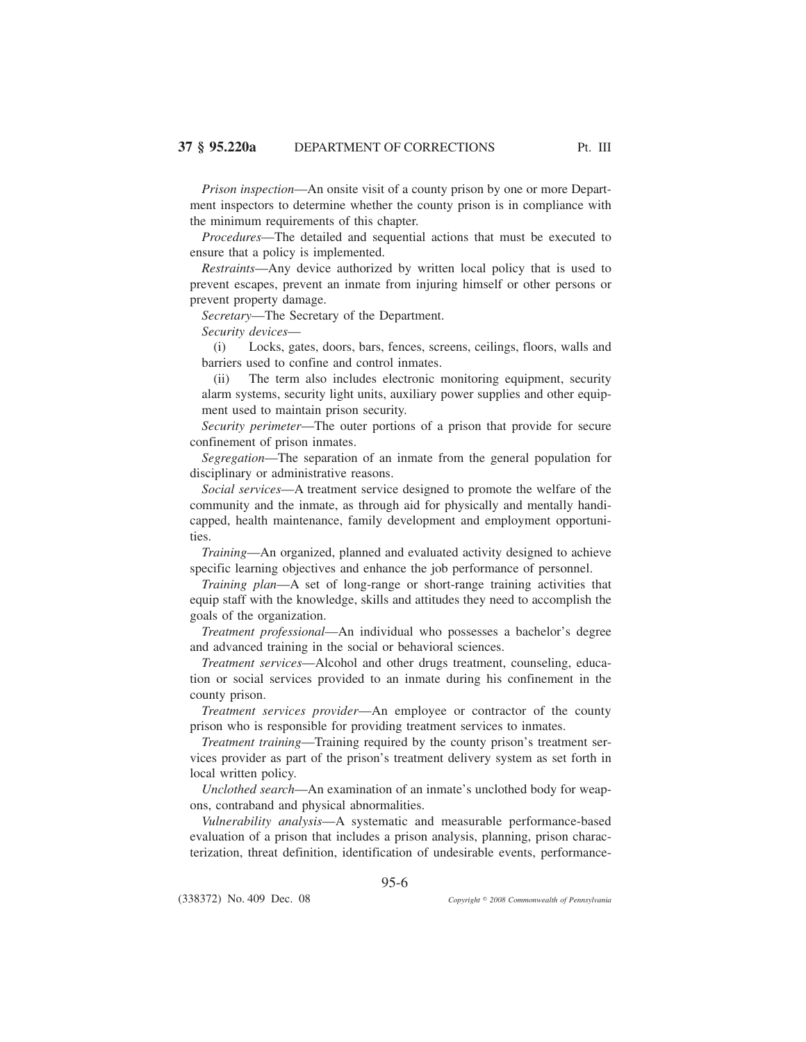*Prison inspection*—An onsite visit of a county prison by one or more Department inspectors to determine whether the county prison is in compliance with the minimum requirements of this chapter.

*Procedures*—The detailed and sequential actions that must be executed to ensure that a policy is implemented.

*Restraints*—Any device authorized by written local policy that is used to prevent escapes, prevent an inmate from injuring himself or other persons or prevent property damage.

*Secretary*—The Secretary of the Department.

*Security devices*—

(i) Locks, gates, doors, bars, fences, screens, ceilings, floors, walls and barriers used to confine and control inmates.

(ii) The term also includes electronic monitoring equipment, security alarm systems, security light units, auxiliary power supplies and other equipment used to maintain prison security.

*Security perimeter*—The outer portions of a prison that provide for secure confinement of prison inmates.

*Segregation*—The separation of an inmate from the general population for disciplinary or administrative reasons.

*Social services*—A treatment service designed to promote the welfare of the community and the inmate, as through aid for physically and mentally handicapped, health maintenance, family development and employment opportunities.

*Training*—An organized, planned and evaluated activity designed to achieve specific learning objectives and enhance the job performance of personnel.

*Training plan*—A set of long-range or short-range training activities that equip staff with the knowledge, skills and attitudes they need to accomplish the goals of the organization.

*Treatment professional*—An individual who possesses a bachelor's degree and advanced training in the social or behavioral sciences.

*Treatment services*—Alcohol and other drugs treatment, counseling, education or social services provided to an inmate during his confinement in the county prison.

*Treatment services provider*—An employee or contractor of the county prison who is responsible for providing treatment services to inmates.

*Treatment training*—Training required by the county prison's treatment services provider as part of the prison's treatment delivery system as set forth in local written policy.

*Unclothed search*—An examination of an inmate's unclothed body for weapons, contraband and physical abnormalities.

*Vulnerability analysis*—A systematic and measurable performance-based evaluation of a prison that includes a prison analysis, planning, prison characterization, threat definition, identification of undesirable events, performance-

95-6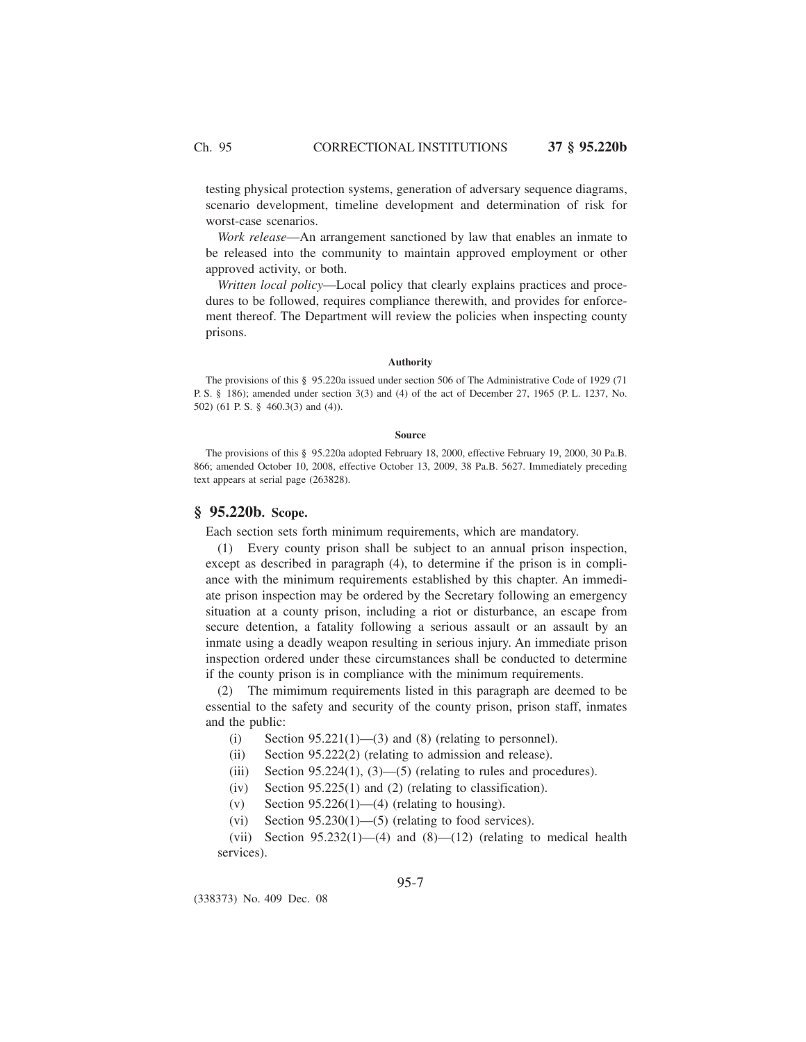testing physical protection systems, generation of adversary sequence diagrams, scenario development, timeline development and determination of risk for worst-case scenarios.

*Work release*—An arrangement sanctioned by law that enables an inmate to be released into the community to maintain approved employment or other approved activity, or both.

*Written local policy*—Local policy that clearly explains practices and procedures to be followed, requires compliance therewith, and provides for enforcement thereof. The Department will review the policies when inspecting county prisons.

#### **Authority**

The provisions of this § 95.220a issued under section 506 of The Administrative Code of 1929 (71 P. S. § 186); amended under section 3(3) and (4) of the act of December 27, 1965 (P. L. 1237, No. 502) (61 P. S. § 460.3(3) and (4)).

#### **Source**

The provisions of this § 95.220a adopted February 18, 2000, effective February 19, 2000, 30 Pa.B. 866; amended October 10, 2008, effective October 13, 2009, 38 Pa.B. 5627. Immediately preceding text appears at serial page (263828).

## **§ 95.220b. Scope.**

Each section sets forth minimum requirements, which are mandatory.

(1) Every county prison shall be subject to an annual prison inspection, except as described in paragraph (4), to determine if the prison is in compliance with the minimum requirements established by this chapter. An immediate prison inspection may be ordered by the Secretary following an emergency situation at a county prison, including a riot or disturbance, an escape from secure detention, a fatality following a serious assault or an assault by an inmate using a deadly weapon resulting in serious injury. An immediate prison inspection ordered under these circumstances shall be conducted to determine if the county prison is in compliance with the minimum requirements.

(2) The mimimum requirements listed in this paragraph are deemed to be essential to the safety and security of the county prison, prison staff, inmates and the public:

- (i) Section  $95.221(1)$ —(3) and (8) (relating to personnel).
- (ii) Section 95.222(2) (relating to admission and release).
- (iii) Section  $95.224(1)$ ,  $(3)$ — $(5)$  (relating to rules and procedures).
- (iv) Section 95.225(1) and (2) (relating to classification).
- (v) Section  $95.226(1)$ —(4) (relating to housing).
- (vi) Section  $95.230(1)$ —(5) (relating to food services).

(vii) Section  $95.232(1)$ —(4) and  $(8)$ — $(12)$  (relating to medical health services).

(338373) No. 409 Dec. 08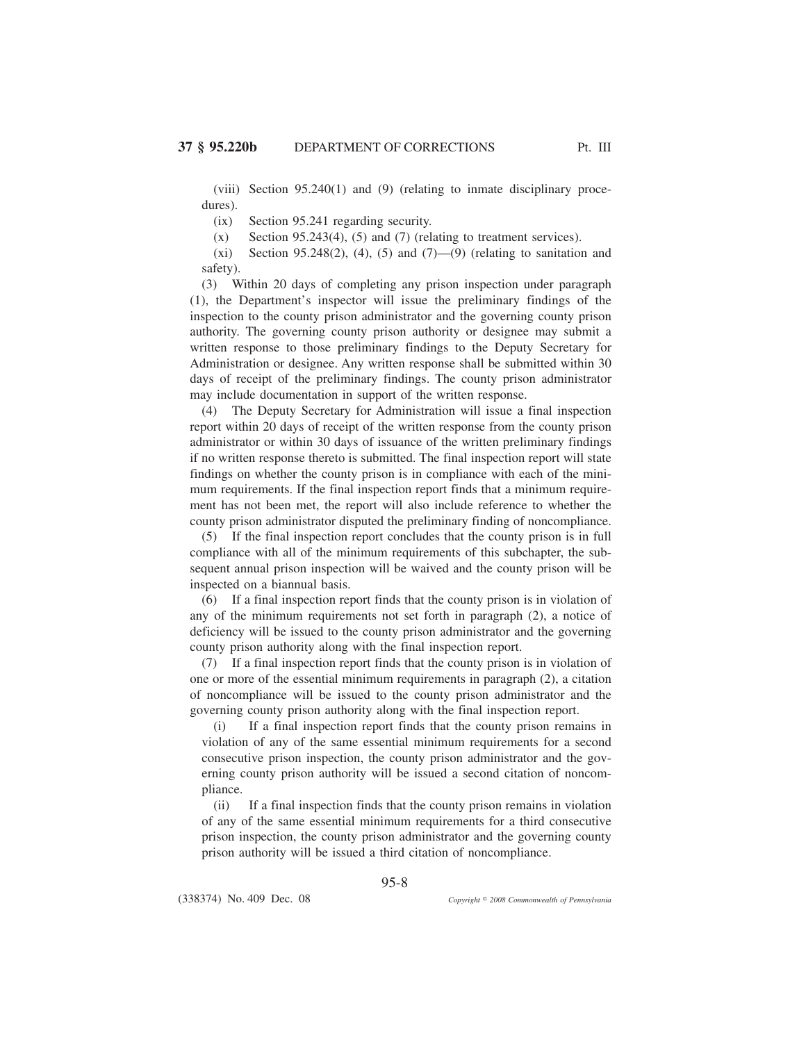(viii) Section 95.240(1) and (9) (relating to inmate disciplinary procedures).

(ix) Section 95.241 regarding security.

 $(x)$  Section 95.243(4), (5) and (7) (relating to treatment services).

(xi) Section 95.248(2), (4), (5) and  $(7)$ —(9) (relating to sanitation and safety).

(3) Within 20 days of completing any prison inspection under paragraph (1), the Department's inspector will issue the preliminary findings of the inspection to the county prison administrator and the governing county prison authority. The governing county prison authority or designee may submit a written response to those preliminary findings to the Deputy Secretary for Administration or designee. Any written response shall be submitted within 30 days of receipt of the preliminary findings. The county prison administrator may include documentation in support of the written response.

(4) The Deputy Secretary for Administration will issue a final inspection report within 20 days of receipt of the written response from the county prison administrator or within 30 days of issuance of the written preliminary findings if no written response thereto is submitted. The final inspection report will state findings on whether the county prison is in compliance with each of the minimum requirements. If the final inspection report finds that a minimum requirement has not been met, the report will also include reference to whether the county prison administrator disputed the preliminary finding of noncompliance.

(5) If the final inspection report concludes that the county prison is in full compliance with all of the minimum requirements of this subchapter, the subsequent annual prison inspection will be waived and the county prison will be inspected on a biannual basis.

(6) If a final inspection report finds that the county prison is in violation of any of the minimum requirements not set forth in paragraph (2), a notice of deficiency will be issued to the county prison administrator and the governing county prison authority along with the final inspection report.

(7) If a final inspection report finds that the county prison is in violation of one or more of the essential minimum requirements in paragraph (2), a citation of noncompliance will be issued to the county prison administrator and the governing county prison authority along with the final inspection report.

(i) If a final inspection report finds that the county prison remains in violation of any of the same essential minimum requirements for a second consecutive prison inspection, the county prison administrator and the governing county prison authority will be issued a second citation of noncompliance.

(ii) If a final inspection finds that the county prison remains in violation of any of the same essential minimum requirements for a third consecutive prison inspection, the county prison administrator and the governing county prison authority will be issued a third citation of noncompliance.

95-8

(338374) No. 409 Dec. 08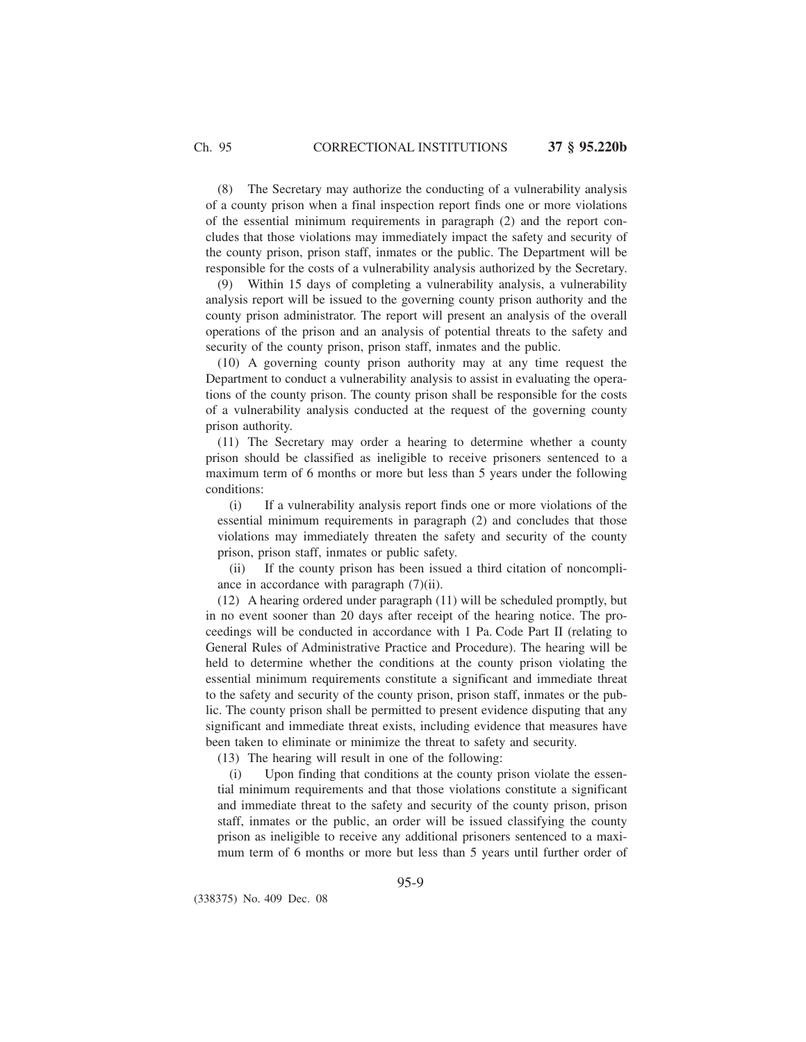(8) The Secretary may authorize the conducting of a vulnerability analysis of a county prison when a final inspection report finds one or more violations of the essential minimum requirements in paragraph (2) and the report concludes that those violations may immediately impact the safety and security of the county prison, prison staff, inmates or the public. The Department will be responsible for the costs of a vulnerability analysis authorized by the Secretary.

(9) Within 15 days of completing a vulnerability analysis, a vulnerability analysis report will be issued to the governing county prison authority and the county prison administrator. The report will present an analysis of the overall operations of the prison and an analysis of potential threats to the safety and security of the county prison, prison staff, inmates and the public.

(10) A governing county prison authority may at any time request the Department to conduct a vulnerability analysis to assist in evaluating the operations of the county prison. The county prison shall be responsible for the costs of a vulnerability analysis conducted at the request of the governing county prison authority.

(11) The Secretary may order a hearing to determine whether a county prison should be classified as ineligible to receive prisoners sentenced to a maximum term of 6 months or more but less than 5 years under the following conditions:

(i) If a vulnerability analysis report finds one or more violations of the essential minimum requirements in paragraph (2) and concludes that those violations may immediately threaten the safety and security of the county prison, prison staff, inmates or public safety.

(ii) If the county prison has been issued a third citation of noncompliance in accordance with paragraph (7)(ii).

(12) A hearing ordered under paragraph (11) will be scheduled promptly, but in no event sooner than 20 days after receipt of the hearing notice. The proceedings will be conducted in accordance with 1 Pa. Code Part II (relating to General Rules of Administrative Practice and Procedure). The hearing will be held to determine whether the conditions at the county prison violating the essential minimum requirements constitute a significant and immediate threat to the safety and security of the county prison, prison staff, inmates or the public. The county prison shall be permitted to present evidence disputing that any significant and immediate threat exists, including evidence that measures have been taken to eliminate or minimize the threat to safety and security.

(13) The hearing will result in one of the following:

(i) Upon finding that conditions at the county prison violate the essential minimum requirements and that those violations constitute a significant and immediate threat to the safety and security of the county prison, prison staff, inmates or the public, an order will be issued classifying the county prison as ineligible to receive any additional prisoners sentenced to a maximum term of 6 months or more but less than 5 years until further order of

(338375) No. 409 Dec. 08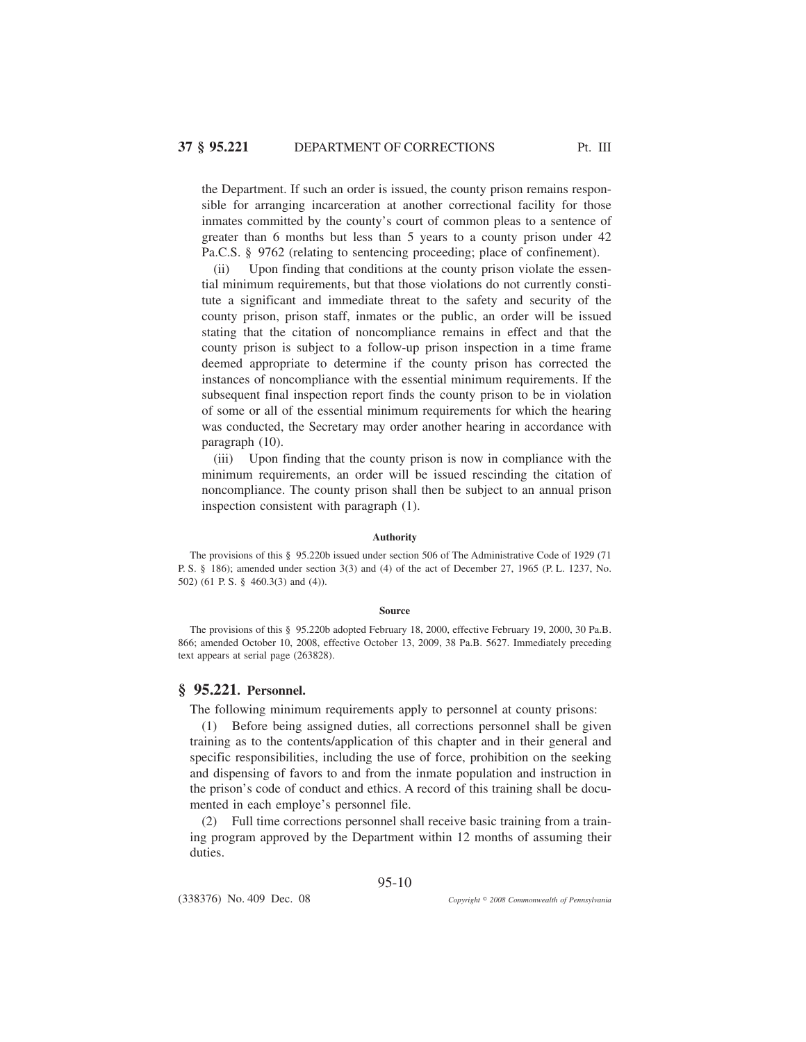the Department. If such an order is issued, the county prison remains responsible for arranging incarceration at another correctional facility for those inmates committed by the county's court of common pleas to a sentence of greater than 6 months but less than 5 years to a county prison under 42 Pa.C.S. § 9762 (relating to sentencing proceeding; place of confinement).

(ii) Upon finding that conditions at the county prison violate the essential minimum requirements, but that those violations do not currently constitute a significant and immediate threat to the safety and security of the county prison, prison staff, inmates or the public, an order will be issued stating that the citation of noncompliance remains in effect and that the county prison is subject to a follow-up prison inspection in a time frame deemed appropriate to determine if the county prison has corrected the instances of noncompliance with the essential minimum requirements. If the subsequent final inspection report finds the county prison to be in violation of some or all of the essential minimum requirements for which the hearing was conducted, the Secretary may order another hearing in accordance with paragraph (10).

(iii) Upon finding that the county prison is now in compliance with the minimum requirements, an order will be issued rescinding the citation of noncompliance. The county prison shall then be subject to an annual prison inspection consistent with paragraph (1).

### **Authority**

The provisions of this § 95.220b issued under section 506 of The Administrative Code of 1929 (71 P. S. § 186); amended under section 3(3) and (4) of the act of December 27, 1965 (P. L. 1237, No. 502) (61 P. S. § 460.3(3) and (4)).

#### **Source**

The provisions of this § 95.220b adopted February 18, 2000, effective February 19, 2000, 30 Pa.B. 866; amended October 10, 2008, effective October 13, 2009, 38 Pa.B. 5627. Immediately preceding text appears at serial page (263828).

## **§ 95.221. Personnel.**

The following minimum requirements apply to personnel at county prisons:

(1) Before being assigned duties, all corrections personnel shall be given training as to the contents/application of this chapter and in their general and specific responsibilities, including the use of force, prohibition on the seeking and dispensing of favors to and from the inmate population and instruction in the prison's code of conduct and ethics. A record of this training shall be documented in each employe's personnel file.

(2) Full time corrections personnel shall receive basic training from a training program approved by the Department within 12 months of assuming their duties.

95-10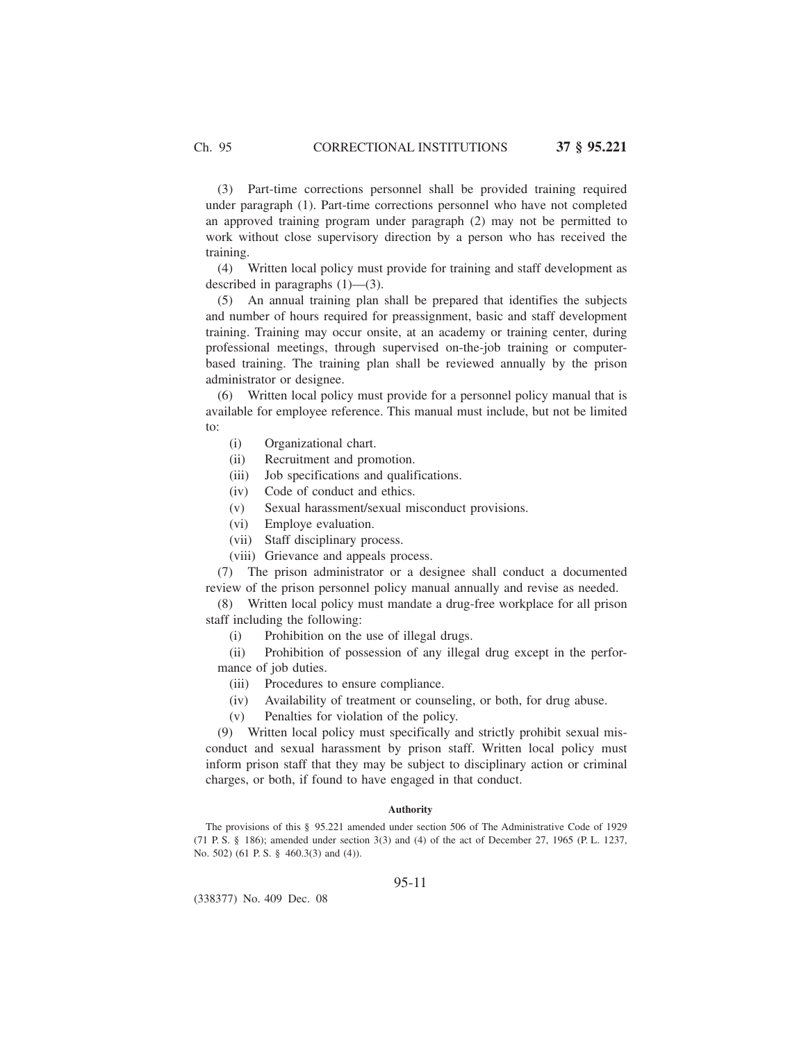(3) Part-time corrections personnel shall be provided training required under paragraph (1). Part-time corrections personnel who have not completed an approved training program under paragraph (2) may not be permitted to work without close supervisory direction by a person who has received the training.

(4) Written local policy must provide for training and staff development as described in paragraphs (1)—(3).

(5) An annual training plan shall be prepared that identifies the subjects and number of hours required for preassignment, basic and staff development training. Training may occur onsite, at an academy or training center, during professional meetings, through supervised on-the-job training or computerbased training. The training plan shall be reviewed annually by the prison administrator or designee.

(6) Written local policy must provide for a personnel policy manual that is available for employee reference. This manual must include, but not be limited to:

- (i) Organizational chart.
- (ii) Recruitment and promotion.
- (iii) Job specifications and qualifications.
- (iv) Code of conduct and ethics.
- (v) Sexual harassment/sexual misconduct provisions.
- (vi) Employe evaluation.
- (vii) Staff disciplinary process.
- (viii) Grievance and appeals process.

(7) The prison administrator or a designee shall conduct a documented review of the prison personnel policy manual annually and revise as needed.

(8) Written local policy must mandate a drug-free workplace for all prison staff including the following:

(i) Prohibition on the use of illegal drugs.

(ii) Prohibition of possession of any illegal drug except in the performance of job duties.

- (iii) Procedures to ensure compliance.
- (iv) Availability of treatment or counseling, or both, for drug abuse.
- (v) Penalties for violation of the policy.

(9) Written local policy must specifically and strictly prohibit sexual misconduct and sexual harassment by prison staff. Written local policy must inform prison staff that they may be subject to disciplinary action or criminal charges, or both, if found to have engaged in that conduct.

## **Authority**

The provisions of this § 95.221 amended under section 506 of The Administrative Code of 1929 (71 P. S. § 186); amended under section 3(3) and (4) of the act of December 27, 1965 (P. L. 1237, No. 502) (61 P. S. § 460.3(3) and (4)).

## 95-11

(338377) No. 409 Dec. 08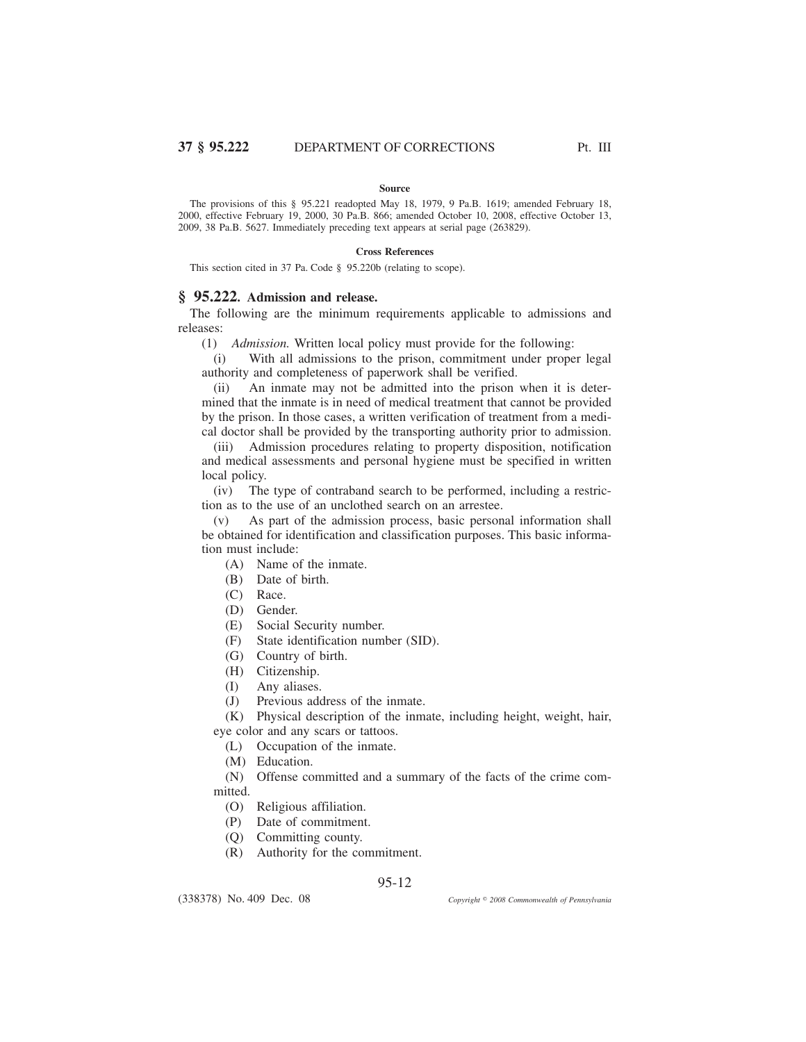#### **Source**

The provisions of this § 95.221 readopted May 18, 1979, 9 Pa.B. 1619; amended February 18, 2000, effective February 19, 2000, 30 Pa.B. 866; amended October 10, 2008, effective October 13, 2009, 38 Pa.B. 5627. Immediately preceding text appears at serial page (263829).

## **Cross References**

This section cited in 37 Pa. Code § 95.220b (relating to scope).

# **§ 95.222. Admission and release.**

The following are the minimum requirements applicable to admissions and releases:

(1) *Admission.* Written local policy must provide for the following:

(i) With all admissions to the prison, commitment under proper legal authority and completeness of paperwork shall be verified.

(ii) An inmate may not be admitted into the prison when it is determined that the inmate is in need of medical treatment that cannot be provided by the prison. In those cases, a written verification of treatment from a medical doctor shall be provided by the transporting authority prior to admission.

(iii) Admission procedures relating to property disposition, notification and medical assessments and personal hygiene must be specified in written local policy.

(iv) The type of contraband search to be performed, including a restriction as to the use of an unclothed search on an arrestee.

(v) As part of the admission process, basic personal information shall be obtained for identification and classification purposes. This basic information must include:

- (A) Name of the inmate.
- (B) Date of birth.
- (C) Race.
- (D) Gender.
- (E) Social Security number.
- (F) State identification number (SID).
- (G) Country of birth.
- (H) Citizenship.
- (I) Any aliases.
- (J) Previous address of the inmate.

(K) Physical description of the inmate, including height, weight, hair, eye color and any scars or tattoos.

- (L) Occupation of the inmate.
- (M) Education.

(N) Offense committed and a summary of the facts of the crime committed.

- (O) Religious affiliation.
- (P) Date of commitment.
- (Q) Committing county.
- (R) Authority for the commitment.

## 95-12

(338378) No. 409 Dec. 08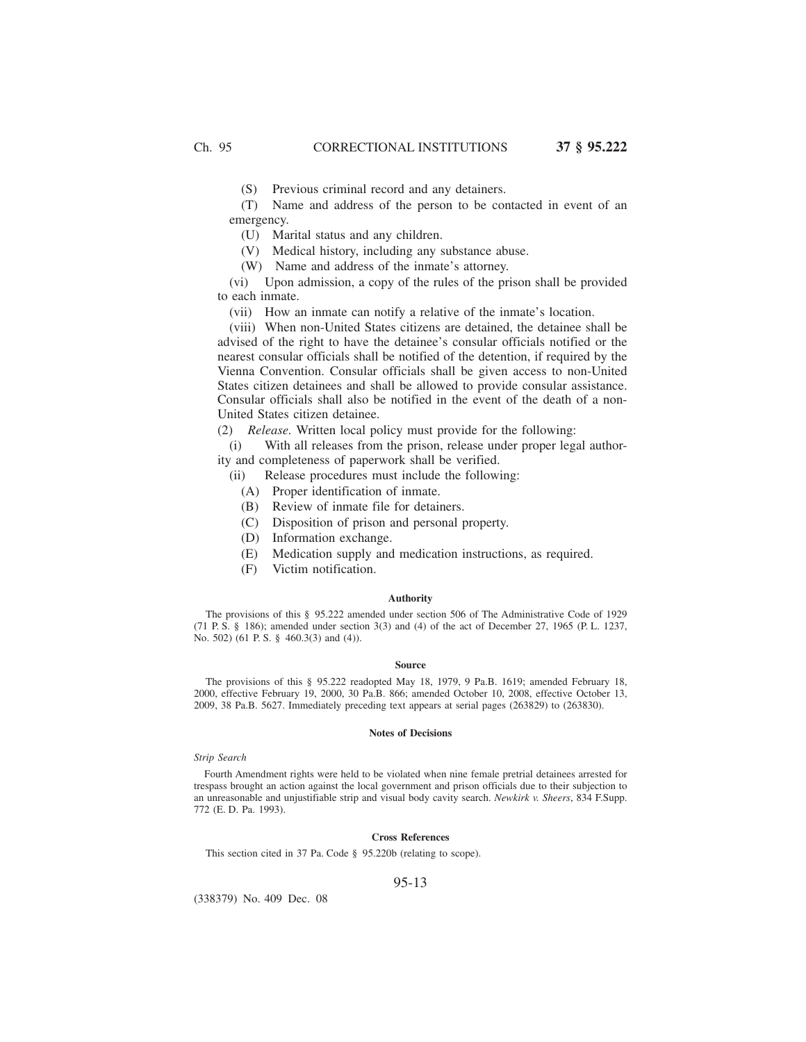(S) Previous criminal record and any detainers.

(T) Name and address of the person to be contacted in event of an emergency.

(U) Marital status and any children.

(V) Medical history, including any substance abuse.

(W) Name and address of the inmate's attorney.

(vi) Upon admission, a copy of the rules of the prison shall be provided to each inmate.

(vii) How an inmate can notify a relative of the inmate's location.

(viii) When non-United States citizens are detained, the detainee shall be advised of the right to have the detainee's consular officials notified or the nearest consular officials shall be notified of the detention, if required by the Vienna Convention. Consular officials shall be given access to non-United States citizen detainees and shall be allowed to provide consular assistance. Consular officials shall also be notified in the event of the death of a non-United States citizen detainee.

(2) *Release.* Written local policy must provide for the following:

(i) With all releases from the prison, release under proper legal authority and completeness of paperwork shall be verified.

- (ii) Release procedures must include the following:
	- (A) Proper identification of inmate.
	- (B) Review of inmate file for detainers.
	- (C) Disposition of prison and personal property.
	- (D) Information exchange.
	- (E) Medication supply and medication instructions, as required.
	- (F) Victim notification.

## **Authority**

The provisions of this § 95.222 amended under section 506 of The Administrative Code of 1929 (71 P. S. § 186); amended under section 3(3) and (4) of the act of December 27, 1965 (P. L. 1237, No. 502) (61 P. S. § 460.3(3) and (4)).

#### **Source**

The provisions of this § 95.222 readopted May 18, 1979, 9 Pa.B. 1619; amended February 18, 2000, effective February 19, 2000, 30 Pa.B. 866; amended October 10, 2008, effective October 13, 2009, 38 Pa.B. 5627. Immediately preceding text appears at serial pages (263829) to (263830).

### **Notes of Decisions**

### *Strip Search*

Fourth Amendment rights were held to be violated when nine female pretrial detainees arrested for trespass brought an action against the local government and prison officials due to their subjection to an unreasonable and unjustifiable strip and visual body cavity search. *Newkirk v. Sheers*, 834 F.Supp. 772 (E. D. Pa. 1993).

## **Cross References**

This section cited in 37 Pa. Code § 95.220b (relating to scope).

### 95-13

(338379) No. 409 Dec. 08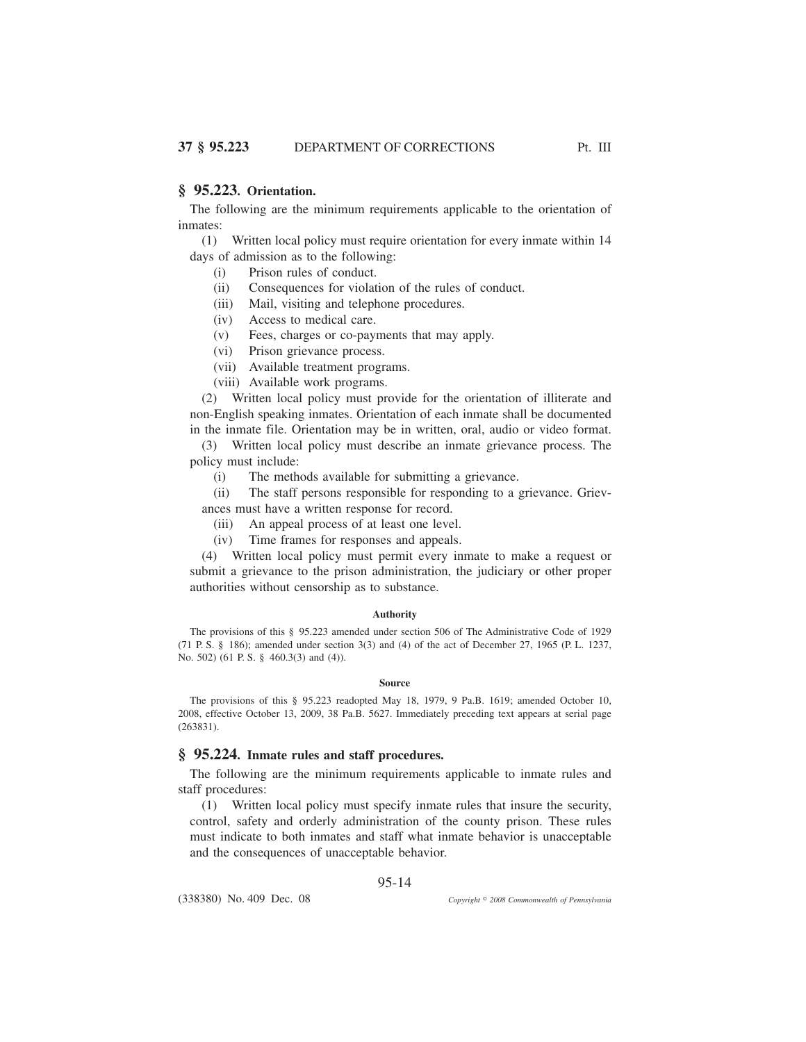## **§ 95.223. Orientation.**

The following are the minimum requirements applicable to the orientation of inmates:

(1) Written local policy must require orientation for every inmate within 14 days of admission as to the following:

- (i) Prison rules of conduct.
- (ii) Consequences for violation of the rules of conduct.
- (iii) Mail, visiting and telephone procedures.
- (iv) Access to medical care.
- (v) Fees, charges or co-payments that may apply.
- (vi) Prison grievance process.
- (vii) Available treatment programs.
- (viii) Available work programs.

(2) Written local policy must provide for the orientation of illiterate and non-English speaking inmates. Orientation of each inmate shall be documented in the inmate file. Orientation may be in written, oral, audio or video format.

(3) Written local policy must describe an inmate grievance process. The policy must include:

(i) The methods available for submitting a grievance.

(ii) The staff persons responsible for responding to a grievance. Grievances must have a written response for record.

- (iii) An appeal process of at least one level.
- (iv) Time frames for responses and appeals.

(4) Written local policy must permit every inmate to make a request or submit a grievance to the prison administration, the judiciary or other proper authorities without censorship as to substance.

### **Authority**

The provisions of this § 95.223 amended under section 506 of The Administrative Code of 1929 (71 P. S. § 186); amended under section 3(3) and (4) of the act of December 27, 1965 (P. L. 1237, No. 502) (61 P. S. § 460.3(3) and (4)).

#### **Source**

The provisions of this § 95.223 readopted May 18, 1979, 9 Pa.B. 1619; amended October 10, 2008, effective October 13, 2009, 38 Pa.B. 5627. Immediately preceding text appears at serial page (263831).

## **§ 95.224. Inmate rules and staff procedures.**

The following are the minimum requirements applicable to inmate rules and staff procedures:

(1) Written local policy must specify inmate rules that insure the security, control, safety and orderly administration of the county prison. These rules must indicate to both inmates and staff what inmate behavior is unacceptable and the consequences of unacceptable behavior.

95-14

(338380) No. 409 Dec. 08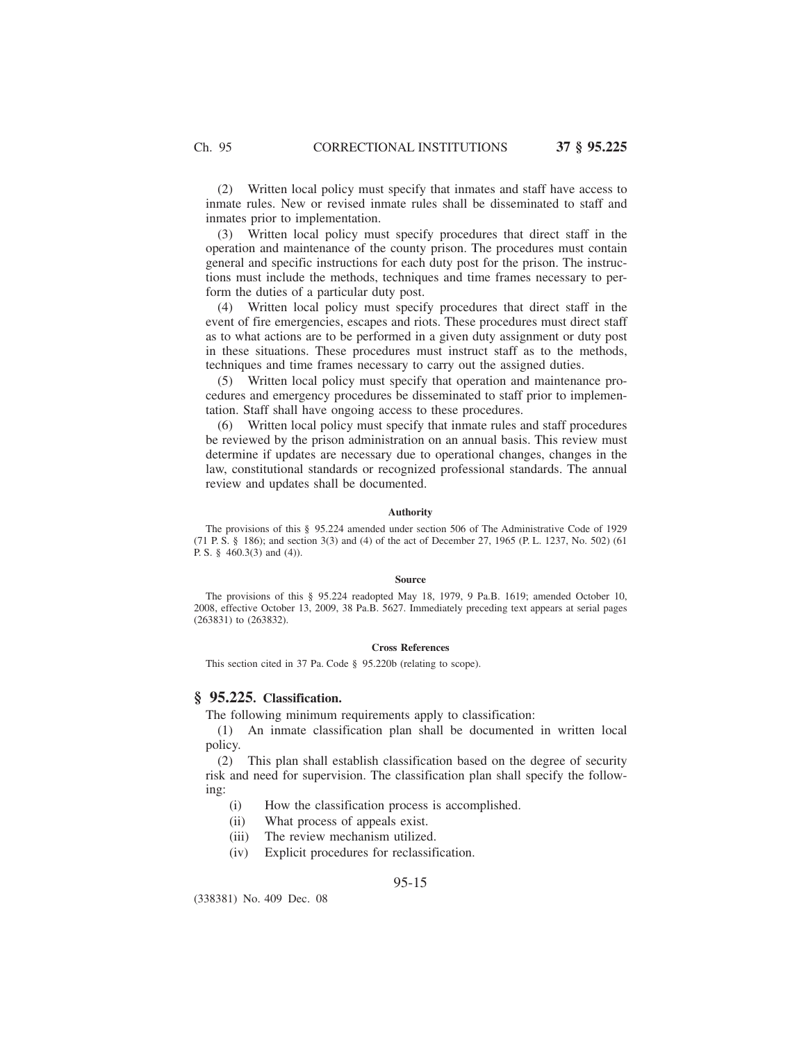(2) Written local policy must specify that inmates and staff have access to inmate rules. New or revised inmate rules shall be disseminated to staff and inmates prior to implementation.

(3) Written local policy must specify procedures that direct staff in the operation and maintenance of the county prison. The procedures must contain general and specific instructions for each duty post for the prison. The instructions must include the methods, techniques and time frames necessary to perform the duties of a particular duty post.

(4) Written local policy must specify procedures that direct staff in the event of fire emergencies, escapes and riots. These procedures must direct staff as to what actions are to be performed in a given duty assignment or duty post in these situations. These procedures must instruct staff as to the methods, techniques and time frames necessary to carry out the assigned duties.

(5) Written local policy must specify that operation and maintenance procedures and emergency procedures be disseminated to staff prior to implementation. Staff shall have ongoing access to these procedures.

(6) Written local policy must specify that inmate rules and staff procedures be reviewed by the prison administration on an annual basis. This review must determine if updates are necessary due to operational changes, changes in the law, constitutional standards or recognized professional standards. The annual review and updates shall be documented.

#### **Authority**

The provisions of this § 95.224 amended under section 506 of The Administrative Code of 1929 (71 P. S. § 186); and section 3(3) and (4) of the act of December 27, 1965 (P. L. 1237, No. 502) (61 P. S. § 460.3(3) and (4)).

#### **Source**

The provisions of this § 95.224 readopted May 18, 1979, 9 Pa.B. 1619; amended October 10, 2008, effective October 13, 2009, 38 Pa.B. 5627. Immediately preceding text appears at serial pages (263831) to (263832).

#### **Cross References**

This section cited in 37 Pa. Code § 95.220b (relating to scope).

## **§ 95.225. Classification.**

The following minimum requirements apply to classification:

(1) An inmate classification plan shall be documented in written local policy.

(2) This plan shall establish classification based on the degree of security risk and need for supervision. The classification plan shall specify the following:

- (i) How the classification process is accomplished.
- (ii) What process of appeals exist.
- (iii) The review mechanism utilized.
- (iv) Explicit procedures for reclassification.

(338381) No. 409 Dec. 08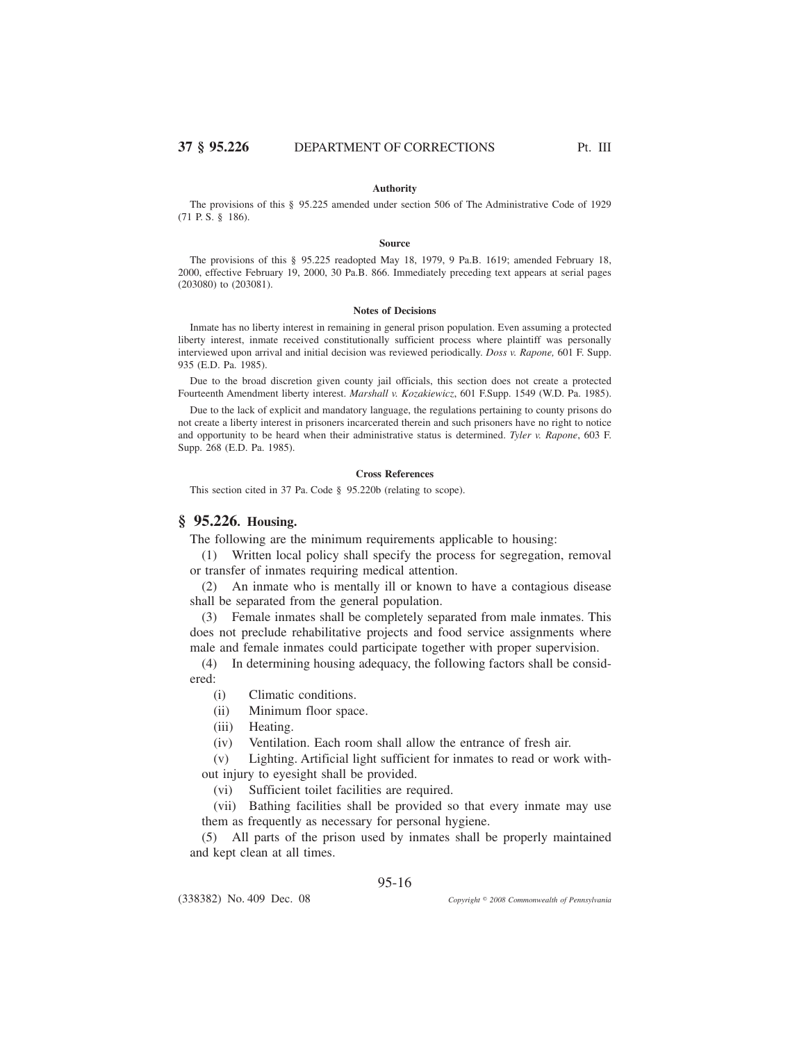## **Authority**

The provisions of this § 95.225 amended under section 506 of The Administrative Code of 1929 (71 P. S. § 186).

#### **Source**

The provisions of this § 95.225 readopted May 18, 1979, 9 Pa.B. 1619; amended February 18, 2000, effective February 19, 2000, 30 Pa.B. 866. Immediately preceding text appears at serial pages (203080) to (203081).

#### **Notes of Decisions**

Inmate has no liberty interest in remaining in general prison population. Even assuming a protected liberty interest, inmate received constitutionally sufficient process where plaintiff was personally interviewed upon arrival and initial decision was reviewed periodically. *Doss v. Rapone,* 601 F. Supp. 935 (E.D. Pa. 1985).

Due to the broad discretion given county jail officials, this section does not create a protected Fourteenth Amendment liberty interest. *Marshall v. Kozakiewicz*, 601 F.Supp. 1549 (W.D. Pa. 1985).

Due to the lack of explicit and mandatory language, the regulations pertaining to county prisons do not create a liberty interest in prisoners incarcerated therein and such prisoners have no right to notice and opportunity to be heard when their administrative status is determined. *Tyler v. Rapone*, 603 F. Supp. 268 (E.D. Pa. 1985).

## **Cross References**

This section cited in 37 Pa. Code § 95.220b (relating to scope).

# **§ 95.226. Housing.**

The following are the minimum requirements applicable to housing:

(1) Written local policy shall specify the process for segregation, removal or transfer of inmates requiring medical attention.

(2) An inmate who is mentally ill or known to have a contagious disease shall be separated from the general population.

(3) Female inmates shall be completely separated from male inmates. This does not preclude rehabilitative projects and food service assignments where male and female inmates could participate together with proper supervision.

(4) In determining housing adequacy, the following factors shall be considered:

- (i) Climatic conditions.
- (ii) Minimum floor space.

(iii) Heating.

(iv) Ventilation. Each room shall allow the entrance of fresh air.

(v) Lighting. Artificial light sufficient for inmates to read or work without injury to eyesight shall be provided.

(vi) Sufficient toilet facilities are required.

(vii) Bathing facilities shall be provided so that every inmate may use them as frequently as necessary for personal hygiene.

(5) All parts of the prison used by inmates shall be properly maintained and kept clean at all times.

(338382) No. 409 Dec. 08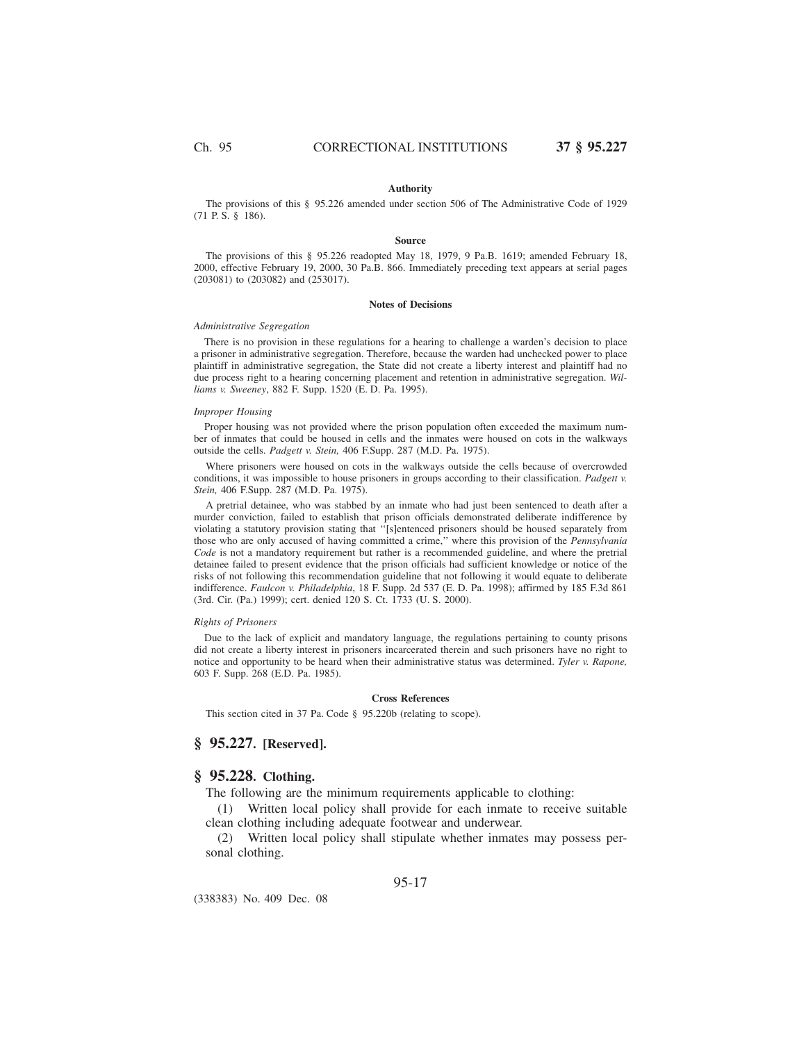### **Authority**

The provisions of this § 95.226 amended under section 506 of The Administrative Code of 1929 (71 P. S. § 186).

### **Source**

The provisions of this § 95.226 readopted May 18, 1979, 9 Pa.B. 1619; amended February 18, 2000, effective February 19, 2000, 30 Pa.B. 866. Immediately preceding text appears at serial pages (203081) to (203082) and (253017).

#### **Notes of Decisions**

#### *Administrative Segregation*

There is no provision in these regulations for a hearing to challenge a warden's decision to place a prisoner in administrative segregation. Therefore, because the warden had unchecked power to place plaintiff in administrative segregation, the State did not create a liberty interest and plaintiff had no due process right to a hearing concerning placement and retention in administrative segregation. *Williams v. Sweeney*, 882 F. Supp. 1520 (E. D. Pa. 1995).

#### *Improper Housing*

Proper housing was not provided where the prison population often exceeded the maximum number of inmates that could be housed in cells and the inmates were housed on cots in the walkways outside the cells. *Padgett v. Stein,* 406 F.Supp. 287 (M.D. Pa. 1975).

Where prisoners were housed on cots in the walkways outside the cells because of overcrowded conditions, it was impossible to house prisoners in groups according to their classification. *Padgett v. Stein,* 406 F.Supp. 287 (M.D. Pa. 1975).

A pretrial detainee, who was stabbed by an inmate who had just been sentenced to death after a murder conviction, failed to establish that prison officials demonstrated deliberate indifference by violating a statutory provision stating that ''[s]entenced prisoners should be housed separately from those who are only accused of having committed a crime,'' where this provision of the *Pennsylvania Code* is not a mandatory requirement but rather is a recommended guideline, and where the pretrial detainee failed to present evidence that the prison officials had sufficient knowledge or notice of the risks of not following this recommendation guideline that not following it would equate to deliberate indifference. *Faulcon v. Philadelphia*, 18 F. Supp. 2d 537 (E. D. Pa. 1998); affirmed by 185 F.3d 861 (3rd. Cir. (Pa.) 1999); cert. denied 120 S. Ct. 1733 (U. S. 2000).

### *Rights of Prisoners*

Due to the lack of explicit and mandatory language, the regulations pertaining to county prisons did not create a liberty interest in prisoners incarcerated therein and such prisoners have no right to notice and opportunity to be heard when their administrative status was determined. *Tyler v. Rapone,* 603 F. Supp. 268 (E.D. Pa. 1985).

#### **Cross References**

This section cited in 37 Pa. Code § 95.220b (relating to scope).

# **§ 95.227. [Reserved].**

# **§ 95.228. Clothing.**

The following are the minimum requirements applicable to clothing:

(1) Written local policy shall provide for each inmate to receive suitable clean clothing including adequate footwear and underwear.

(2) Written local policy shall stipulate whether inmates may possess personal clothing.

## 95-17

(338383) No. 409 Dec. 08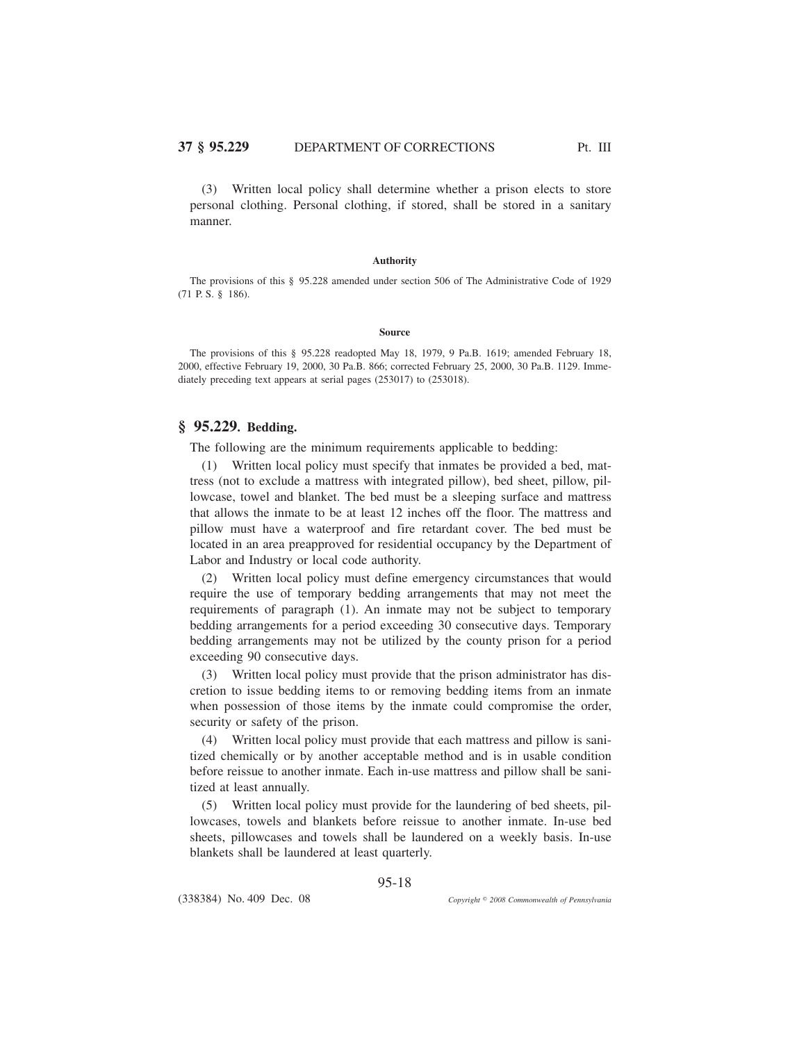(3) Written local policy shall determine whether a prison elects to store personal clothing. Personal clothing, if stored, shall be stored in a sanitary manner.

## **Authority**

The provisions of this § 95.228 amended under section 506 of The Administrative Code of 1929 (71 P. S. § 186).

#### **Source**

The provisions of this § 95.228 readopted May 18, 1979, 9 Pa.B. 1619; amended February 18, 2000, effective February 19, 2000, 30 Pa.B. 866; corrected February 25, 2000, 30 Pa.B. 1129. Immediately preceding text appears at serial pages (253017) to (253018).

# **§ 95.229. Bedding.**

The following are the minimum requirements applicable to bedding:

(1) Written local policy must specify that inmates be provided a bed, mattress (not to exclude a mattress with integrated pillow), bed sheet, pillow, pillowcase, towel and blanket. The bed must be a sleeping surface and mattress that allows the inmate to be at least 12 inches off the floor. The mattress and pillow must have a waterproof and fire retardant cover. The bed must be located in an area preapproved for residential occupancy by the Department of Labor and Industry or local code authority.

(2) Written local policy must define emergency circumstances that would require the use of temporary bedding arrangements that may not meet the requirements of paragraph (1). An inmate may not be subject to temporary bedding arrangements for a period exceeding 30 consecutive days. Temporary bedding arrangements may not be utilized by the county prison for a period exceeding 90 consecutive days.

(3) Written local policy must provide that the prison administrator has discretion to issue bedding items to or removing bedding items from an inmate when possession of those items by the inmate could compromise the order, security or safety of the prison.

(4) Written local policy must provide that each mattress and pillow is sanitized chemically or by another acceptable method and is in usable condition before reissue to another inmate. Each in-use mattress and pillow shall be sanitized at least annually.

(5) Written local policy must provide for the laundering of bed sheets, pillowcases, towels and blankets before reissue to another inmate. In-use bed sheets, pillowcases and towels shall be laundered on a weekly basis. In-use blankets shall be laundered at least quarterly.

(338384) No. 409 Dec. 08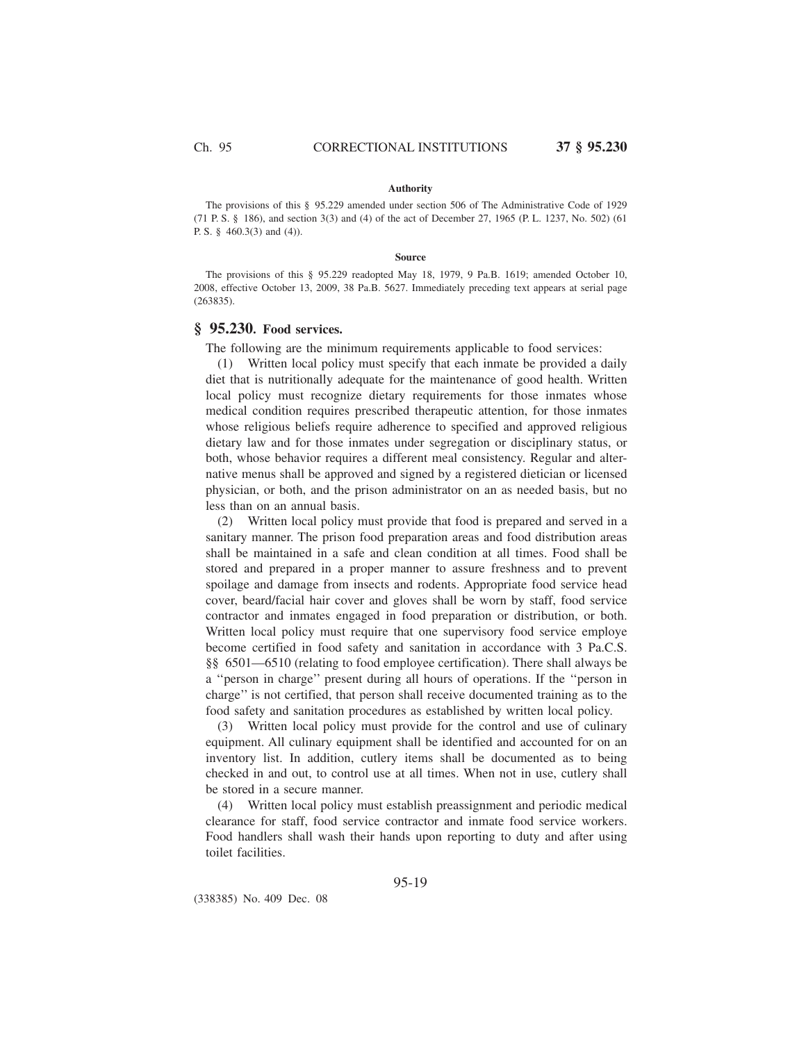### **Authority**

The provisions of this § 95.229 amended under section 506 of The Administrative Code of 1929 (71 P. S. § 186), and section 3(3) and (4) of the act of December 27, 1965 (P. L. 1237, No. 502) (61 P. S. § 460.3(3) and (4)).

#### **Source**

The provisions of this § 95.229 readopted May 18, 1979, 9 Pa.B. 1619; amended October 10, 2008, effective October 13, 2009, 38 Pa.B. 5627. Immediately preceding text appears at serial page (263835).

## **§ 95.230. Food services.**

The following are the minimum requirements applicable to food services:

(1) Written local policy must specify that each inmate be provided a daily diet that is nutritionally adequate for the maintenance of good health. Written local policy must recognize dietary requirements for those inmates whose medical condition requires prescribed therapeutic attention, for those inmates whose religious beliefs require adherence to specified and approved religious dietary law and for those inmates under segregation or disciplinary status, or both, whose behavior requires a different meal consistency. Regular and alternative menus shall be approved and signed by a registered dietician or licensed physician, or both, and the prison administrator on an as needed basis, but no less than on an annual basis.

(2) Written local policy must provide that food is prepared and served in a sanitary manner. The prison food preparation areas and food distribution areas shall be maintained in a safe and clean condition at all times. Food shall be stored and prepared in a proper manner to assure freshness and to prevent spoilage and damage from insects and rodents. Appropriate food service head cover, beard/facial hair cover and gloves shall be worn by staff, food service contractor and inmates engaged in food preparation or distribution, or both. Written local policy must require that one supervisory food service employe become certified in food safety and sanitation in accordance with 3 Pa.C.S. §§ 6501—6510 (relating to food employee certification). There shall always be a ''person in charge'' present during all hours of operations. If the ''person in charge'' is not certified, that person shall receive documented training as to the food safety and sanitation procedures as established by written local policy.

(3) Written local policy must provide for the control and use of culinary equipment. All culinary equipment shall be identified and accounted for on an inventory list. In addition, cutlery items shall be documented as to being checked in and out, to control use at all times. When not in use, cutlery shall be stored in a secure manner.

(4) Written local policy must establish preassignment and periodic medical clearance for staff, food service contractor and inmate food service workers. Food handlers shall wash their hands upon reporting to duty and after using toilet facilities.

95-19

(338385) No. 409 Dec. 08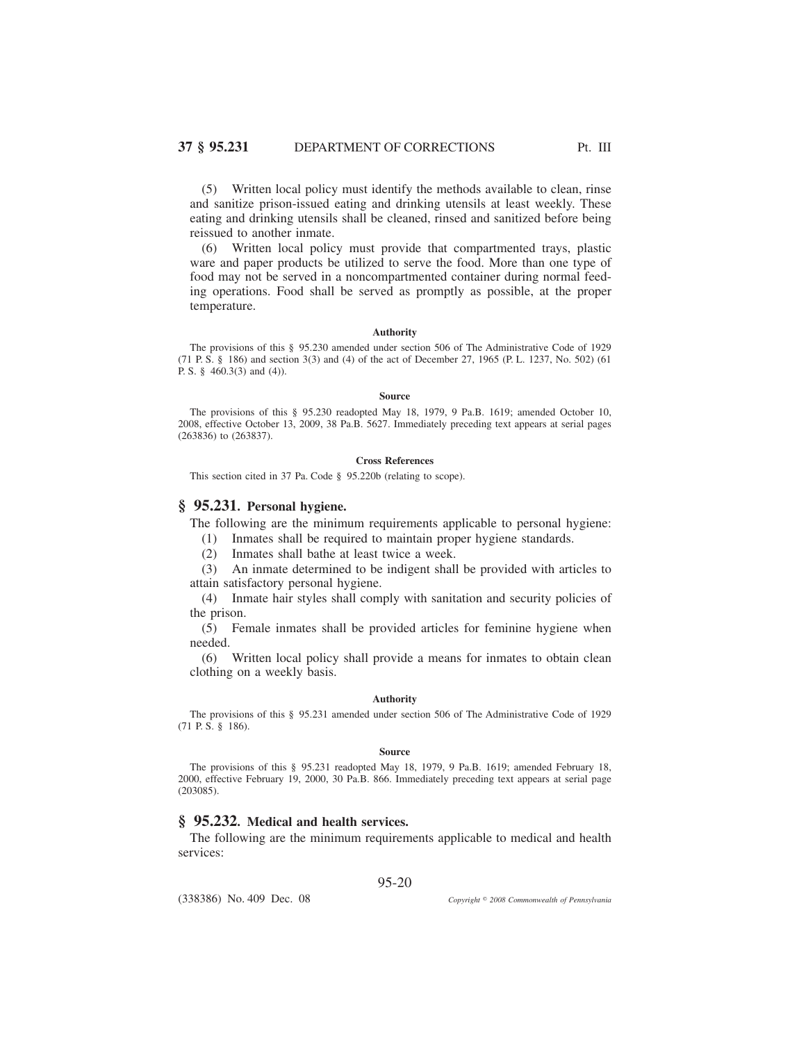(5) Written local policy must identify the methods available to clean, rinse and sanitize prison-issued eating and drinking utensils at least weekly. These eating and drinking utensils shall be cleaned, rinsed and sanitized before being reissued to another inmate.

(6) Written local policy must provide that compartmented trays, plastic ware and paper products be utilized to serve the food. More than one type of food may not be served in a noncompartmented container during normal feeding operations. Food shall be served as promptly as possible, at the proper temperature.

#### **Authority**

The provisions of this § 95.230 amended under section 506 of The Administrative Code of 1929 (71 P. S. § 186) and section 3(3) and (4) of the act of December 27, 1965 (P. L. 1237, No. 502) (61 P. S. § 460.3(3) and (4)).

### **Source**

The provisions of this § 95.230 readopted May 18, 1979, 9 Pa.B. 1619; amended October 10, 2008, effective October 13, 2009, 38 Pa.B. 5627. Immediately preceding text appears at serial pages (263836) to (263837).

#### **Cross References**

This section cited in 37 Pa. Code § 95.220b (relating to scope).

## **§ 95.231. Personal hygiene.**

The following are the minimum requirements applicable to personal hygiene:

(1) Inmates shall be required to maintain proper hygiene standards.

(2) Inmates shall bathe at least twice a week.

(3) An inmate determined to be indigent shall be provided with articles to attain satisfactory personal hygiene.

(4) Inmate hair styles shall comply with sanitation and security policies of the prison.

(5) Female inmates shall be provided articles for feminine hygiene when needed.

(6) Written local policy shall provide a means for inmates to obtain clean clothing on a weekly basis.

### **Authority**

The provisions of this § 95.231 amended under section 506 of The Administrative Code of 1929 (71 P. S. § 186).

#### **Source**

The provisions of this § 95.231 readopted May 18, 1979, 9 Pa.B. 1619; amended February 18, 2000, effective February 19, 2000, 30 Pa.B. 866. Immediately preceding text appears at serial page (203085).

# **§ 95.232. Medical and health services.**

The following are the minimum requirements applicable to medical and health services:

95-20

(338386) No. 409 Dec. 08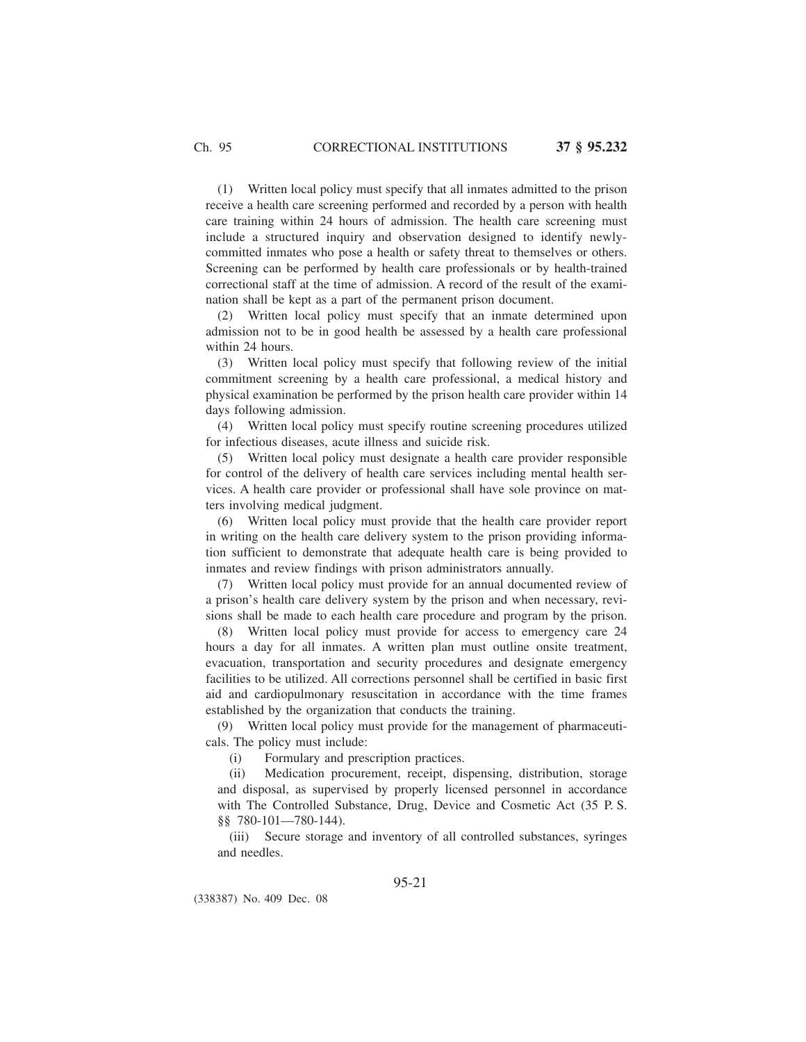(1) Written local policy must specify that all inmates admitted to the prison receive a health care screening performed and recorded by a person with health care training within 24 hours of admission. The health care screening must include a structured inquiry and observation designed to identify newlycommitted inmates who pose a health or safety threat to themselves or others. Screening can be performed by health care professionals or by health-trained correctional staff at the time of admission. A record of the result of the examination shall be kept as a part of the permanent prison document.

(2) Written local policy must specify that an inmate determined upon admission not to be in good health be assessed by a health care professional within 24 hours.

(3) Written local policy must specify that following review of the initial commitment screening by a health care professional, a medical history and physical examination be performed by the prison health care provider within 14 days following admission.

(4) Written local policy must specify routine screening procedures utilized for infectious diseases, acute illness and suicide risk.

(5) Written local policy must designate a health care provider responsible for control of the delivery of health care services including mental health services. A health care provider or professional shall have sole province on matters involving medical judgment.

(6) Written local policy must provide that the health care provider report in writing on the health care delivery system to the prison providing information sufficient to demonstrate that adequate health care is being provided to inmates and review findings with prison administrators annually.

(7) Written local policy must provide for an annual documented review of a prison's health care delivery system by the prison and when necessary, revisions shall be made to each health care procedure and program by the prison.

(8) Written local policy must provide for access to emergency care 24 hours a day for all inmates. A written plan must outline onsite treatment, evacuation, transportation and security procedures and designate emergency facilities to be utilized. All corrections personnel shall be certified in basic first aid and cardiopulmonary resuscitation in accordance with the time frames established by the organization that conducts the training.

(9) Written local policy must provide for the management of pharmaceuticals. The policy must include:

(i) Formulary and prescription practices.

(ii) Medication procurement, receipt, dispensing, distribution, storage and disposal, as supervised by properly licensed personnel in accordance with The Controlled Substance, Drug, Device and Cosmetic Act (35 P. S. §§ 780-101—780-144).

(iii) Secure storage and inventory of all controlled substances, syringes and needles.

95-21

(338387) No. 409 Dec. 08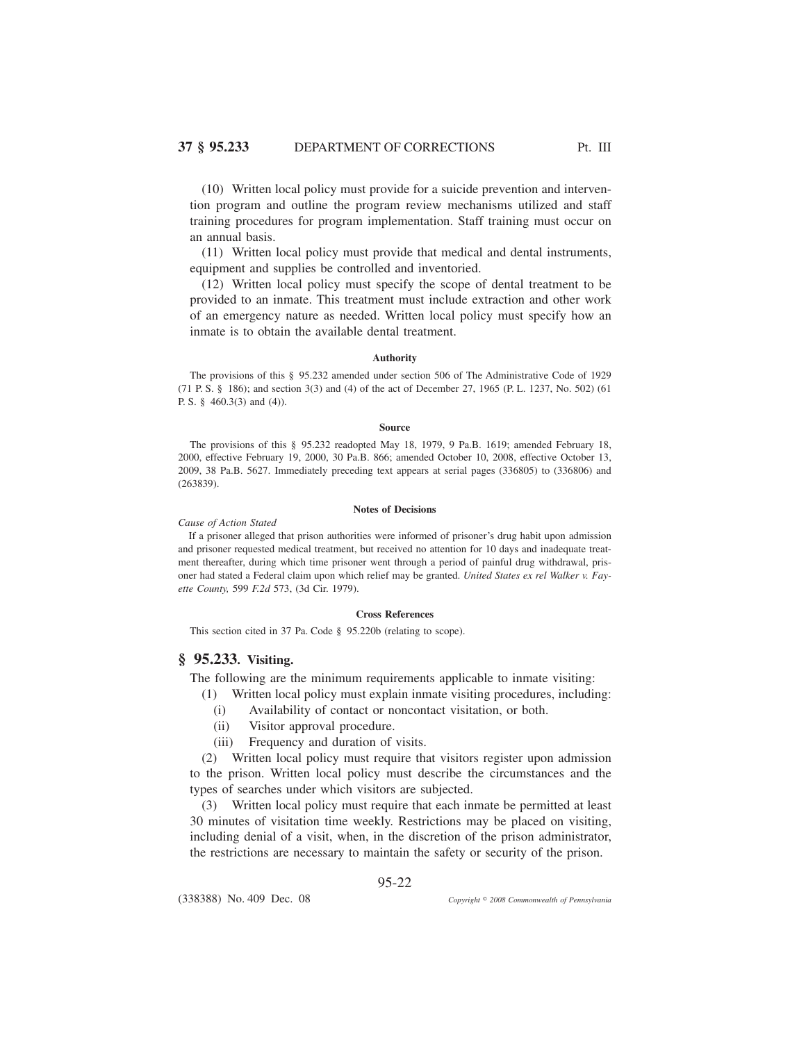(10) Written local policy must provide for a suicide prevention and intervention program and outline the program review mechanisms utilized and staff training procedures for program implementation. Staff training must occur on an annual basis.

(11) Written local policy must provide that medical and dental instruments, equipment and supplies be controlled and inventoried.

(12) Written local policy must specify the scope of dental treatment to be provided to an inmate. This treatment must include extraction and other work of an emergency nature as needed. Written local policy must specify how an inmate is to obtain the available dental treatment.

### **Authority**

The provisions of this § 95.232 amended under section 506 of The Administrative Code of 1929 (71 P. S. § 186); and section 3(3) and (4) of the act of December 27, 1965 (P. L. 1237, No. 502) (61 P. S. § 460.3(3) and (4)).

### **Source**

The provisions of this § 95.232 readopted May 18, 1979, 9 Pa.B. 1619; amended February 18, 2000, effective February 19, 2000, 30 Pa.B. 866; amended October 10, 2008, effective October 13, 2009, 38 Pa.B. 5627. Immediately preceding text appears at serial pages (336805) to (336806) and (263839).

#### **Notes of Decisions**

### *Cause of Action Stated*

If a prisoner alleged that prison authorities were informed of prisoner's drug habit upon admission and prisoner requested medical treatment, but received no attention for 10 days and inadequate treatment thereafter, during which time prisoner went through a period of painful drug withdrawal, prisoner had stated a Federal claim upon which relief may be granted. *United States ex rel Walker v. Fayette County,* 599 *F.2d* 573, (3d Cir. 1979).

## **Cross References**

This section cited in 37 Pa. Code § 95.220b (relating to scope).

# **§ 95.233. Visiting.**

The following are the minimum requirements applicable to inmate visiting:

- (1) Written local policy must explain inmate visiting procedures, including:
- (i) Availability of contact or noncontact visitation, or both.
- (ii) Visitor approval procedure.
- (iii) Frequency and duration of visits.

(2) Written local policy must require that visitors register upon admission to the prison. Written local policy must describe the circumstances and the types of searches under which visitors are subjected.

(3) Written local policy must require that each inmate be permitted at least 30 minutes of visitation time weekly. Restrictions may be placed on visiting, including denial of a visit, when, in the discretion of the prison administrator, the restrictions are necessary to maintain the safety or security of the prison.

95-22

(338388) No. 409 Dec. 08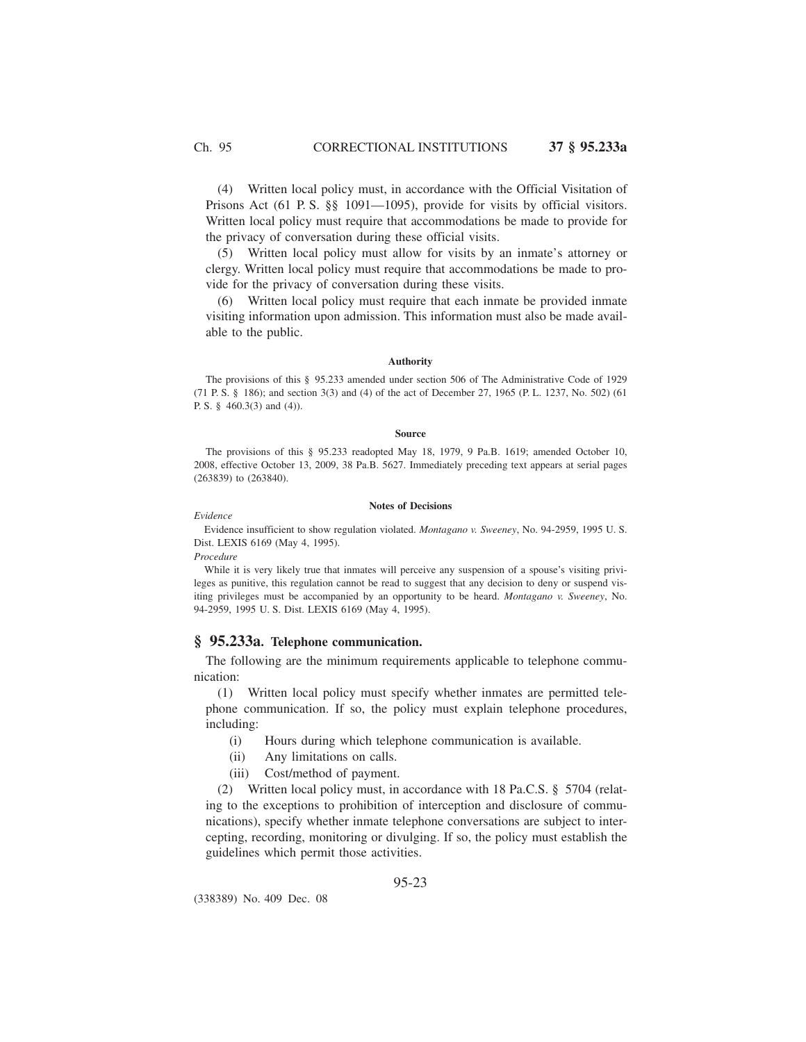(4) Written local policy must, in accordance with the Official Visitation of Prisons Act (61 P.S. §§ 1091—1095), provide for visits by official visitors. Written local policy must require that accommodations be made to provide for the privacy of conversation during these official visits.

(5) Written local policy must allow for visits by an inmate's attorney or clergy. Written local policy must require that accommodations be made to provide for the privacy of conversation during these visits.

(6) Written local policy must require that each inmate be provided inmate visiting information upon admission. This information must also be made available to the public.

## **Authority**

The provisions of this § 95.233 amended under section 506 of The Administrative Code of 1929 (71 P. S. § 186); and section 3(3) and (4) of the act of December 27, 1965 (P. L. 1237, No. 502) (61 P. S. § 460.3(3) and (4)).

## **Source**

The provisions of this § 95.233 readopted May 18, 1979, 9 Pa.B. 1619; amended October 10, 2008, effective October 13, 2009, 38 Pa.B. 5627. Immediately preceding text appears at serial pages (263839) to (263840).

### **Notes of Decisions**

Evidence insufficient to show regulation violated. *Montagano v. Sweeney*, No. 94-2959, 1995 U. S. Dist. LEXIS 6169 (May 4, 1995).

#### *Procedure*

*Evidence*

While it is very likely true that inmates will perceive any suspension of a spouse's visiting privileges as punitive, this regulation cannot be read to suggest that any decision to deny or suspend visiting privileges must be accompanied by an opportunity to be heard. *Montagano v. Sweeney*, No. 94-2959, 1995 U. S. Dist. LEXIS 6169 (May 4, 1995).

## **§ 95.233a. Telephone communication.**

The following are the minimum requirements applicable to telephone communication:

(1) Written local policy must specify whether inmates are permitted telephone communication. If so, the policy must explain telephone procedures, including:

- (i) Hours during which telephone communication is available.
- (ii) Any limitations on calls.
- (iii) Cost/method of payment.

(2) Written local policy must, in accordance with 18 Pa.C.S. § 5704 (relating to the exceptions to prohibition of interception and disclosure of communications), specify whether inmate telephone conversations are subject to intercepting, recording, monitoring or divulging. If so, the policy must establish the guidelines which permit those activities.

## 95-23

(338389) No. 409 Dec. 08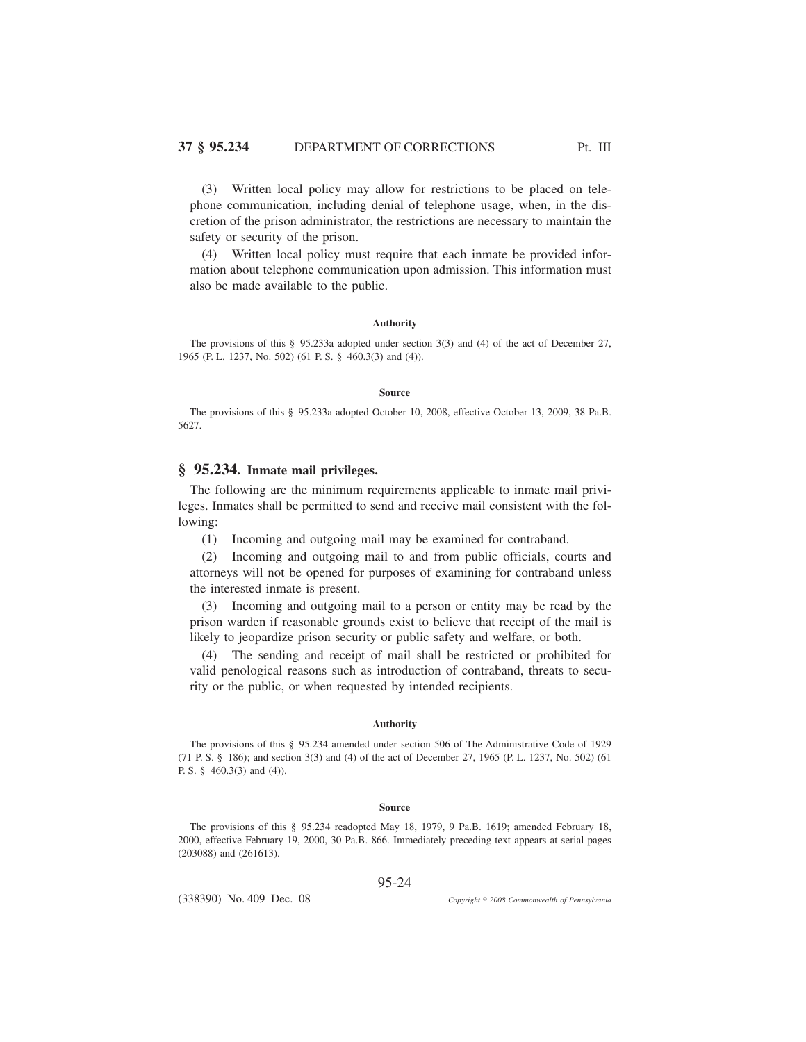(3) Written local policy may allow for restrictions to be placed on telephone communication, including denial of telephone usage, when, in the discretion of the prison administrator, the restrictions are necessary to maintain the safety or security of the prison.

(4) Written local policy must require that each inmate be provided information about telephone communication upon admission. This information must also be made available to the public.

## **Authority**

The provisions of this § 95.233a adopted under section 3(3) and (4) of the act of December 27, 1965 (P. L. 1237, No. 502) (61 P. S. § 460.3(3) and (4)).

#### **Source**

The provisions of this § 95.233a adopted October 10, 2008, effective October 13, 2009, 38 Pa.B. 5627.

# **§ 95.234. Inmate mail privileges.**

The following are the minimum requirements applicable to inmate mail privileges. Inmates shall be permitted to send and receive mail consistent with the following:

(1) Incoming and outgoing mail may be examined for contraband.

(2) Incoming and outgoing mail to and from public officials, courts and attorneys will not be opened for purposes of examining for contraband unless the interested inmate is present.

(3) Incoming and outgoing mail to a person or entity may be read by the prison warden if reasonable grounds exist to believe that receipt of the mail is likely to jeopardize prison security or public safety and welfare, or both.

(4) The sending and receipt of mail shall be restricted or prohibited for valid penological reasons such as introduction of contraband, threats to security or the public, or when requested by intended recipients.

#### **Authority**

The provisions of this § 95.234 amended under section 506 of The Administrative Code of 1929 (71 P. S. § 186); and section 3(3) and (4) of the act of December 27, 1965 (P. L. 1237, No. 502) (61 P. S. § 460.3(3) and (4)).

#### **Source**

The provisions of this § 95.234 readopted May 18, 1979, 9 Pa.B. 1619; amended February 18, 2000, effective February 19, 2000, 30 Pa.B. 866. Immediately preceding text appears at serial pages (203088) and (261613).

95-24

(338390) No. 409 Dec. 08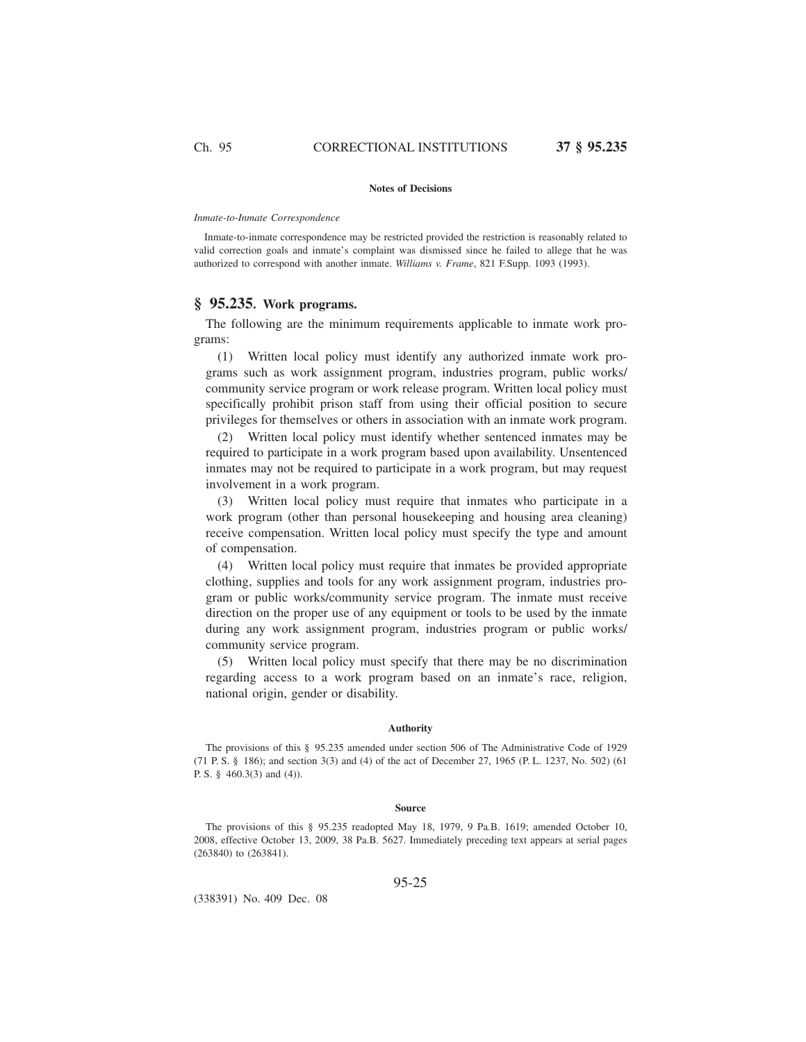#### **Notes of Decisions**

#### *Inmate-to-Inmate Correspondence*

Inmate-to-inmate correspondence may be restricted provided the restriction is reasonably related to valid correction goals and inmate's complaint was dismissed since he failed to allege that he was authorized to correspond with another inmate. *Williams v. Frame*, 821 F.Supp. 1093 (1993).

# **§ 95.235. Work programs.**

The following are the minimum requirements applicable to inmate work programs:

(1) Written local policy must identify any authorized inmate work programs such as work assignment program, industries program, public works/ community service program or work release program. Written local policy must specifically prohibit prison staff from using their official position to secure privileges for themselves or others in association with an inmate work program.

(2) Written local policy must identify whether sentenced inmates may be required to participate in a work program based upon availability. Unsentenced inmates may not be required to participate in a work program, but may request involvement in a work program.

(3) Written local policy must require that inmates who participate in a work program (other than personal housekeeping and housing area cleaning) receive compensation. Written local policy must specify the type and amount of compensation.

(4) Written local policy must require that inmates be provided appropriate clothing, supplies and tools for any work assignment program, industries program or public works/community service program. The inmate must receive direction on the proper use of any equipment or tools to be used by the inmate during any work assignment program, industries program or public works/ community service program.

(5) Written local policy must specify that there may be no discrimination regarding access to a work program based on an inmate's race, religion, national origin, gender or disability.

## **Authority**

The provisions of this § 95.235 amended under section 506 of The Administrative Code of 1929 (71 P. S. § 186); and section 3(3) and (4) of the act of December 27, 1965 (P. L. 1237, No. 502) (61 P. S. § 460.3(3) and (4)).

#### **Source**

The provisions of this § 95.235 readopted May 18, 1979, 9 Pa.B. 1619; amended October 10, 2008, effective October 13, 2009, 38 Pa.B. 5627. Immediately preceding text appears at serial pages (263840) to (263841).

95-25

(338391) No. 409 Dec. 08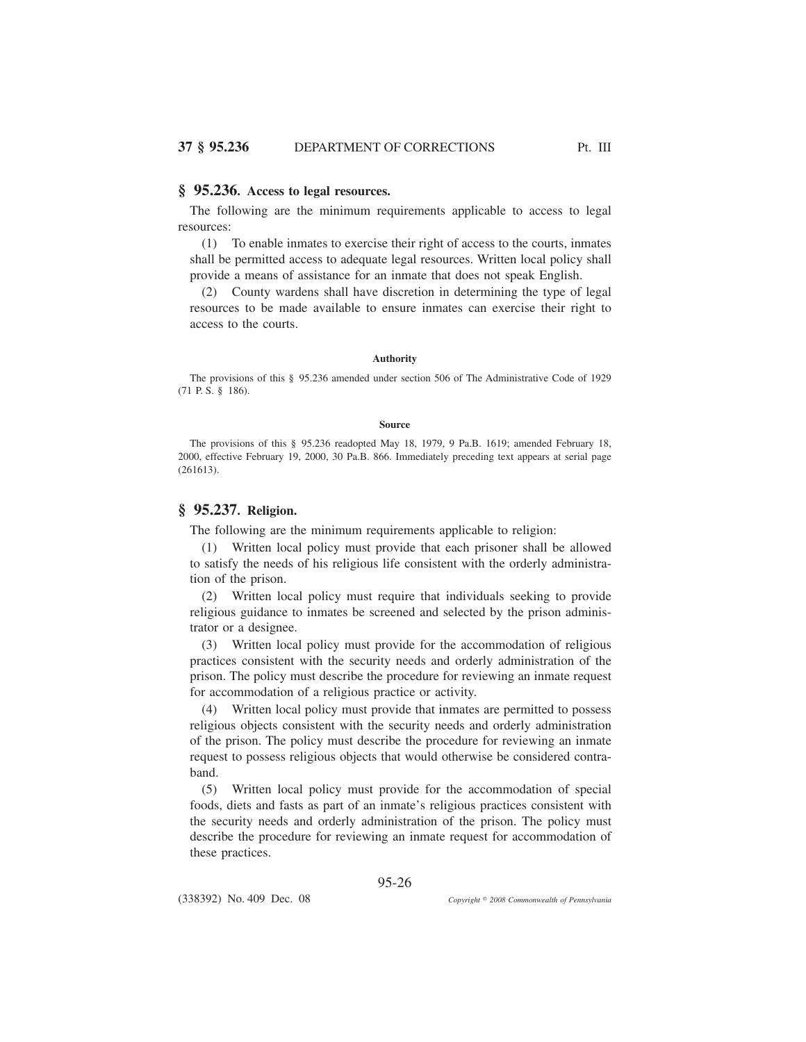## **§ 95.236. Access to legal resources.**

The following are the minimum requirements applicable to access to legal resources:

(1) To enable inmates to exercise their right of access to the courts, inmates shall be permitted access to adequate legal resources. Written local policy shall provide a means of assistance for an inmate that does not speak English.

(2) County wardens shall have discretion in determining the type of legal resources to be made available to ensure inmates can exercise their right to access to the courts.

### **Authority**

The provisions of this § 95.236 amended under section 506 of The Administrative Code of 1929 (71 P. S. § 186).

## **Source**

The provisions of this § 95.236 readopted May 18, 1979, 9 Pa.B. 1619; amended February 18, 2000, effective February 19, 2000, 30 Pa.B. 866. Immediately preceding text appears at serial page (261613).

# **§ 95.237. Religion.**

The following are the minimum requirements applicable to religion:

(1) Written local policy must provide that each prisoner shall be allowed to satisfy the needs of his religious life consistent with the orderly administration of the prison.

(2) Written local policy must require that individuals seeking to provide religious guidance to inmates be screened and selected by the prison administrator or a designee.

(3) Written local policy must provide for the accommodation of religious practices consistent with the security needs and orderly administration of the prison. The policy must describe the procedure for reviewing an inmate request for accommodation of a religious practice or activity.

(4) Written local policy must provide that inmates are permitted to possess religious objects consistent with the security needs and orderly administration of the prison. The policy must describe the procedure for reviewing an inmate request to possess religious objects that would otherwise be considered contraband.

(5) Written local policy must provide for the accommodation of special foods, diets and fasts as part of an inmate's religious practices consistent with the security needs and orderly administration of the prison. The policy must describe the procedure for reviewing an inmate request for accommodation of these practices.

95-26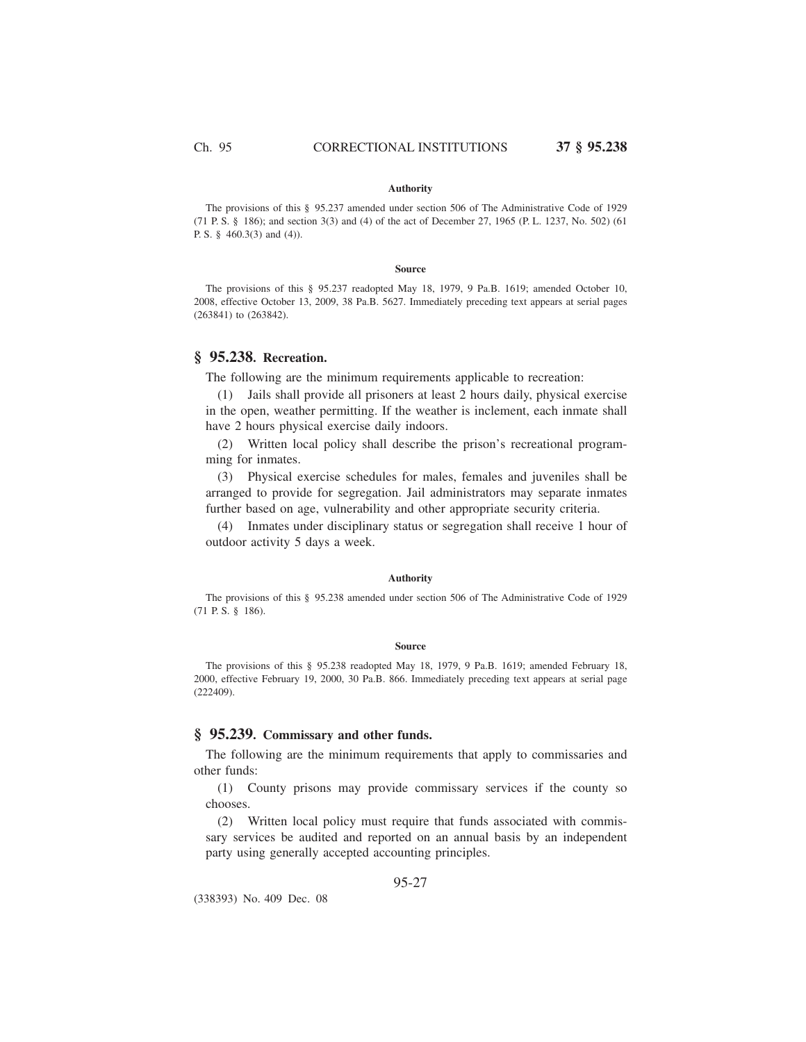#### **Authority**

The provisions of this § 95.237 amended under section 506 of The Administrative Code of 1929 (71 P. S. § 186); and section 3(3) and (4) of the act of December 27, 1965 (P. L. 1237, No. 502) (61 P. S. § 460.3(3) and (4)).

#### **Source**

The provisions of this § 95.237 readopted May 18, 1979, 9 Pa.B. 1619; amended October 10, 2008, effective October 13, 2009, 38 Pa.B. 5627. Immediately preceding text appears at serial pages (263841) to (263842).

## **§ 95.238. Recreation.**

The following are the minimum requirements applicable to recreation:

(1) Jails shall provide all prisoners at least 2 hours daily, physical exercise in the open, weather permitting. If the weather is inclement, each inmate shall have 2 hours physical exercise daily indoors.

(2) Written local policy shall describe the prison's recreational programming for inmates.

(3) Physical exercise schedules for males, females and juveniles shall be arranged to provide for segregation. Jail administrators may separate inmates further based on age, vulnerability and other appropriate security criteria.

(4) Inmates under disciplinary status or segregation shall receive 1 hour of outdoor activity 5 days a week.

#### **Authority**

The provisions of this § 95.238 amended under section 506 of The Administrative Code of 1929 (71 P. S. § 186).

#### **Source**

The provisions of this § 95.238 readopted May 18, 1979, 9 Pa.B. 1619; amended February 18, 2000, effective February 19, 2000, 30 Pa.B. 866. Immediately preceding text appears at serial page (222409).

## **§ 95.239. Commissary and other funds.**

The following are the minimum requirements that apply to commissaries and other funds:

(1) County prisons may provide commissary services if the county so chooses.

(2) Written local policy must require that funds associated with commissary services be audited and reported on an annual basis by an independent party using generally accepted accounting principles.

## 95-27

(338393) No. 409 Dec. 08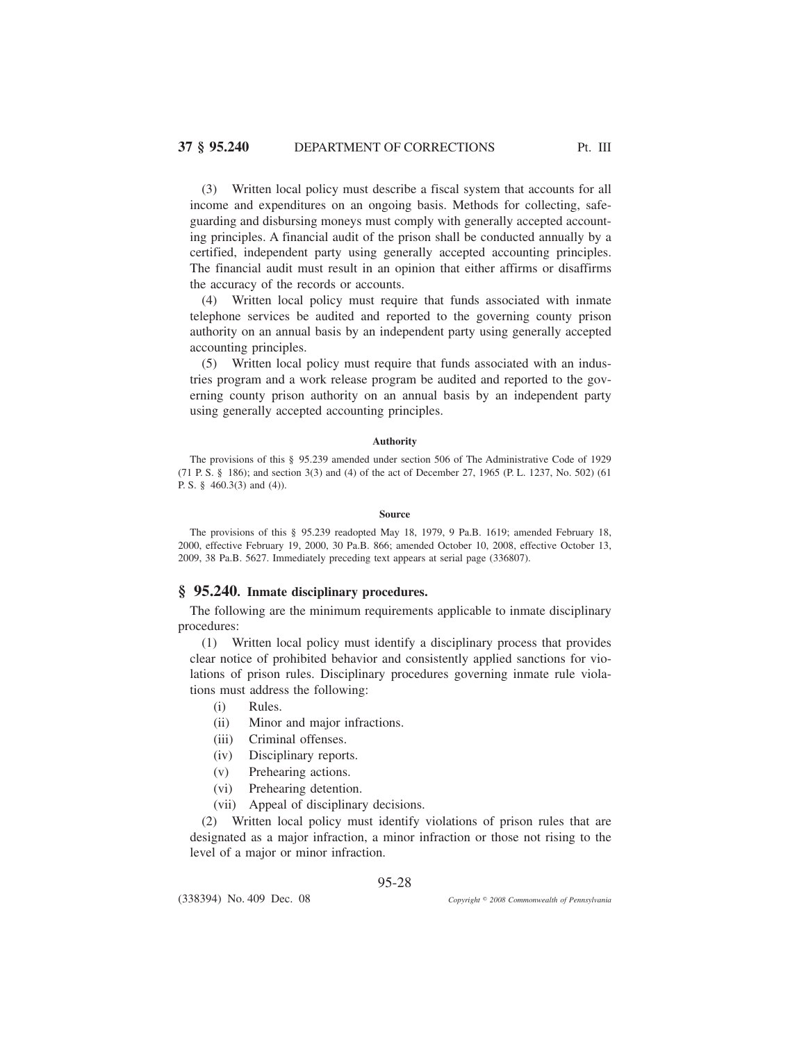(3) Written local policy must describe a fiscal system that accounts for all income and expenditures on an ongoing basis. Methods for collecting, safeguarding and disbursing moneys must comply with generally accepted accounting principles. A financial audit of the prison shall be conducted annually by a certified, independent party using generally accepted accounting principles. The financial audit must result in an opinion that either affirms or disaffirms the accuracy of the records or accounts.

(4) Written local policy must require that funds associated with inmate telephone services be audited and reported to the governing county prison authority on an annual basis by an independent party using generally accepted accounting principles.

(5) Written local policy must require that funds associated with an industries program and a work release program be audited and reported to the governing county prison authority on an annual basis by an independent party using generally accepted accounting principles.

## **Authority**

The provisions of this § 95.239 amended under section 506 of The Administrative Code of 1929 (71 P. S. § 186); and section 3(3) and (4) of the act of December 27, 1965 (P. L. 1237, No. 502) (61 P. S. § 460.3(3) and (4)).

#### **Source**

The provisions of this § 95.239 readopted May 18, 1979, 9 Pa.B. 1619; amended February 18, 2000, effective February 19, 2000, 30 Pa.B. 866; amended October 10, 2008, effective October 13, 2009, 38 Pa.B. 5627. Immediately preceding text appears at serial page (336807).

## **§ 95.240. Inmate disciplinary procedures.**

The following are the minimum requirements applicable to inmate disciplinary procedures:

(1) Written local policy must identify a disciplinary process that provides clear notice of prohibited behavior and consistently applied sanctions for violations of prison rules. Disciplinary procedures governing inmate rule violations must address the following:

- (i) Rules.
- (ii) Minor and major infractions.
- (iii) Criminal offenses.
- (iv) Disciplinary reports.
- (v) Prehearing actions.
- (vi) Prehearing detention.
- (vii) Appeal of disciplinary decisions.

(2) Written local policy must identify violations of prison rules that are designated as a major infraction, a minor infraction or those not rising to the level of a major or minor infraction.

95-28

(338394) No. 409 Dec. 08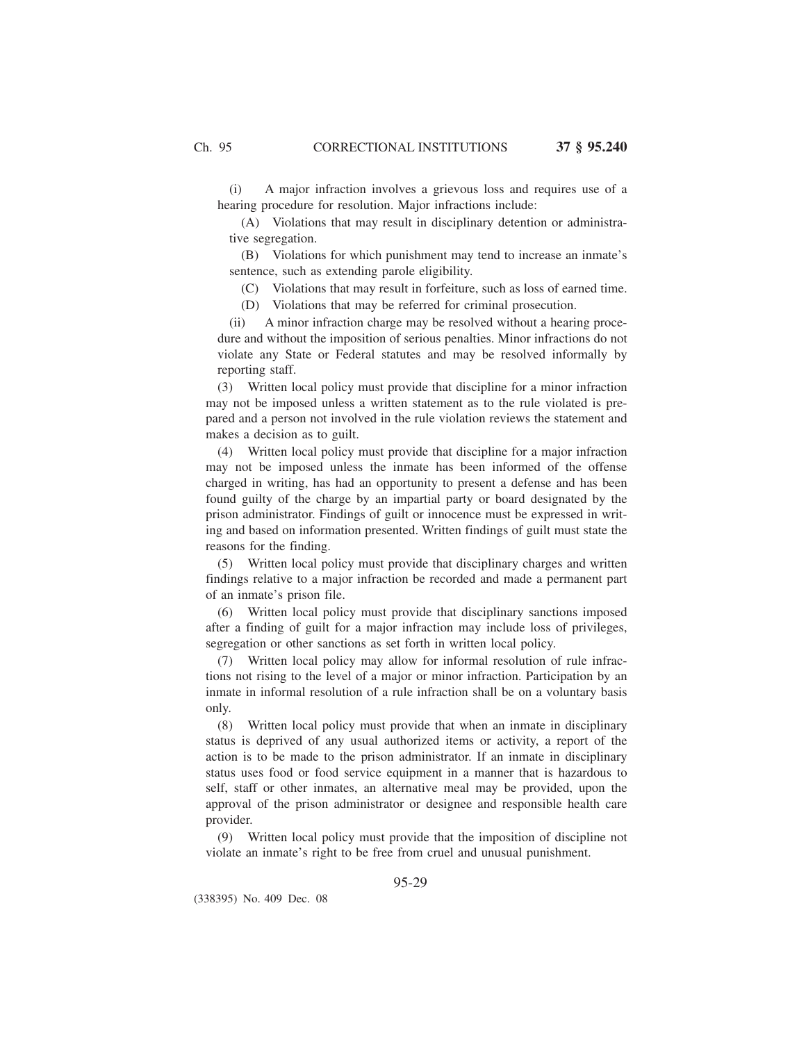(i) A major infraction involves a grievous loss and requires use of a hearing procedure for resolution. Major infractions include:

(A) Violations that may result in disciplinary detention or administrative segregation.

(B) Violations for which punishment may tend to increase an inmate's sentence, such as extending parole eligibility.

(C) Violations that may result in forfeiture, such as loss of earned time.

(D) Violations that may be referred for criminal prosecution.

(ii) A minor infraction charge may be resolved without a hearing procedure and without the imposition of serious penalties. Minor infractions do not violate any State or Federal statutes and may be resolved informally by reporting staff.

(3) Written local policy must provide that discipline for a minor infraction may not be imposed unless a written statement as to the rule violated is prepared and a person not involved in the rule violation reviews the statement and makes a decision as to guilt.

(4) Written local policy must provide that discipline for a major infraction may not be imposed unless the inmate has been informed of the offense charged in writing, has had an opportunity to present a defense and has been found guilty of the charge by an impartial party or board designated by the prison administrator. Findings of guilt or innocence must be expressed in writing and based on information presented. Written findings of guilt must state the reasons for the finding.

(5) Written local policy must provide that disciplinary charges and written findings relative to a major infraction be recorded and made a permanent part of an inmate's prison file.

(6) Written local policy must provide that disciplinary sanctions imposed after a finding of guilt for a major infraction may include loss of privileges, segregation or other sanctions as set forth in written local policy.

(7) Written local policy may allow for informal resolution of rule infractions not rising to the level of a major or minor infraction. Participation by an inmate in informal resolution of a rule infraction shall be on a voluntary basis only.

(8) Written local policy must provide that when an inmate in disciplinary status is deprived of any usual authorized items or activity, a report of the action is to be made to the prison administrator. If an inmate in disciplinary status uses food or food service equipment in a manner that is hazardous to self, staff or other inmates, an alternative meal may be provided, upon the approval of the prison administrator or designee and responsible health care provider.

(9) Written local policy must provide that the imposition of discipline not violate an inmate's right to be free from cruel and unusual punishment.

95-29

(338395) No. 409 Dec. 08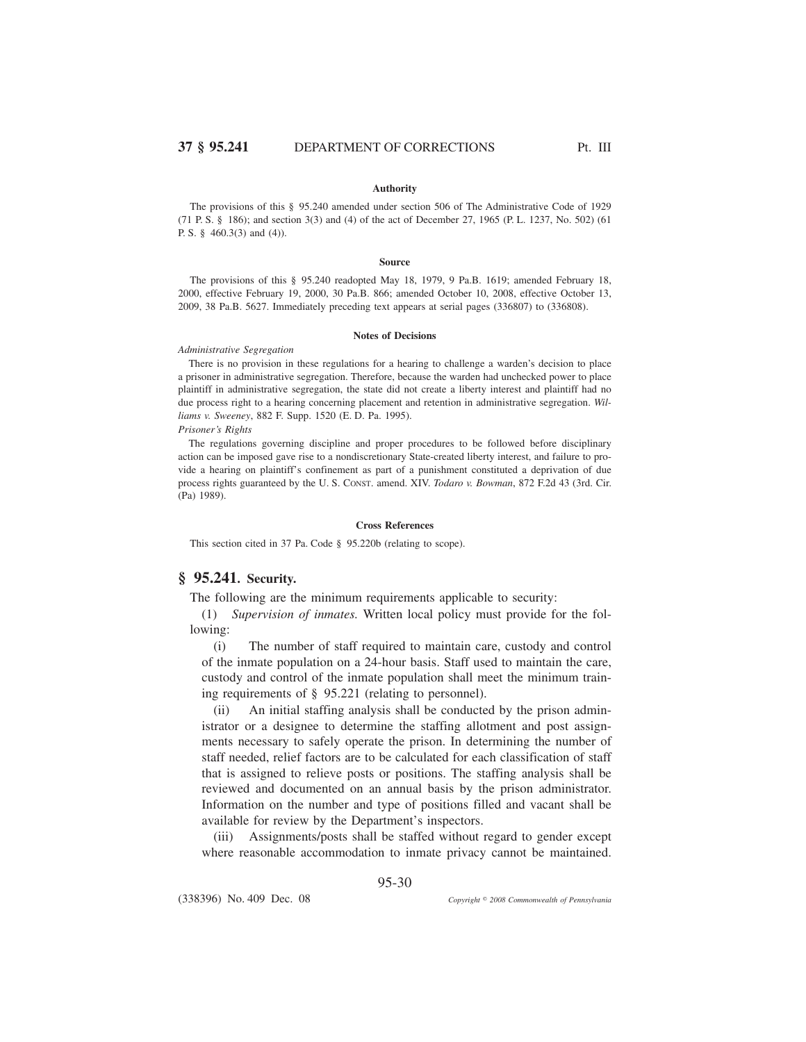### **Authority**

The provisions of this § 95.240 amended under section 506 of The Administrative Code of 1929 (71 P. S. § 186); and section 3(3) and (4) of the act of December 27, 1965 (P. L. 1237, No. 502) (61 P. S. § 460.3(3) and (4)).

#### **Source**

The provisions of this § 95.240 readopted May 18, 1979, 9 Pa.B. 1619; amended February 18, 2000, effective February 19, 2000, 30 Pa.B. 866; amended October 10, 2008, effective October 13, 2009, 38 Pa.B. 5627. Immediately preceding text appears at serial pages (336807) to (336808).

#### **Notes of Decisions**

#### *Administrative Segregation*

There is no provision in these regulations for a hearing to challenge a warden's decision to place a prisoner in administrative segregation. Therefore, because the warden had unchecked power to place plaintiff in administrative segregation, the state did not create a liberty interest and plaintiff had no due process right to a hearing concerning placement and retention in administrative segregation. *Williams v. Sweeney*, 882 F. Supp. 1520 (E. D. Pa. 1995).

*Prisoner's Rights*

The regulations governing discipline and proper procedures to be followed before disciplinary action can be imposed gave rise to a nondiscretionary State-created liberty interest, and failure to provide a hearing on plaintiff's confinement as part of a punishment constituted a deprivation of due process rights guaranteed by the U. S. CONST. amend. XIV. *Todaro v. Bowman*, 872 F.2d 43 (3rd. Cir. (Pa) 1989).

#### **Cross References**

This section cited in 37 Pa. Code § 95.220b (relating to scope).

# **§ 95.241. Security.**

The following are the minimum requirements applicable to security:

(1) *Supervision of inmates.* Written local policy must provide for the following:

(i) The number of staff required to maintain care, custody and control of the inmate population on a 24-hour basis. Staff used to maintain the care, custody and control of the inmate population shall meet the minimum training requirements of § 95.221 (relating to personnel).

(ii) An initial staffing analysis shall be conducted by the prison administrator or a designee to determine the staffing allotment and post assignments necessary to safely operate the prison. In determining the number of staff needed, relief factors are to be calculated for each classification of staff that is assigned to relieve posts or positions. The staffing analysis shall be reviewed and documented on an annual basis by the prison administrator. Information on the number and type of positions filled and vacant shall be available for review by the Department's inspectors.

(iii) Assignments/posts shall be staffed without regard to gender except where reasonable accommodation to inmate privacy cannot be maintained.

95-30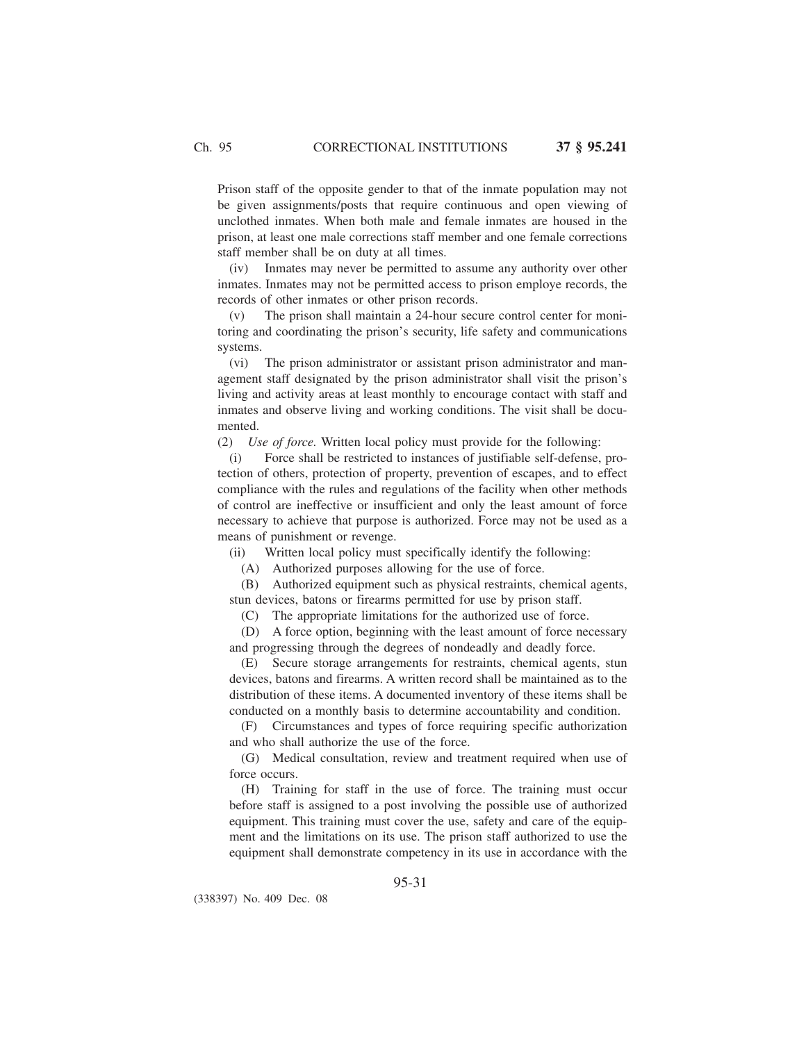Prison staff of the opposite gender to that of the inmate population may not be given assignments/posts that require continuous and open viewing of unclothed inmates. When both male and female inmates are housed in the prison, at least one male corrections staff member and one female corrections staff member shall be on duty at all times.

(iv) Inmates may never be permitted to assume any authority over other inmates. Inmates may not be permitted access to prison employe records, the records of other inmates or other prison records.

(v) The prison shall maintain a 24-hour secure control center for monitoring and coordinating the prison's security, life safety and communications systems.

(vi) The prison administrator or assistant prison administrator and management staff designated by the prison administrator shall visit the prison's living and activity areas at least monthly to encourage contact with staff and inmates and observe living and working conditions. The visit shall be documented.

(2) *Use of force.* Written local policy must provide for the following:

(i) Force shall be restricted to instances of justifiable self-defense, protection of others, protection of property, prevention of escapes, and to effect compliance with the rules and regulations of the facility when other methods of control are ineffective or insufficient and only the least amount of force necessary to achieve that purpose is authorized. Force may not be used as a means of punishment or revenge.

(ii) Written local policy must specifically identify the following:

(A) Authorized purposes allowing for the use of force.

(B) Authorized equipment such as physical restraints, chemical agents, stun devices, batons or firearms permitted for use by prison staff.

(C) The appropriate limitations for the authorized use of force.

(D) A force option, beginning with the least amount of force necessary and progressing through the degrees of nondeadly and deadly force.

(E) Secure storage arrangements for restraints, chemical agents, stun devices, batons and firearms. A written record shall be maintained as to the distribution of these items. A documented inventory of these items shall be conducted on a monthly basis to determine accountability and condition.

(F) Circumstances and types of force requiring specific authorization and who shall authorize the use of the force.

(G) Medical consultation, review and treatment required when use of force occurs.

(H) Training for staff in the use of force. The training must occur before staff is assigned to a post involving the possible use of authorized equipment. This training must cover the use, safety and care of the equipment and the limitations on its use. The prison staff authorized to use the equipment shall demonstrate competency in its use in accordance with the

(338397) No. 409 Dec. 08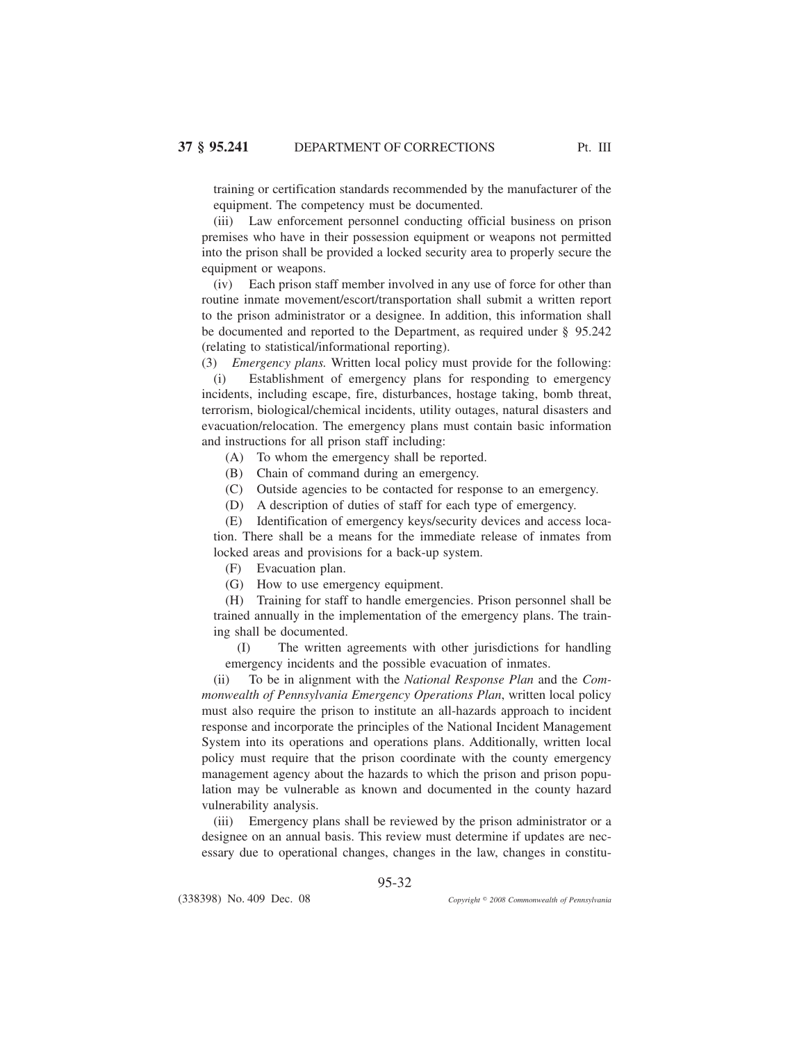training or certification standards recommended by the manufacturer of the equipment. The competency must be documented.

(iii) Law enforcement personnel conducting official business on prison premises who have in their possession equipment or weapons not permitted into the prison shall be provided a locked security area to properly secure the equipment or weapons.

(iv) Each prison staff member involved in any use of force for other than routine inmate movement/escort/transportation shall submit a written report to the prison administrator or a designee. In addition, this information shall be documented and reported to the Department, as required under § 95.242 (relating to statistical/informational reporting).

(3) *Emergency plans.* Written local policy must provide for the following:

(i) Establishment of emergency plans for responding to emergency incidents, including escape, fire, disturbances, hostage taking, bomb threat, terrorism, biological/chemical incidents, utility outages, natural disasters and evacuation/relocation. The emergency plans must contain basic information and instructions for all prison staff including:

- (A) To whom the emergency shall be reported.
- (B) Chain of command during an emergency.
- (C) Outside agencies to be contacted for response to an emergency.
- (D) A description of duties of staff for each type of emergency.

(E) Identification of emergency keys/security devices and access location. There shall be a means for the immediate release of inmates from locked areas and provisions for a back-up system.

(F) Evacuation plan.

(G) How to use emergency equipment.

(H) Training for staff to handle emergencies. Prison personnel shall be trained annually in the implementation of the emergency plans. The training shall be documented.

(I) The written agreements with other jurisdictions for handling emergency incidents and the possible evacuation of inmates.

(ii) To be in alignment with the *National Response Plan* and the *Commonwealth of Pennsylvania Emergency Operations Plan*, written local policy must also require the prison to institute an all-hazards approach to incident response and incorporate the principles of the National Incident Management System into its operations and operations plans. Additionally, written local policy must require that the prison coordinate with the county emergency management agency about the hazards to which the prison and prison population may be vulnerable as known and documented in the county hazard vulnerability analysis.

(iii) Emergency plans shall be reviewed by the prison administrator or a designee on an annual basis. This review must determine if updates are necessary due to operational changes, changes in the law, changes in constitu-

95-32

(338398) No. 409 Dec. 08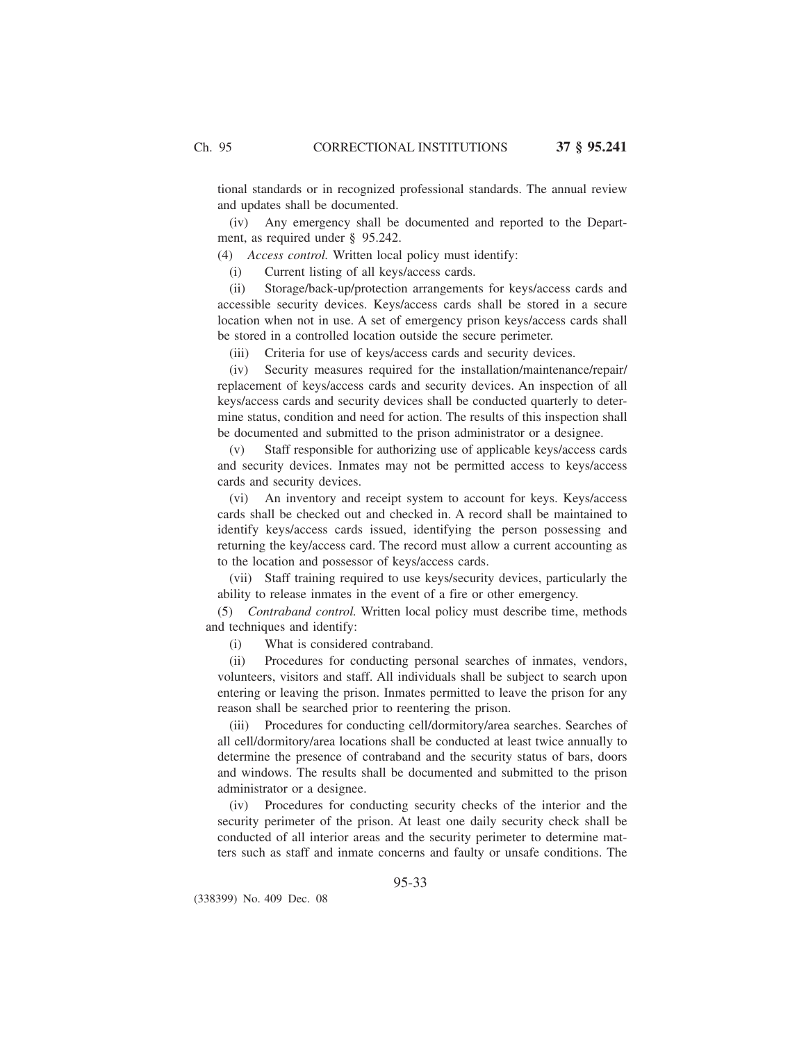tional standards or in recognized professional standards. The annual review and updates shall be documented.

(iv) Any emergency shall be documented and reported to the Department, as required under § 95.242.

(4) *Access control.* Written local policy must identify:

(i) Current listing of all keys/access cards.

(ii) Storage/back-up/protection arrangements for keys/access cards and accessible security devices. Keys/access cards shall be stored in a secure location when not in use. A set of emergency prison keys/access cards shall be stored in a controlled location outside the secure perimeter.

(iii) Criteria for use of keys/access cards and security devices.

(iv) Security measures required for the installation/maintenance/repair/ replacement of keys/access cards and security devices. An inspection of all keys/access cards and security devices shall be conducted quarterly to determine status, condition and need for action. The results of this inspection shall be documented and submitted to the prison administrator or a designee.

(v) Staff responsible for authorizing use of applicable keys/access cards and security devices. Inmates may not be permitted access to keys/access cards and security devices.

(vi) An inventory and receipt system to account for keys. Keys/access cards shall be checked out and checked in. A record shall be maintained to identify keys/access cards issued, identifying the person possessing and returning the key/access card. The record must allow a current accounting as to the location and possessor of keys/access cards.

(vii) Staff training required to use keys/security devices, particularly the ability to release inmates in the event of a fire or other emergency.

(5) *Contraband control.* Written local policy must describe time, methods and techniques and identify:

(i) What is considered contraband.

(ii) Procedures for conducting personal searches of inmates, vendors, volunteers, visitors and staff. All individuals shall be subject to search upon entering or leaving the prison. Inmates permitted to leave the prison for any reason shall be searched prior to reentering the prison.

(iii) Procedures for conducting cell/dormitory/area searches. Searches of all cell/dormitory/area locations shall be conducted at least twice annually to determine the presence of contraband and the security status of bars, doors and windows. The results shall be documented and submitted to the prison administrator or a designee.

(iv) Procedures for conducting security checks of the interior and the security perimeter of the prison. At least one daily security check shall be conducted of all interior areas and the security perimeter to determine matters such as staff and inmate concerns and faulty or unsafe conditions. The

95-33

(338399) No. 409 Dec. 08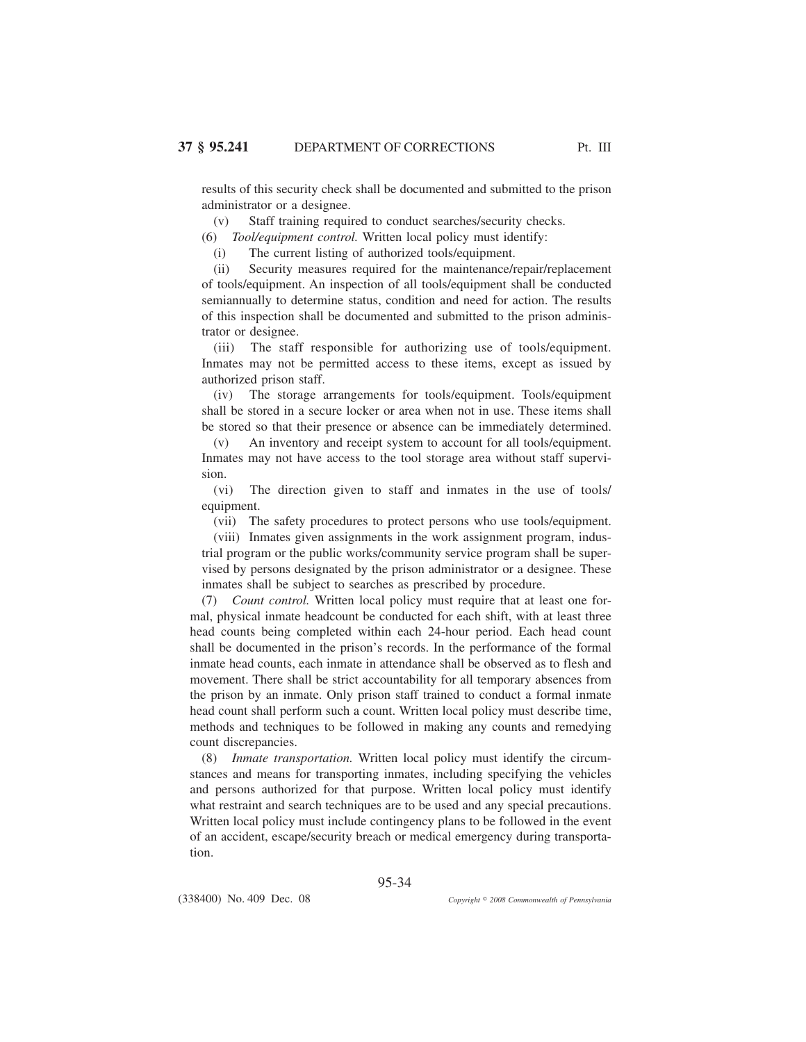results of this security check shall be documented and submitted to the prison administrator or a designee.

(v) Staff training required to conduct searches/security checks.

(6) *Tool/equipment control.* Written local policy must identify:

(i) The current listing of authorized tools/equipment.

(ii) Security measures required for the maintenance/repair/replacement of tools/equipment. An inspection of all tools/equipment shall be conducted semiannually to determine status, condition and need for action. The results of this inspection shall be documented and submitted to the prison administrator or designee.

(iii) The staff responsible for authorizing use of tools/equipment. Inmates may not be permitted access to these items, except as issued by authorized prison staff.

(iv) The storage arrangements for tools/equipment. Tools/equipment shall be stored in a secure locker or area when not in use. These items shall be stored so that their presence or absence can be immediately determined.

(v) An inventory and receipt system to account for all tools/equipment. Inmates may not have access to the tool storage area without staff supervision.

(vi) The direction given to staff and inmates in the use of tools/ equipment.

(vii) The safety procedures to protect persons who use tools/equipment.

(viii) Inmates given assignments in the work assignment program, industrial program or the public works/community service program shall be supervised by persons designated by the prison administrator or a designee. These inmates shall be subject to searches as prescribed by procedure.

(7) *Count control.* Written local policy must require that at least one formal, physical inmate headcount be conducted for each shift, with at least three head counts being completed within each 24-hour period. Each head count shall be documented in the prison's records. In the performance of the formal inmate head counts, each inmate in attendance shall be observed as to flesh and movement. There shall be strict accountability for all temporary absences from the prison by an inmate. Only prison staff trained to conduct a formal inmate head count shall perform such a count. Written local policy must describe time, methods and techniques to be followed in making any counts and remedying count discrepancies.

(8) *Inmate transportation.* Written local policy must identify the circumstances and means for transporting inmates, including specifying the vehicles and persons authorized for that purpose. Written local policy must identify what restraint and search techniques are to be used and any special precautions. Written local policy must include contingency plans to be followed in the event of an accident, escape/security breach or medical emergency during transportation.

95-34

(338400) No. 409 Dec. 08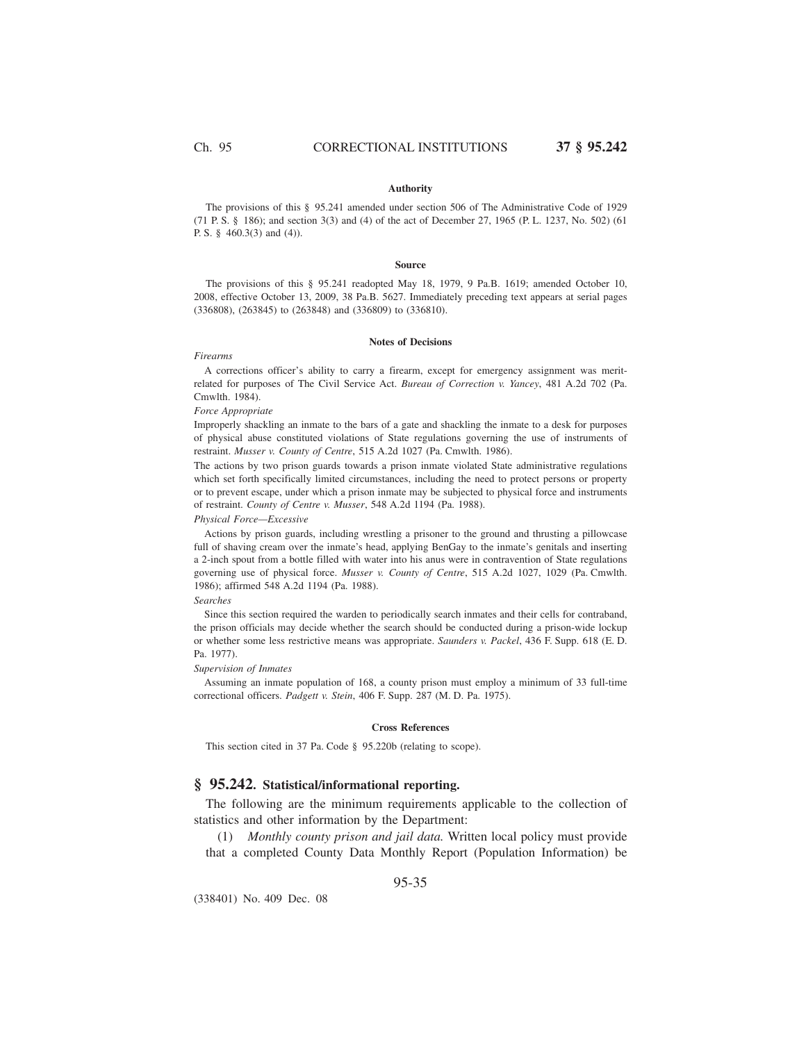### **Authority**

The provisions of this § 95.241 amended under section 506 of The Administrative Code of 1929 (71 P. S. § 186); and section 3(3) and (4) of the act of December 27, 1965 (P. L. 1237, No. 502) (61 P. S. § 460.3(3) and (4)).

#### **Source**

The provisions of this § 95.241 readopted May 18, 1979, 9 Pa.B. 1619; amended October 10, 2008, effective October 13, 2009, 38 Pa.B. 5627. Immediately preceding text appears at serial pages (336808), (263845) to (263848) and (336809) to (336810).

## **Notes of Decisions**

#### *Firearms*

A corrections officer's ability to carry a firearm, except for emergency assignment was meritrelated for purposes of The Civil Service Act. *Bureau of Correction v. Yancey*, 481 A.2d 702 (Pa. Cmwlth. 1984).

### *Force Appropriate*

Improperly shackling an inmate to the bars of a gate and shackling the inmate to a desk for purposes of physical abuse constituted violations of State regulations governing the use of instruments of restraint. *Musser v. County of Centre*, 515 A.2d 1027 (Pa. Cmwlth. 1986).

The actions by two prison guards towards a prison inmate violated State administrative regulations which set forth specifically limited circumstances, including the need to protect persons or property or to prevent escape, under which a prison inmate may be subjected to physical force and instruments of restraint. *County of Centre v. Musser*, 548 A.2d 1194 (Pa. 1988).

#### *Physical Force—Excessive*

Actions by prison guards, including wrestling a prisoner to the ground and thrusting a pillowcase full of shaving cream over the inmate's head, applying BenGay to the inmate's genitals and inserting a 2-inch spout from a bottle filled with water into his anus were in contravention of State regulations governing use of physical force. *Musser v. County of Centre*, 515 A.2d 1027, 1029 (Pa. Cmwlth. 1986); affirmed 548 A.2d 1194 (Pa. 1988).

#### *Searches*

Since this section required the warden to periodically search inmates and their cells for contraband, the prison officials may decide whether the search should be conducted during a prison-wide lockup or whether some less restrictive means was appropriate. *Saunders v. Packel*, 436 F. Supp. 618 (E. D. Pa. 1977).

#### *Supervision of Inmates*

Assuming an inmate population of 168, a county prison must employ a minimum of 33 full-time correctional officers. *Padgett v. Stein*, 406 F. Supp. 287 (M. D. Pa. 1975).

#### **Cross References**

This section cited in 37 Pa. Code § 95.220b (relating to scope).

# **§ 95.242. Statistical/informational reporting.**

The following are the minimum requirements applicable to the collection of statistics and other information by the Department:

(1) *Monthly county prison and jail data.* Written local policy must provide that a completed County Data Monthly Report (Population Information) be

(338401) No. 409 Dec. 08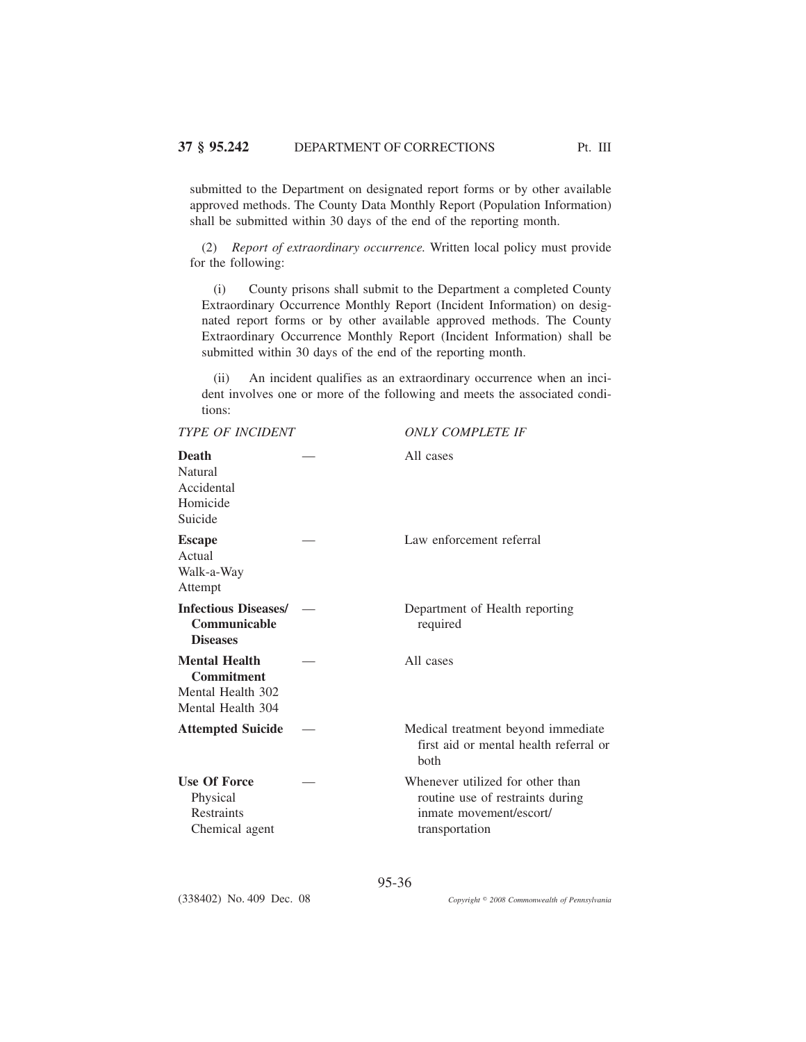submitted to the Department on designated report forms or by other available approved methods. The County Data Monthly Report (Population Information) shall be submitted within 30 days of the end of the reporting month.

(2) *Report of extraordinary occurrence.* Written local policy must provide for the following:

(i) County prisons shall submit to the Department a completed County Extraordinary Occurrence Monthly Report (Incident Information) on designated report forms or by other available approved methods. The County Extraordinary Occurrence Monthly Report (Incident Information) shall be submitted within 30 days of the end of the reporting month.

(ii) An incident qualifies as an extraordinary occurrence when an incident involves one or more of the following and meets the associated conditions:

| <b>TYPE OF INCIDENT</b>                                                             | <b>ONLY COMPLETE IF</b>                                                                                           |  |
|-------------------------------------------------------------------------------------|-------------------------------------------------------------------------------------------------------------------|--|
| Death<br><b>Natural</b><br>Accidental<br>Homicide<br>Suicide                        | All cases                                                                                                         |  |
| <b>Escape</b><br>Actual<br>Walk-a-Way<br>Attempt                                    | Law enforcement referral                                                                                          |  |
| <b>Infectious Diseases/</b><br>Communicable<br><b>Diseases</b>                      | Department of Health reporting<br>required                                                                        |  |
| <b>Mental Health</b><br><b>Commitment</b><br>Mental Health 302<br>Mental Health 304 | All cases                                                                                                         |  |
| <b>Attempted Suicide</b>                                                            | Medical treatment beyond immediate<br>first aid or mental health referral or<br>both                              |  |
| <b>Use Of Force</b><br>Physical<br><b>Restraints</b><br>Chemical agent              | Whenever utilized for other than<br>routine use of restraints during<br>inmate movement/escort/<br>transportation |  |
|                                                                                     |                                                                                                                   |  |

95-36

(338402) No. 409 Dec. 08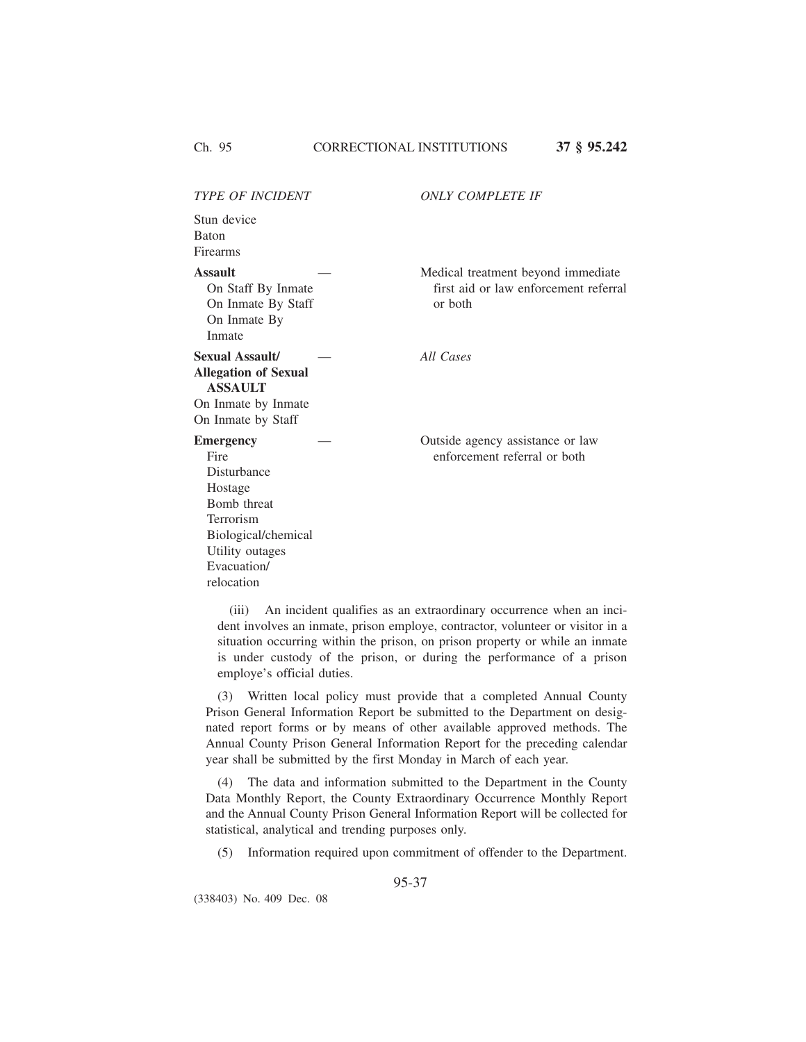*TYPE OF INCIDENT ONLY COMPLETE IF* Stun device Baton Firearms **Assault** On Staff By Inmate On Inmate By Staff On Inmate By Inmate Medical treatment beyond immediate first aid or law enforcement referral or both **Sexual Assault/** — *All Cases* **Allegation of Sexual ASSAULT** On Inmate by Inmate On Inmate by Staff **Emergency** Fire Disturbance Hostage Bomb threat Terrorism Biological/chemical Utility outages — Outside agency assistance or law enforcement referral or both

(iii) An incident qualifies as an extraordinary occurrence when an incident involves an inmate, prison employe, contractor, volunteer or visitor in a situation occurring within the prison, on prison property or while an inmate is under custody of the prison, or during the performance of a prison employe's official duties.

(3) Written local policy must provide that a completed Annual County Prison General Information Report be submitted to the Department on designated report forms or by means of other available approved methods. The Annual County Prison General Information Report for the preceding calendar year shall be submitted by the first Monday in March of each year.

(4) The data and information submitted to the Department in the County Data Monthly Report, the County Extraordinary Occurrence Monthly Report and the Annual County Prison General Information Report will be collected for statistical, analytical and trending purposes only.

(5) Information required upon commitment of offender to the Department.

95-37

(338403) No. 409 Dec. 08

Evacuation/ relocation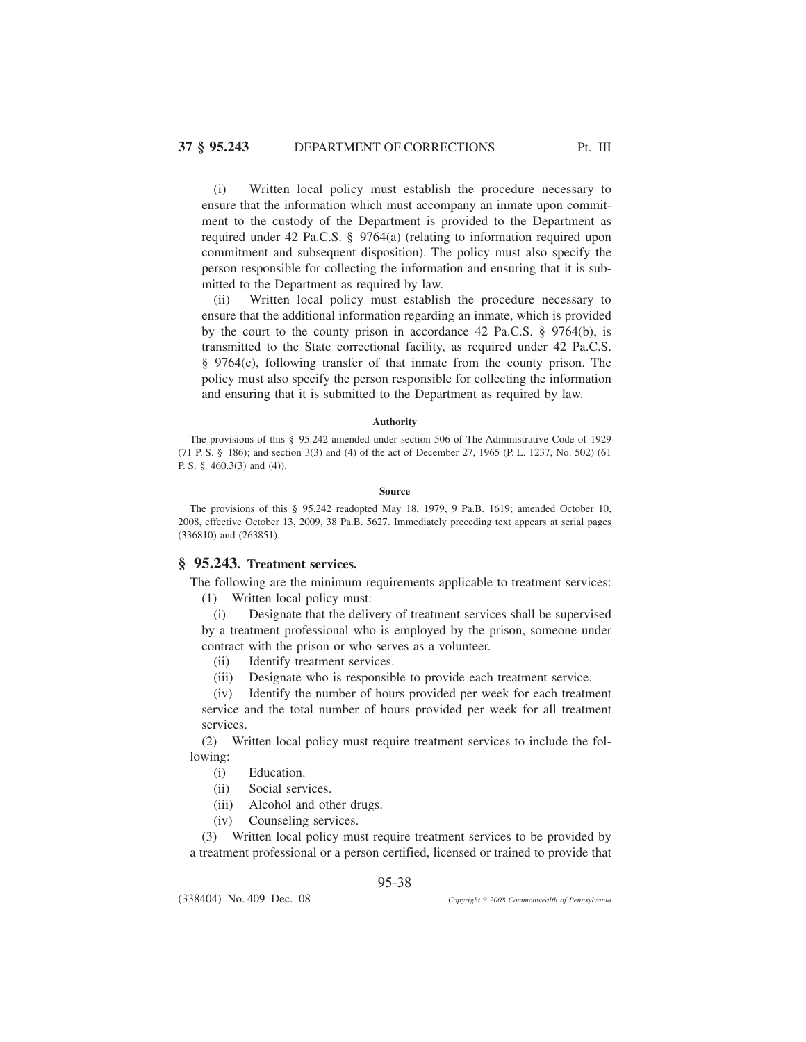(i) Written local policy must establish the procedure necessary to ensure that the information which must accompany an inmate upon commitment to the custody of the Department is provided to the Department as required under 42 Pa.C.S. § 9764(a) (relating to information required upon commitment and subsequent disposition). The policy must also specify the person responsible for collecting the information and ensuring that it is submitted to the Department as required by law.

(ii) Written local policy must establish the procedure necessary to ensure that the additional information regarding an inmate, which is provided by the court to the county prison in accordance 42 Pa.C.S. § 9764(b), is transmitted to the State correctional facility, as required under 42 Pa.C.S. § 9764(c), following transfer of that inmate from the county prison. The policy must also specify the person responsible for collecting the information and ensuring that it is submitted to the Department as required by law.

### **Authority**

The provisions of this § 95.242 amended under section 506 of The Administrative Code of 1929 (71 P. S. § 186); and section 3(3) and (4) of the act of December 27, 1965 (P. L. 1237, No. 502) (61 P. S. § 460.3(3) and (4)).

#### **Source**

The provisions of this § 95.242 readopted May 18, 1979, 9 Pa.B. 1619; amended October 10, 2008, effective October 13, 2009, 38 Pa.B. 5627. Immediately preceding text appears at serial pages (336810) and (263851).

# **§ 95.243. Treatment services.**

The following are the minimum requirements applicable to treatment services: (1) Written local policy must:

(i) Designate that the delivery of treatment services shall be supervised by a treatment professional who is employed by the prison, someone under contract with the prison or who serves as a volunteer.

- (ii) Identify treatment services.
- (iii) Designate who is responsible to provide each treatment service.

(iv) Identify the number of hours provided per week for each treatment service and the total number of hours provided per week for all treatment services.

(2) Written local policy must require treatment services to include the following:

(i) Education.

(338404) No. 409 Dec. 08

- (ii) Social services.
- (iii) Alcohol and other drugs.
- (iv) Counseling services.

(3) Written local policy must require treatment services to be provided by a treatment professional or a person certified, licensed or trained to provide that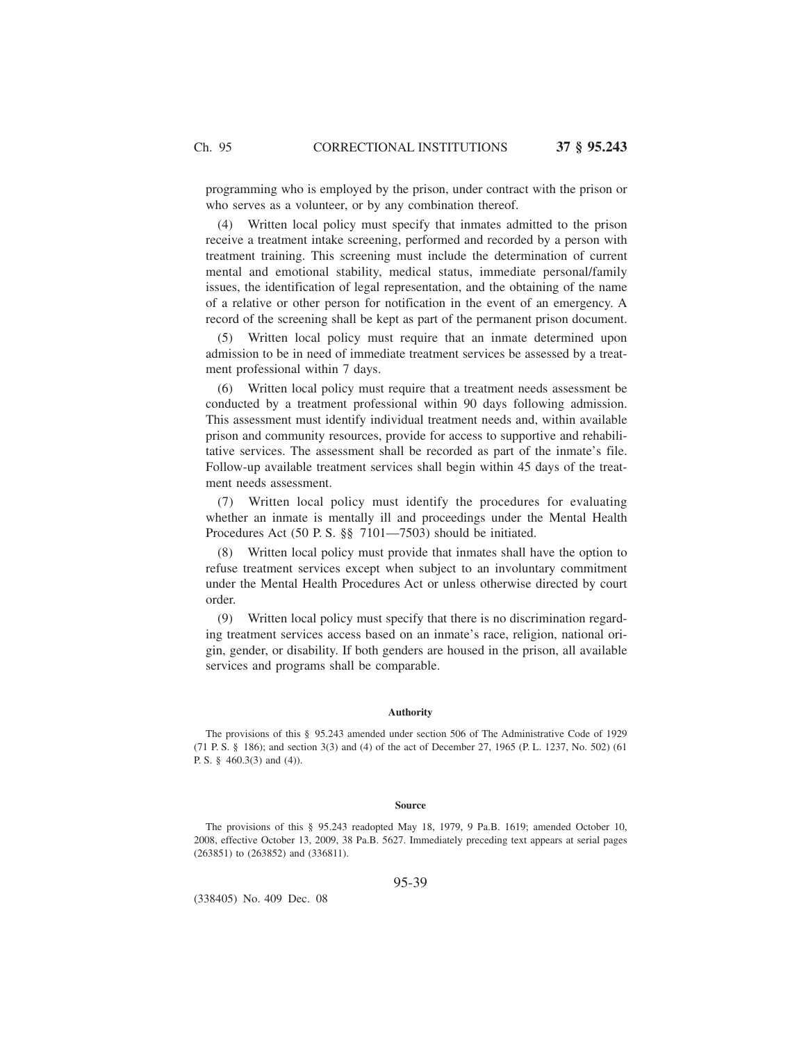programming who is employed by the prison, under contract with the prison or who serves as a volunteer, or by any combination thereof.

(4) Written local policy must specify that inmates admitted to the prison receive a treatment intake screening, performed and recorded by a person with treatment training. This screening must include the determination of current mental and emotional stability, medical status, immediate personal/family issues, the identification of legal representation, and the obtaining of the name of a relative or other person for notification in the event of an emergency. A record of the screening shall be kept as part of the permanent prison document.

(5) Written local policy must require that an inmate determined upon admission to be in need of immediate treatment services be assessed by a treatment professional within 7 days.

(6) Written local policy must require that a treatment needs assessment be conducted by a treatment professional within 90 days following admission. This assessment must identify individual treatment needs and, within available prison and community resources, provide for access to supportive and rehabilitative services. The assessment shall be recorded as part of the inmate's file. Follow-up available treatment services shall begin within 45 days of the treatment needs assessment.

(7) Written local policy must identify the procedures for evaluating whether an inmate is mentally ill and proceedings under the Mental Health Procedures Act (50 P. S. §§ 7101—7503) should be initiated.

(8) Written local policy must provide that inmates shall have the option to refuse treatment services except when subject to an involuntary commitment under the Mental Health Procedures Act or unless otherwise directed by court order.

(9) Written local policy must specify that there is no discrimination regarding treatment services access based on an inmate's race, religion, national origin, gender, or disability. If both genders are housed in the prison, all available services and programs shall be comparable.

## **Authority**

The provisions of this § 95.243 amended under section 506 of The Administrative Code of 1929 (71 P. S. § 186); and section 3(3) and (4) of the act of December 27, 1965 (P. L. 1237, No. 502) (61 P. S. § 460.3(3) and (4)).

#### **Source**

The provisions of this § 95.243 readopted May 18, 1979, 9 Pa.B. 1619; amended October 10, 2008, effective October 13, 2009, 38 Pa.B. 5627. Immediately preceding text appears at serial pages (263851) to (263852) and (336811).

### 95-39

(338405) No. 409 Dec. 08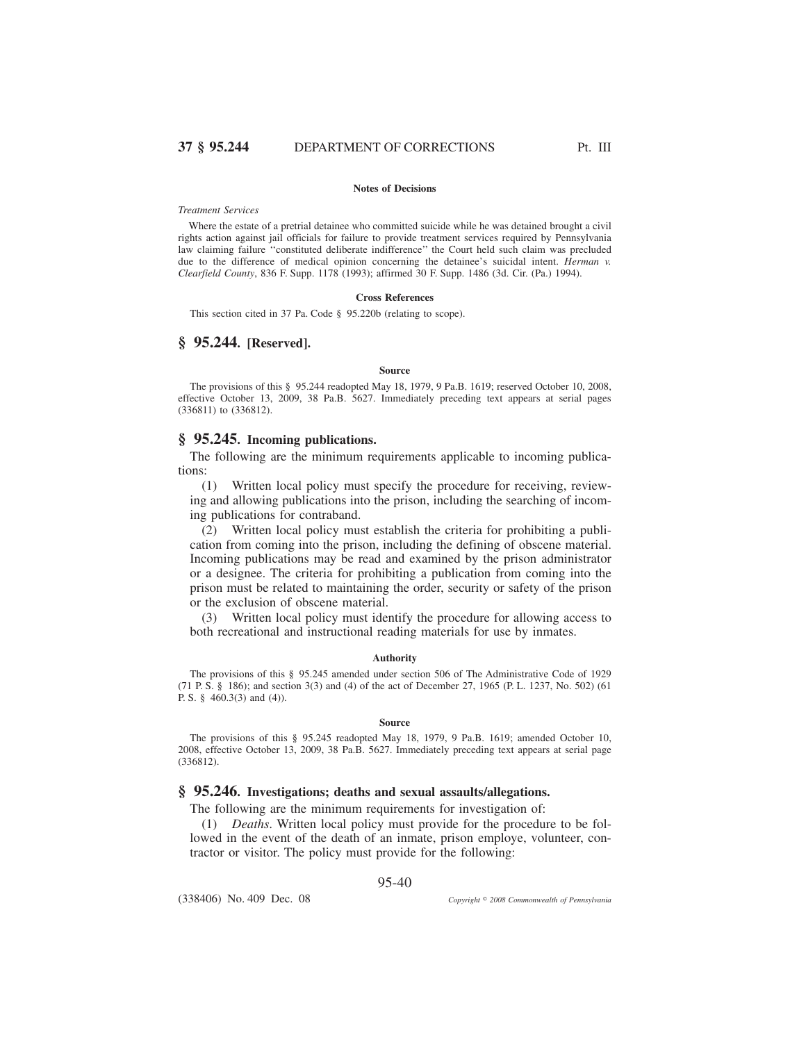#### **Notes of Decisions**

#### *Treatment Services*

Where the estate of a pretrial detainee who committed suicide while he was detained brought a civil rights action against jail officials for failure to provide treatment services required by Pennsylvania law claiming failure ''constituted deliberate indifference'' the Court held such claim was precluded due to the difference of medical opinion concerning the detainee's suicidal intent. *Herman v. Clearfield County*, 836 F. Supp. 1178 (1993); affirmed 30 F. Supp. 1486 (3d. Cir. (Pa.) 1994).

#### **Cross References**

This section cited in 37 Pa. Code § 95.220b (relating to scope).

## **§ 95.244. [Reserved].**

#### **Source**

The provisions of this § 95.244 readopted May 18, 1979, 9 Pa.B. 1619; reserved October 10, 2008, effective October 13, 2009, 38 Pa.B. 5627. Immediately preceding text appears at serial pages (336811) to (336812).

# **§ 95.245. Incoming publications.**

The following are the minimum requirements applicable to incoming publications:

(1) Written local policy must specify the procedure for receiving, reviewing and allowing publications into the prison, including the searching of incoming publications for contraband.

(2) Written local policy must establish the criteria for prohibiting a publication from coming into the prison, including the defining of obscene material. Incoming publications may be read and examined by the prison administrator or a designee. The criteria for prohibiting a publication from coming into the prison must be related to maintaining the order, security or safety of the prison or the exclusion of obscene material.

(3) Written local policy must identify the procedure for allowing access to both recreational and instructional reading materials for use by inmates.

#### **Authority**

The provisions of this § 95.245 amended under section 506 of The Administrative Code of 1929 (71 P. S. § 186); and section 3(3) and (4) of the act of December 27, 1965 (P. L. 1237, No. 502) (61 P. S. § 460.3(3) and (4)).

#### **Source**

The provisions of this § 95.245 readopted May 18, 1979, 9 Pa.B. 1619; amended October 10, 2008, effective October 13, 2009, 38 Pa.B. 5627. Immediately preceding text appears at serial page (336812).

## **§ 95.246. Investigations; deaths and sexual assaults/allegations.**

The following are the minimum requirements for investigation of:

(1) *Deaths*. Written local policy must provide for the procedure to be followed in the event of the death of an inmate, prison employe, volunteer, contractor or visitor. The policy must provide for the following:

## 95-40

(338406) No. 409 Dec. 08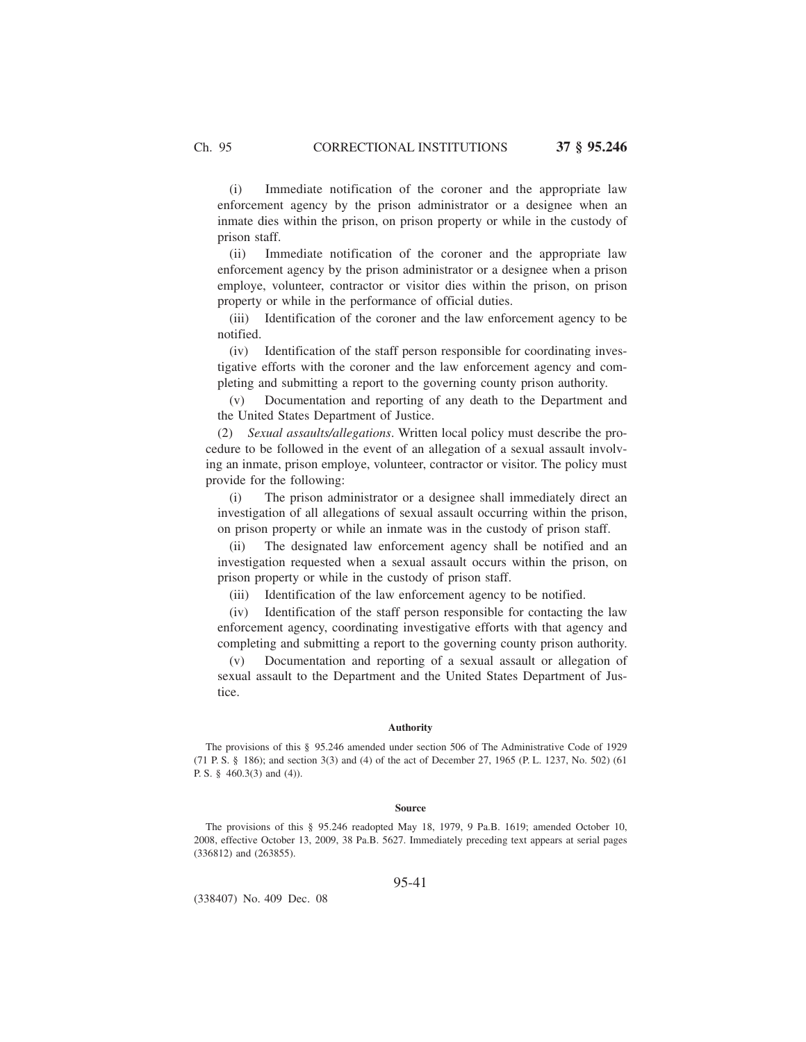(i) Immediate notification of the coroner and the appropriate law enforcement agency by the prison administrator or a designee when an inmate dies within the prison, on prison property or while in the custody of prison staff.

(ii) Immediate notification of the coroner and the appropriate law enforcement agency by the prison administrator or a designee when a prison employe, volunteer, contractor or visitor dies within the prison, on prison property or while in the performance of official duties.

(iii) Identification of the coroner and the law enforcement agency to be notified.

(iv) Identification of the staff person responsible for coordinating investigative efforts with the coroner and the law enforcement agency and completing and submitting a report to the governing county prison authority.

(v) Documentation and reporting of any death to the Department and the United States Department of Justice.

(2) *Sexual assaults/allegations*. Written local policy must describe the procedure to be followed in the event of an allegation of a sexual assault involving an inmate, prison employe, volunteer, contractor or visitor. The policy must provide for the following:

(i) The prison administrator or a designee shall immediately direct an investigation of all allegations of sexual assault occurring within the prison, on prison property or while an inmate was in the custody of prison staff.

(ii) The designated law enforcement agency shall be notified and an investigation requested when a sexual assault occurs within the prison, on prison property or while in the custody of prison staff.

(iii) Identification of the law enforcement agency to be notified.

(iv) Identification of the staff person responsible for contacting the law enforcement agency, coordinating investigative efforts with that agency and completing and submitting a report to the governing county prison authority.

(v) Documentation and reporting of a sexual assault or allegation of sexual assault to the Department and the United States Department of Justice.

#### **Authority**

The provisions of this § 95.246 amended under section 506 of The Administrative Code of 1929 (71 P. S. § 186); and section 3(3) and (4) of the act of December 27, 1965 (P. L. 1237, No. 502) (61 P. S. § 460.3(3) and (4)).

#### **Source**

The provisions of this § 95.246 readopted May 18, 1979, 9 Pa.B. 1619; amended October 10, 2008, effective October 13, 2009, 38 Pa.B. 5627. Immediately preceding text appears at serial pages (336812) and (263855).

### 95-41

(338407) No. 409 Dec. 08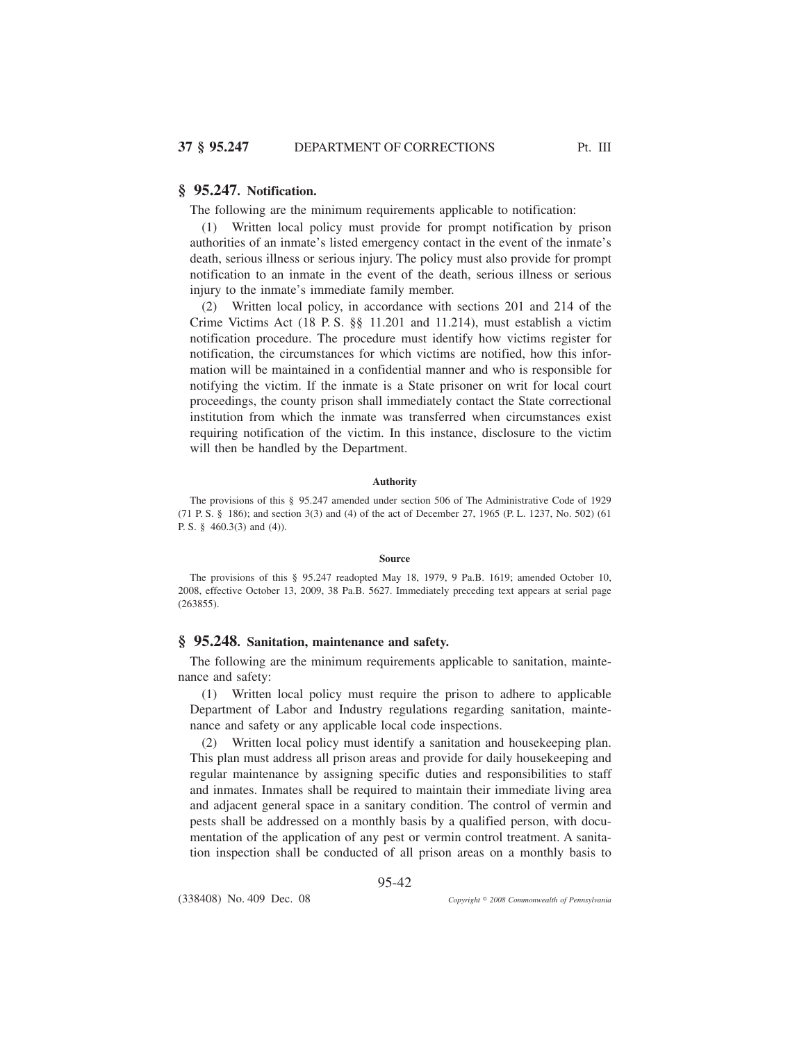# **§ 95.247. Notification.**

The following are the minimum requirements applicable to notification:

(1) Written local policy must provide for prompt notification by prison authorities of an inmate's listed emergency contact in the event of the inmate's death, serious illness or serious injury. The policy must also provide for prompt notification to an inmate in the event of the death, serious illness or serious injury to the inmate's immediate family member.

(2) Written local policy, in accordance with sections 201 and 214 of the Crime Victims Act (18 P. S. §§ 11.201 and 11.214), must establish a victim notification procedure. The procedure must identify how victims register for notification, the circumstances for which victims are notified, how this information will be maintained in a confidential manner and who is responsible for notifying the victim. If the inmate is a State prisoner on writ for local court proceedings, the county prison shall immediately contact the State correctional institution from which the inmate was transferred when circumstances exist requiring notification of the victim. In this instance, disclosure to the victim will then be handled by the Department.

### **Authority**

The provisions of this § 95.247 amended under section 506 of The Administrative Code of 1929 (71 P. S. § 186); and section 3(3) and (4) of the act of December 27, 1965 (P. L. 1237, No. 502) (61 P. S. § 460.3(3) and (4)).

#### **Source**

The provisions of this § 95.247 readopted May 18, 1979, 9 Pa.B. 1619; amended October 10, 2008, effective October 13, 2009, 38 Pa.B. 5627. Immediately preceding text appears at serial page (263855).

## **§ 95.248. Sanitation, maintenance and safety.**

The following are the minimum requirements applicable to sanitation, maintenance and safety:

(1) Written local policy must require the prison to adhere to applicable Department of Labor and Industry regulations regarding sanitation, maintenance and safety or any applicable local code inspections.

(2) Written local policy must identify a sanitation and housekeeping plan. This plan must address all prison areas and provide for daily housekeeping and regular maintenance by assigning specific duties and responsibilities to staff and inmates. Inmates shall be required to maintain their immediate living area and adjacent general space in a sanitary condition. The control of vermin and pests shall be addressed on a monthly basis by a qualified person, with documentation of the application of any pest or vermin control treatment. A sanitation inspection shall be conducted of all prison areas on a monthly basis to

95-42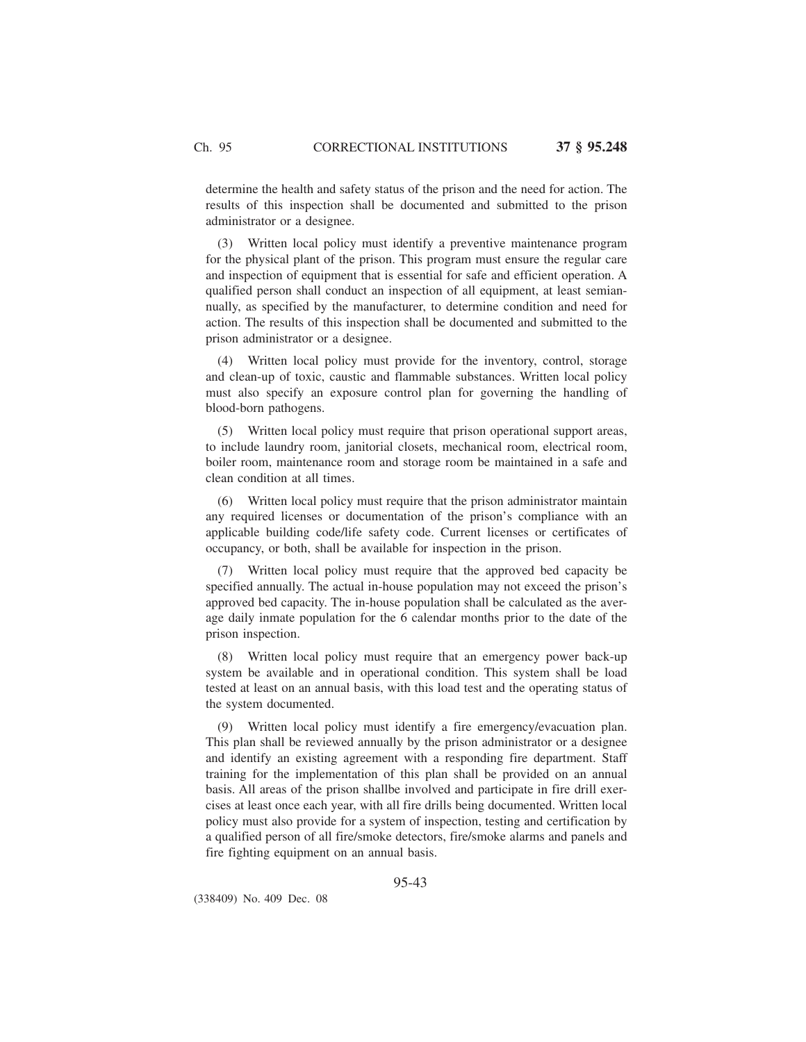determine the health and safety status of the prison and the need for action. The results of this inspection shall be documented and submitted to the prison administrator or a designee.

(3) Written local policy must identify a preventive maintenance program for the physical plant of the prison. This program must ensure the regular care and inspection of equipment that is essential for safe and efficient operation. A qualified person shall conduct an inspection of all equipment, at least semiannually, as specified by the manufacturer, to determine condition and need for action. The results of this inspection shall be documented and submitted to the prison administrator or a designee.

(4) Written local policy must provide for the inventory, control, storage and clean-up of toxic, caustic and flammable substances. Written local policy must also specify an exposure control plan for governing the handling of blood-born pathogens.

(5) Written local policy must require that prison operational support areas, to include laundry room, janitorial closets, mechanical room, electrical room, boiler room, maintenance room and storage room be maintained in a safe and clean condition at all times.

(6) Written local policy must require that the prison administrator maintain any required licenses or documentation of the prison's compliance with an applicable building code/life safety code. Current licenses or certificates of occupancy, or both, shall be available for inspection in the prison.

(7) Written local policy must require that the approved bed capacity be specified annually. The actual in-house population may not exceed the prison's approved bed capacity. The in-house population shall be calculated as the average daily inmate population for the 6 calendar months prior to the date of the prison inspection.

(8) Written local policy must require that an emergency power back-up system be available and in operational condition. This system shall be load tested at least on an annual basis, with this load test and the operating status of the system documented.

(9) Written local policy must identify a fire emergency/evacuation plan. This plan shall be reviewed annually by the prison administrator or a designee and identify an existing agreement with a responding fire department. Staff training for the implementation of this plan shall be provided on an annual basis. All areas of the prison shallbe involved and participate in fire drill exercises at least once each year, with all fire drills being documented. Written local policy must also provide for a system of inspection, testing and certification by a qualified person of all fire/smoke detectors, fire/smoke alarms and panels and fire fighting equipment on an annual basis.

(338409) No. 409 Dec. 08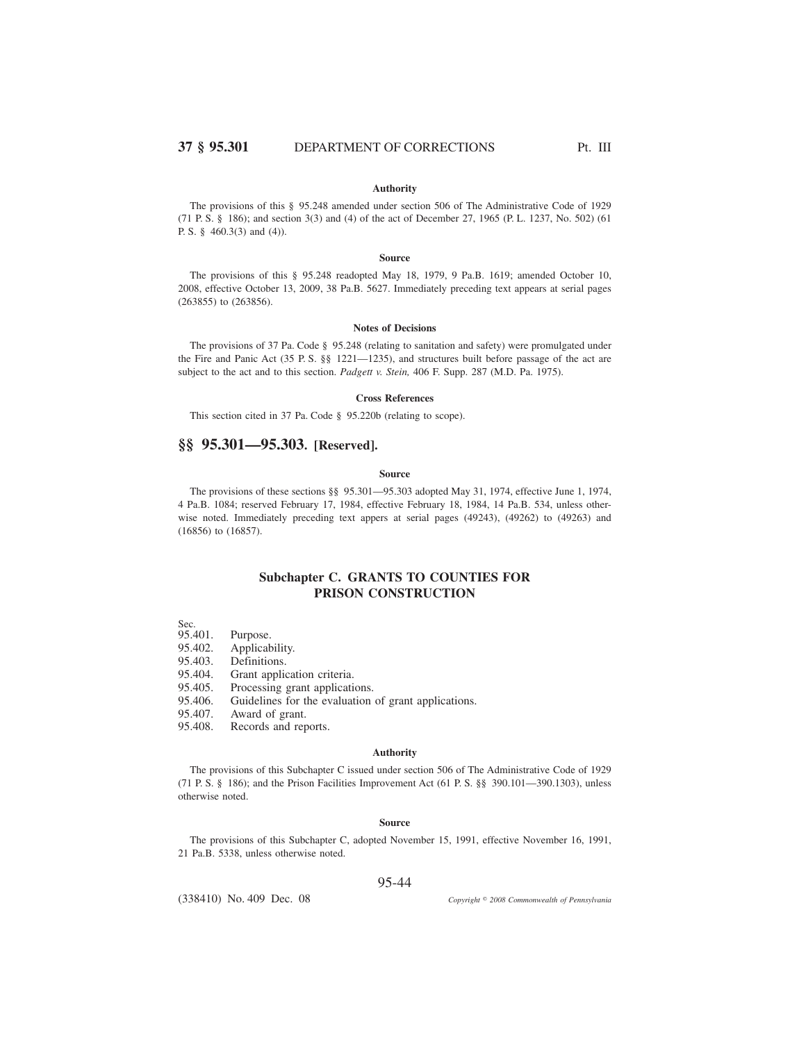### **Authority**

The provisions of this § 95.248 amended under section 506 of The Administrative Code of 1929 (71 P. S. § 186); and section 3(3) and (4) of the act of December 27, 1965 (P. L. 1237, No. 502) (61 P. S. § 460.3(3) and (4)).

### **Source**

The provisions of this § 95.248 readopted May 18, 1979, 9 Pa.B. 1619; amended October 10, 2008, effective October 13, 2009, 38 Pa.B. 5627. Immediately preceding text appears at serial pages (263855) to (263856).

#### **Notes of Decisions**

The provisions of 37 Pa. Code § 95.248 (relating to sanitation and safety) were promulgated under the Fire and Panic Act (35 P. S. §§ 1221—1235), and structures built before passage of the act are subject to the act and to this section. *Padgett v. Stein,* 406 F. Supp. 287 (M.D. Pa. 1975).

### **Cross References**

This section cited in 37 Pa. Code § 95.220b (relating to scope).

# **§§ 95.301—95.303. [Reserved].**

### **Source**

The provisions of these sections §§ 95.301—95.303 adopted May 31, 1974, effective June 1, 1974, 4 Pa.B. 1084; reserved February 17, 1984, effective February 18, 1984, 14 Pa.B. 534, unless otherwise noted. Immediately preceding text appers at serial pages (49243), (49262) to (49263) and (16856) to (16857).

# **Subchapter C. GRANTS TO COUNTIES FOR PRISON CONSTRUCTION**

Sec.<br>95.401.

Purpose.

- 95.402. Applicability.<br>95.403. Definitions.
- 95.403. Definitions.<br>95.404. Grant applic
- 
- 95.404. Grant application criteria.<br>95.405. Processing grant application Processing grant applications.
- 95.406. Guidelines for the evaluation of grant applications.
- 
- 95.407. Award of grant.<br>95.408. Records and rep Records and reports.

#### **Authority**

The provisions of this Subchapter C issued under section 506 of The Administrative Code of 1929 (71 P. S. § 186); and the Prison Facilities Improvement Act (61 P. S. §§ 390.101—390.1303), unless otherwise noted.

## **Source**

The provisions of this Subchapter C, adopted November 15, 1991, effective November 16, 1991, 21 Pa.B. 5338, unless otherwise noted.

## 95-44

(338410) No. 409 Dec. 08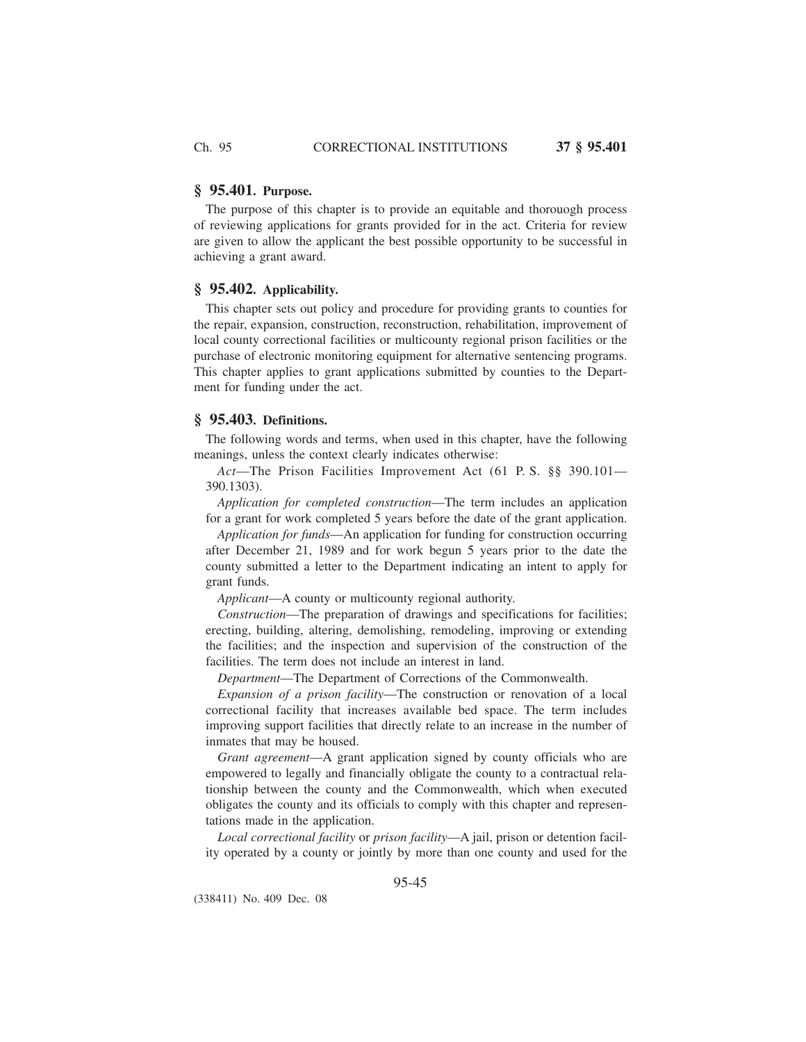# **§ 95.401. Purpose.**

The purpose of this chapter is to provide an equitable and thorouogh process of reviewing applications for grants provided for in the act. Criteria for review are given to allow the applicant the best possible opportunity to be successful in achieving a grant award.

## **§ 95.402. Applicability.**

This chapter sets out policy and procedure for providing grants to counties for the repair, expansion, construction, reconstruction, rehabilitation, improvement of local county correctional facilities or multicounty regional prison facilities or the purchase of electronic monitoring equipment for alternative sentencing programs. This chapter applies to grant applications submitted by counties to the Department for funding under the act.

## **§ 95.403. Definitions.**

The following words and terms, when used in this chapter, have the following meanings, unless the context clearly indicates otherwise:

*Act*—The Prison Facilities Improvement Act (61 P. S. §§ 390.101— 390.1303).

*Application for completed construction*—The term includes an application for a grant for work completed 5 years before the date of the grant application.

*Application for funds*—An application for funding for construction occurring after December 21, 1989 and for work begun 5 years prior to the date the county submitted a letter to the Department indicating an intent to apply for grant funds.

*Applicant*—A county or multicounty regional authority.

*Construction*—The preparation of drawings and specifications for facilities; erecting, building, altering, demolishing, remodeling, improving or extending the facilities; and the inspection and supervision of the construction of the facilities. The term does not include an interest in land.

*Department*—The Department of Corrections of the Commonwealth.

*Expansion of a prison facility*—The construction or renovation of a local correctional facility that increases available bed space. The term includes improving support facilities that directly relate to an increase in the number of inmates that may be housed.

*Grant agreement*—A grant application signed by county officials who are empowered to legally and financially obligate the county to a contractual relationship between the county and the Commonwealth, which when executed obligates the county and its officials to comply with this chapter and representations made in the application.

*Local correctional facility* or *prison facility*—A jail, prison or detention facility operated by a county or jointly by more than one county and used for the

95-45

(338411) No. 409 Dec. 08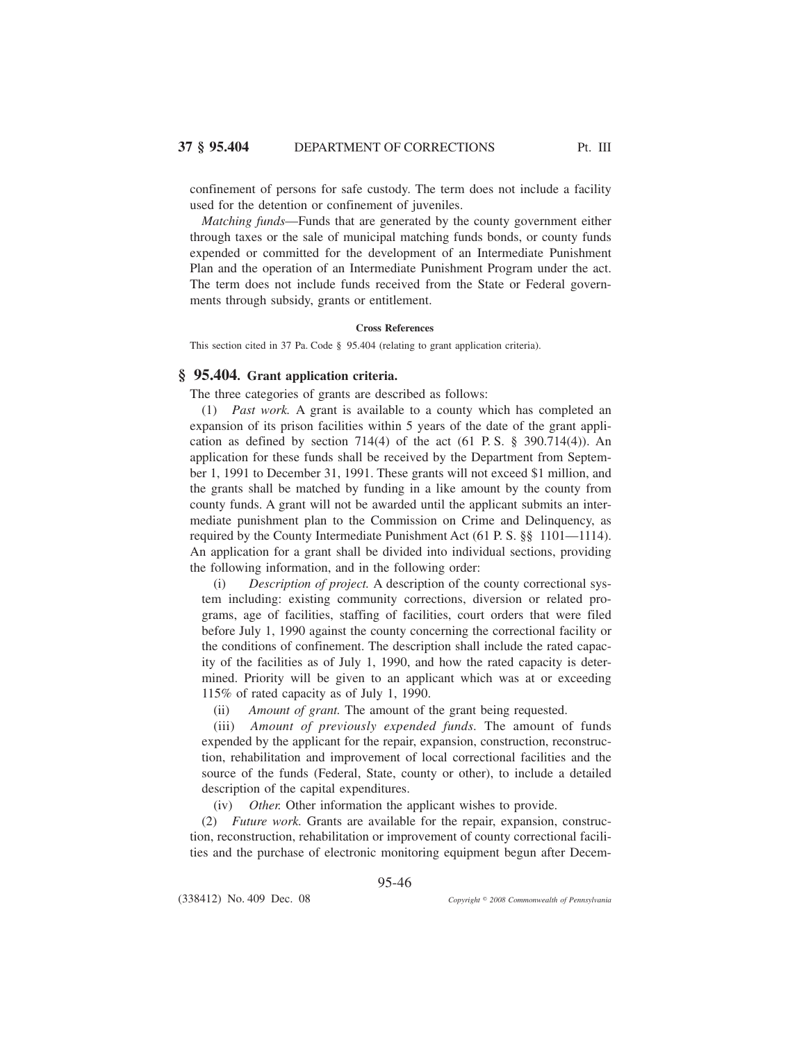confinement of persons for safe custody. The term does not include a facility used for the detention or confinement of juveniles.

*Matching funds*—Funds that are generated by the county government either through taxes or the sale of municipal matching funds bonds, or county funds expended or committed for the development of an Intermediate Punishment Plan and the operation of an Intermediate Punishment Program under the act. The term does not include funds received from the State or Federal governments through subsidy, grants or entitlement.

### **Cross References**

This section cited in 37 Pa. Code § 95.404 (relating to grant application criteria).

# **§ 95.404. Grant application criteria.**

The three categories of grants are described as follows:

(1) *Past work.* A grant is available to a county which has completed an expansion of its prison facilities within 5 years of the date of the grant application as defined by section  $714(4)$  of the act  $(61 \text{ P.S. } § 390.714(4))$ . An application for these funds shall be received by the Department from September 1, 1991 to December 31, 1991. These grants will not exceed \$1 million, and the grants shall be matched by funding in a like amount by the county from county funds. A grant will not be awarded until the applicant submits an intermediate punishment plan to the Commission on Crime and Delinquency, as required by the County Intermediate Punishment Act (61 P. S. §§ 1101—1114). An application for a grant shall be divided into individual sections, providing the following information, and in the following order:

(i) *Description of project.* A description of the county correctional system including: existing community corrections, diversion or related programs, age of facilities, staffing of facilities, court orders that were filed before July 1, 1990 against the county concerning the correctional facility or the conditions of confinement. The description shall include the rated capacity of the facilities as of July 1, 1990, and how the rated capacity is determined. Priority will be given to an applicant which was at or exceeding 115% of rated capacity as of July 1, 1990.

(ii) *Amount of grant.* The amount of the grant being requested.

(iii) *Amount of previously expended funds.* The amount of funds expended by the applicant for the repair, expansion, construction, reconstruction, rehabilitation and improvement of local correctional facilities and the source of the funds (Federal, State, county or other), to include a detailed description of the capital expenditures.

(iv) *Other.* Other information the applicant wishes to provide.

(2) *Future work.* Grants are available for the repair, expansion, construction, reconstruction, rehabilitation or improvement of county correctional facilities and the purchase of electronic monitoring equipment begun after Decem-

95-46

(338412) No. 409 Dec. 08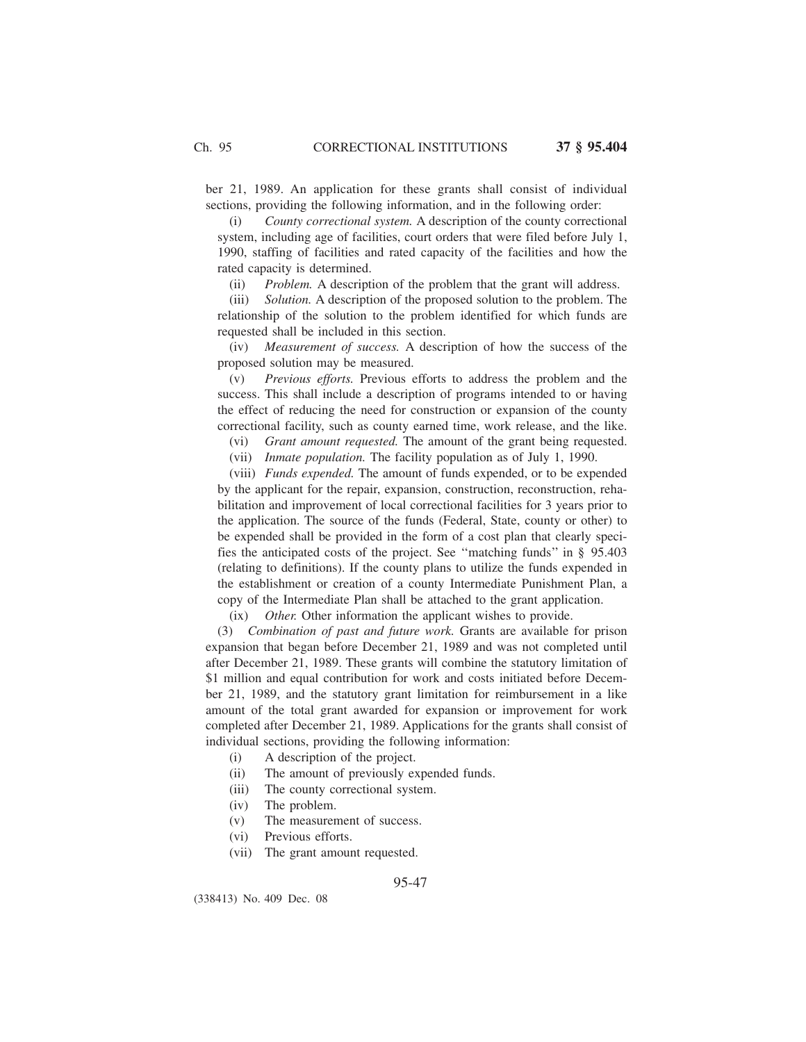ber 21, 1989. An application for these grants shall consist of individual sections, providing the following information, and in the following order:

(i) *County correctional system.* A description of the county correctional system, including age of facilities, court orders that were filed before July 1, 1990, staffing of facilities and rated capacity of the facilities and how the rated capacity is determined.

(ii) *Problem.* A description of the problem that the grant will address.

(iii) *Solution.* A description of the proposed solution to the problem. The relationship of the solution to the problem identified for which funds are requested shall be included in this section.

(iv) *Measurement of success.* A description of how the success of the proposed solution may be measured.

(v) *Previous efforts.* Previous efforts to address the problem and the success. This shall include a description of programs intended to or having the effect of reducing the need for construction or expansion of the county correctional facility, such as county earned time, work release, and the like.

(vi) *Grant amount requested.* The amount of the grant being requested.

(vii) *Inmate population.* The facility population as of July 1, 1990.

(viii) *Funds expended.* The amount of funds expended, or to be expended by the applicant for the repair, expansion, construction, reconstruction, rehabilitation and improvement of local correctional facilities for 3 years prior to the application. The source of the funds (Federal, State, county or other) to be expended shall be provided in the form of a cost plan that clearly specifies the anticipated costs of the project. See ''matching funds'' in § 95.403 (relating to definitions). If the county plans to utilize the funds expended in the establishment or creation of a county Intermediate Punishment Plan, a copy of the Intermediate Plan shall be attached to the grant application.

(ix) *Other.* Other information the applicant wishes to provide.

(3) *Combination of past and future work.* Grants are available for prison expansion that began before December 21, 1989 and was not completed until after December 21, 1989. These grants will combine the statutory limitation of \$1 million and equal contribution for work and costs initiated before December 21, 1989, and the statutory grant limitation for reimbursement in a like amount of the total grant awarded for expansion or improvement for work completed after December 21, 1989. Applications for the grants shall consist of individual sections, providing the following information:

- (i) A description of the project.
- (ii) The amount of previously expended funds.
- (iii) The county correctional system.
- (iv) The problem.
- (v) The measurement of success.
- (vi) Previous efforts.
- (vii) The grant amount requested.

95-47

(338413) No. 409 Dec. 08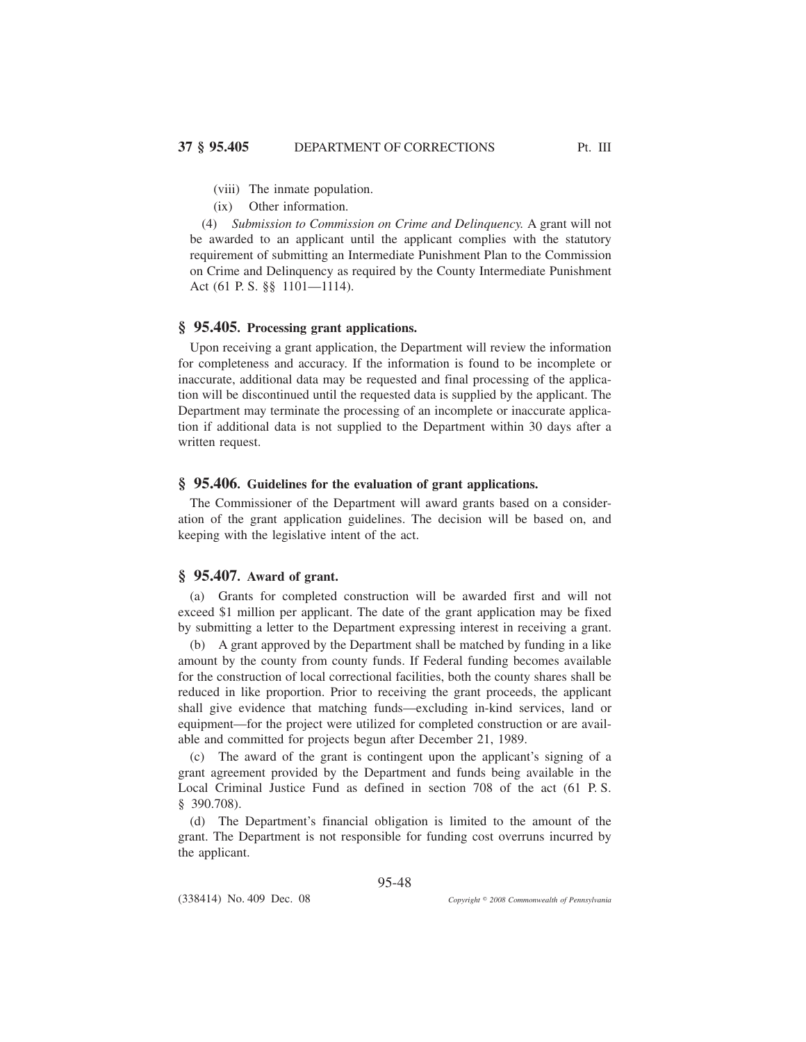(ix) Other information.

(4) *Submission to Commission on Crime and Delinquency.* A grant will not be awarded to an applicant until the applicant complies with the statutory requirement of submitting an Intermediate Punishment Plan to the Commission on Crime and Delinquency as required by the County Intermediate Punishment Act (61 P. S. §§ 1101—1114).

# **§ 95.405. Processing grant applications.**

Upon receiving a grant application, the Department will review the information for completeness and accuracy. If the information is found to be incomplete or inaccurate, additional data may be requested and final processing of the application will be discontinued until the requested data is supplied by the applicant. The Department may terminate the processing of an incomplete or inaccurate application if additional data is not supplied to the Department within 30 days after a written request.

# **§ 95.406. Guidelines for the evaluation of grant applications.**

The Commissioner of the Department will award grants based on a consideration of the grant application guidelines. The decision will be based on, and keeping with the legislative intent of the act.

## **§ 95.407. Award of grant.**

(a) Grants for completed construction will be awarded first and will not exceed \$1 million per applicant. The date of the grant application may be fixed by submitting a letter to the Department expressing interest in receiving a grant.

(b) A grant approved by the Department shall be matched by funding in a like amount by the county from county funds. If Federal funding becomes available for the construction of local correctional facilities, both the county shares shall be reduced in like proportion. Prior to receiving the grant proceeds, the applicant shall give evidence that matching funds—excluding in-kind services, land or equipment—for the project were utilized for completed construction or are available and committed for projects begun after December 21, 1989.

(c) The award of the grant is contingent upon the applicant's signing of a grant agreement provided by the Department and funds being available in the Local Criminal Justice Fund as defined in section 708 of the act (61 P. S. § 390.708).

(d) The Department's financial obligation is limited to the amount of the grant. The Department is not responsible for funding cost overruns incurred by the applicant.

95-48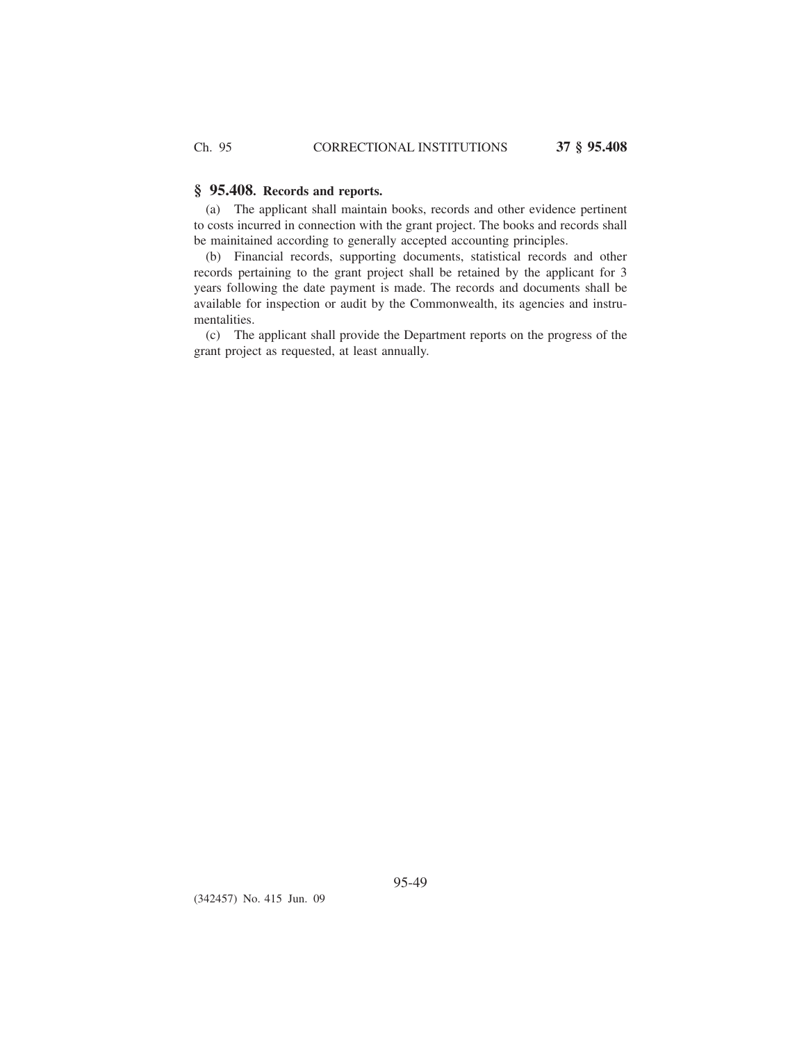# **§ 95.408. Records and reports.**

(a) The applicant shall maintain books, records and other evidence pertinent to costs incurred in connection with the grant project. The books and records shall be mainitained according to generally accepted accounting principles.

(b) Financial records, supporting documents, statistical records and other records pertaining to the grant project shall be retained by the applicant for 3 years following the date payment is made. The records and documents shall be available for inspection or audit by the Commonwealth, its agencies and instrumentalities.

(c) The applicant shall provide the Department reports on the progress of the grant project as requested, at least annually.

(342457) No. 415 Jun. 09

95-49